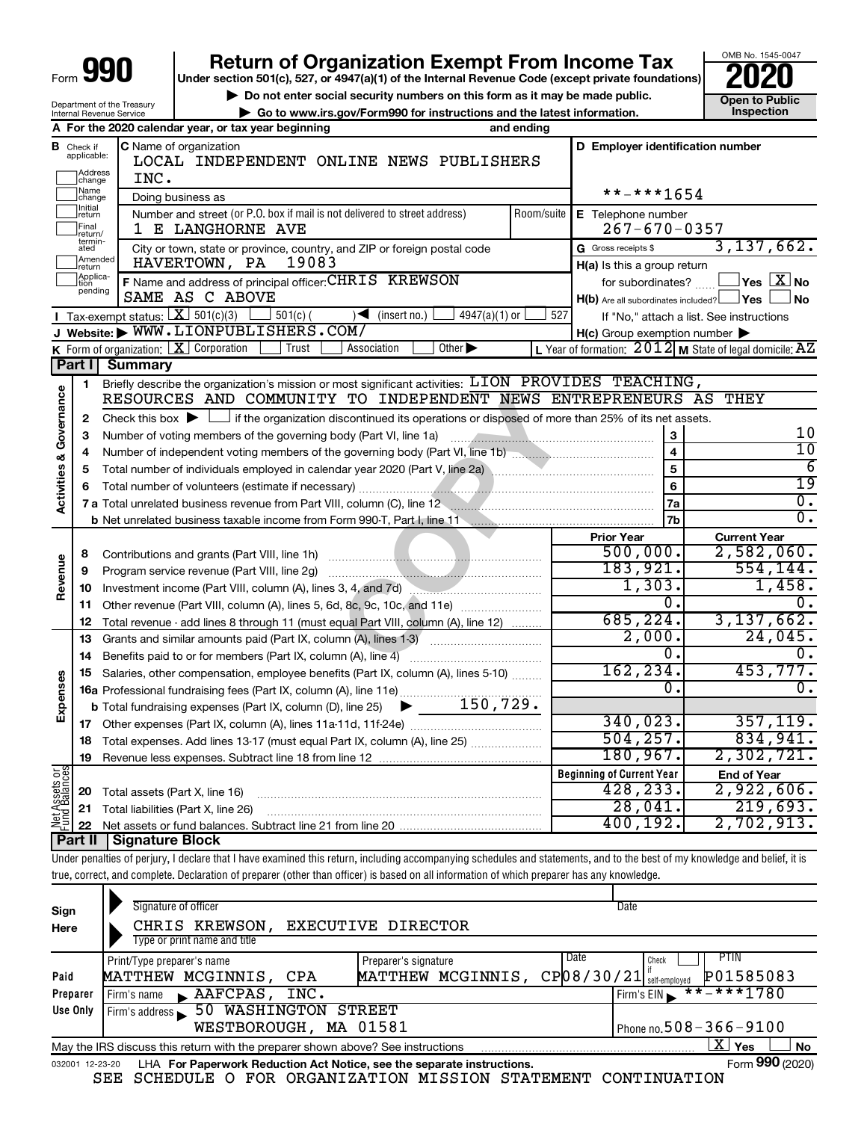| Form |  |  |
|------|--|--|

# **990** Return of Organization Exempt From Income Tax <br>
Under section 501(c), 527, or 4947(a)(1) of the Internal Revenue Code (except private foundations)<br> **PO20**

▶ Do not enter social security numbers on this form as it may be made public. **Dependent Open to Public Dependent Open to Public and the latest information.** Inspection **| Go to www.irs.gov/Form990 for instructions and the latest information. Inspection**

OMB No. 1545-0047

|  | Department of the Treasury<br><b>Internal Revenue Service</b> |  |
|--|---------------------------------------------------------------|--|
|  |                                                               |  |

|                         |                                       | A For the 2020 calendar year, or tax year beginning                                                                                                                        | and ending |                                                              |                                                             |  |  |  |
|-------------------------|---------------------------------------|----------------------------------------------------------------------------------------------------------------------------------------------------------------------------|------------|--------------------------------------------------------------|-------------------------------------------------------------|--|--|--|
|                         | <b>B</b> Check if applicable:         | C Name of organization<br>LOCAL INDEPENDENT ONLINE NEWS PUBLISHERS                                                                                                         |            | D Employer identification number                             |                                                             |  |  |  |
|                         | Address<br> change                    | INC.                                                                                                                                                                       |            |                                                              |                                                             |  |  |  |
|                         | Name<br>change                        | Doing business as                                                                                                                                                          | **-***1654 |                                                              |                                                             |  |  |  |
|                         | Initial<br>return<br>Final<br>return/ | Number and street (or P.O. box if mail is not delivered to street address)<br>1 E LANGHORNE AVE                                                                            | Room/suite | E Telephone number<br>$267 - 670 - 0357$                     |                                                             |  |  |  |
|                         | termin-<br>ated                       | City or town, state or province, country, and ZIP or foreign postal code                                                                                                   |            | G Gross receipts \$                                          | 3, 137, 662.                                                |  |  |  |
|                         | Amended<br>return                     | 19083<br>HAVERTOWN, PA                                                                                                                                                     |            | H(a) Is this a group return                                  |                                                             |  |  |  |
|                         | Applica-<br>Ition<br>pending          | F Name and address of principal officer: CHRIS KREWSON<br>SAME AS C ABOVE                                                                                                  |            | for subordinates?<br>H(b) Are all subordinates included? Ves | $\overline{\ }$ Yes $\overline{\ \text{X}}$ No<br>⊿ No      |  |  |  |
|                         |                                       | <b>I</b> Tax-exempt status: $\boxed{\mathbf{X}}$ 501(c)(3) $\boxed{\phantom{0}}$ 501(c)(<br>$4947(a)(1)$ or<br>$\sqrt{\frac{1}{1}}$ (insert no.)                           | 527        |                                                              | If "No," attach a list. See instructions                    |  |  |  |
|                         |                                       | J Website: WWW.LIONPUBLISHERS.COM/                                                                                                                                         |            | $H(c)$ Group exemption number $\blacktriangleright$          |                                                             |  |  |  |
|                         |                                       | <b>K</b> Form of organization: $\boxed{\mathbf{X}}$ Corporation<br>Trust<br>Association<br>Other $\blacktriangleright$                                                     |            |                                                              | L Year of formation: $2012$ M State of legal domicile: $AZ$ |  |  |  |
|                         |                                       | Part I Summary                                                                                                                                                             |            |                                                              |                                                             |  |  |  |
|                         | 1                                     | Briefly describe the organization's mission or most significant activities: LION PROVIDES TEACHING,                                                                        |            |                                                              |                                                             |  |  |  |
| Governance              |                                       | RESOURCES AND COMMUNITY TO INDEPENDENT NEWS ENTREPRENEURS AS THEY                                                                                                          |            |                                                              |                                                             |  |  |  |
|                         | 2                                     | Check this box $\blacktriangleright$ $\Box$ if the organization discontinued its operations or disposed of more than 25% of its net assets.                                |            |                                                              |                                                             |  |  |  |
|                         | З                                     | Number of voting members of the governing body (Part VI, line 1a)                                                                                                          |            | 3                                                            | 10                                                          |  |  |  |
|                         | 4                                     |                                                                                                                                                                            |            | $\overline{4}$                                               | 10                                                          |  |  |  |
|                         | 5                                     | Total number of individuals employed in calendar year 2020 (Part V, line 2a) \\mumman manuscrim manuscrim manuscrim                                                        |            | $\overline{5}$                                               | $\overline{6}$                                              |  |  |  |
| <b>Activities &amp;</b> | 6                                     |                                                                                                                                                                            |            | $\overline{\mathbf{6}}$                                      | $\overline{19}$                                             |  |  |  |
|                         |                                       | 7 a Total unrelated business revenue from Part VIII, column (C), line 12 <b>Column Constant Constant Constant Constant</b>                                                 |            | <b>7a</b>                                                    | $\overline{0}$ .                                            |  |  |  |
|                         |                                       |                                                                                                                                                                            |            | 7b                                                           | $\overline{0}$ .                                            |  |  |  |
|                         |                                       |                                                                                                                                                                            |            | <b>Prior Year</b>                                            | <b>Current Year</b>                                         |  |  |  |
|                         | 8                                     | Contributions and grants (Part VIII, line 1h)                                                                                                                              |            | 500,000.                                                     | 2,582,060.                                                  |  |  |  |
| Revenue                 | 9                                     | Program service revenue (Part VIII, line 2g)                                                                                                                               |            | 183,921.                                                     | 554, 144.                                                   |  |  |  |
|                         | 10                                    | Investment income (Part VIII, column (A), lines 3, 4, and 7d)                                                                                                              |            | 1,303.                                                       | 1,458.                                                      |  |  |  |
|                         | 11                                    | Other revenue (Part VIII, column (A), lines 5, 6d, 8c, 9c, 10c, and 11e)                                                                                                   |            | 0.                                                           | 0.                                                          |  |  |  |
|                         | 12                                    | Total revenue - add lines 8 through 11 (must equal Part VIII, column (A), line 12)                                                                                         |            | 685, 224.                                                    | 3, 137, 662.                                                |  |  |  |
|                         | 13                                    | Grants and similar amounts paid (Part IX, column (A), lines 1-3) <i></i>                                                                                                   |            | 2,000.                                                       | 24,045.                                                     |  |  |  |
|                         | 14                                    | Benefits paid to or for members (Part IX, column (A), line 4)                                                                                                              |            | $\overline{0}$ .                                             | 0.                                                          |  |  |  |
|                         | 15                                    | Salaries, other compensation, employee benefits (Part IX, column (A), lines 5-10)                                                                                          |            | 162, 234.                                                    | 453,777.                                                    |  |  |  |
|                         |                                       | 16a Professional fundraising fees (Part IX, column (A), line 11e)                                                                                                          |            | 0.                                                           | 0.                                                          |  |  |  |
| Expenses                |                                       | <b>b</b> Total fundraising expenses (Part IX, column (D), line 25) $\rightarrow$ ________150,729.                                                                          |            |                                                              |                                                             |  |  |  |
|                         |                                       |                                                                                                                                                                            |            | 340,023.                                                     | 357, 119.                                                   |  |  |  |
|                         |                                       | 18 Total expenses. Add lines 13-17 (must equal Part IX, column (A), line 25)                                                                                               |            | 504, 257.                                                    | 834,941.                                                    |  |  |  |
|                         | 19                                    | Revenue less expenses. Subtract line 18 from line 12                                                                                                                       |            | 180, 967.                                                    | 2,302,721.                                                  |  |  |  |
|                         |                                       |                                                                                                                                                                            |            | <b>Beginning of Current Year</b>                             | <b>End of Year</b>                                          |  |  |  |
|                         | 20                                    | Total assets (Part X, line 16)                                                                                                                                             |            | 428,233.                                                     | 2,922,606.                                                  |  |  |  |
| Net Assets or           | 21                                    | Total liabilities (Part X, line 26)                                                                                                                                        |            | 28,041.                                                      | 219,693.                                                    |  |  |  |
|                         | 22                                    | Net assets or fund balances. Subtract line 21 from line 20                                                                                                                 |            | 400,192.                                                     | 2,702,913.                                                  |  |  |  |
|                         | Part II                               | Signature Block                                                                                                                                                            |            |                                                              |                                                             |  |  |  |
|                         |                                       | Under penalties of perjury, I declare that I have examined this return, including accompanying schedules and statements, and to the best of my knowledge and belief, it is |            |                                                              |                                                             |  |  |  |
|                         |                                       | true, correct, and complete. Declaration of preparer (other than officer) is based on all information of which preparer has any knowledge.                                 |            |                                                              |                                                             |  |  |  |
|                         |                                       | Signature of officer                                                                                                                                                       |            | Date                                                         |                                                             |  |  |  |
| Sign                    |                                       |                                                                                                                                                                            |            |                                                              |                                                             |  |  |  |
| Here                    |                                       | EXECUTIVE DIRECTOR<br>CHRIS KREWSON,<br>Type or print name and title                                                                                                       |            |                                                              |                                                             |  |  |  |
|                         |                                       |                                                                                                                                                                            |            | Date                                                         | PTIN                                                        |  |  |  |
| Paid                    |                                       | Print/Type preparer's name<br>Preparer's signature<br>MATTHEW MCGINNIS, CP08/30/21 sef-employed<br>MATTHEW MCGINNIS, CPA                                                   |            | Check                                                        | P01585083                                                   |  |  |  |

| Preparer                                                                                     | $I$ Firm's name $\blacktriangleright$ AAFCPAS, INC.                                    | $Firm's EIN \rightarrow$ **-***1780 |  |  |  |  |  |
|----------------------------------------------------------------------------------------------|----------------------------------------------------------------------------------------|-------------------------------------|--|--|--|--|--|
| Use Only                                                                                     | Firm's address 50 WASHINGTON STREET                                                    |                                     |  |  |  |  |  |
|                                                                                              | WESTBOROUGH, MA 01581                                                                  | Phone no. $508 - 366 - 9100$        |  |  |  |  |  |
| Yes<br>No<br>May the IRS discuss this return with the preparer shown above? See instructions |                                                                                        |                                     |  |  |  |  |  |
|                                                                                              | 032001 12-23-20 LHA For Paperwork Reduction Act Notice, see the separate instructions. | Form 990 (2020)                     |  |  |  |  |  |

SEE SCHEDULE O FOR ORGANIZATION MISSION STATEMENT CONTINUATION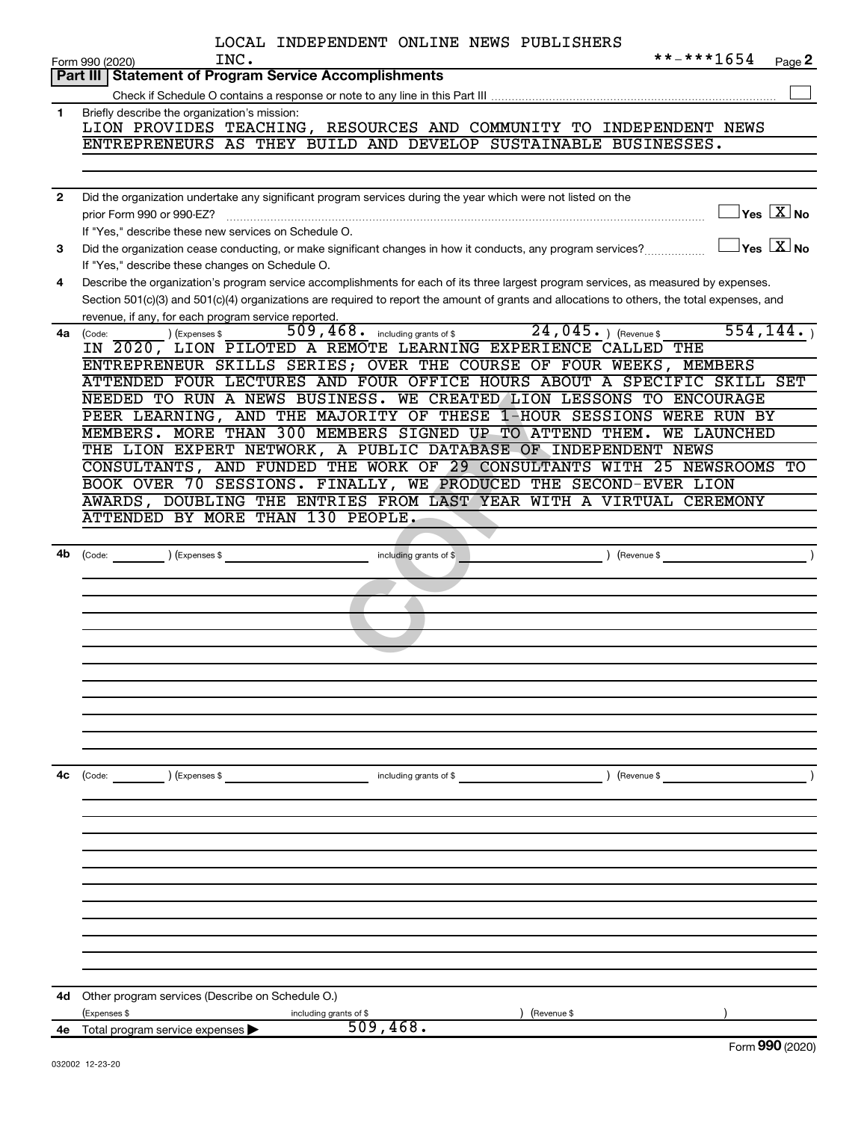|              | LOCAL INDEPENDENT ONLINE NEWS PUBLISHERS                                                                                                                        |
|--------------|-----------------------------------------------------------------------------------------------------------------------------------------------------------------|
|              | **-***1654<br>INC.<br>Form 990 (2020)<br>Page 2                                                                                                                 |
|              | Part III   Statement of Program Service Accomplishments                                                                                                         |
|              |                                                                                                                                                                 |
| $\mathbf{1}$ | Briefly describe the organization's mission:<br>LION PROVIDES TEACHING, RESOURCES AND COMMUNITY TO INDEPENDENT NEWS                                             |
|              | ENTREPRENEURS AS THEY BUILD AND DEVELOP SUSTAINABLE BUSINESSES.                                                                                                 |
|              |                                                                                                                                                                 |
|              |                                                                                                                                                                 |
| $\mathbf{2}$ | Did the organization undertake any significant program services during the year which were not listed on the                                                    |
|              | $\Box$ Yes $\boxed{\text{X}}$ No<br>prior Form 990 or 990-EZ?                                                                                                   |
|              | If "Yes," describe these new services on Schedule O.                                                                                                            |
| 3            | $\boxed{\phantom{1}}$ Yes $\boxed{\text{X}}$ No<br>Did the organization cease conducting, or make significant changes in how it conducts, any program services? |
|              | If "Yes," describe these changes on Schedule O.                                                                                                                 |
| 4            | Describe the organization's program service accomplishments for each of its three largest program services, as measured by expenses.                            |
|              | Section 501(c)(3) and 501(c)(4) organizations are required to report the amount of grants and allocations to others, the total expenses, and                    |
|              | revenue, if any, for each program service reported.<br>554, 144.                                                                                                |
| 4a           | 509, 468. including grants of \$24, 045. ) (Revenue \$<br>(Expenses \$<br>(Code:<br>IN 2020, LION PILOTED A REMOTE LEARNING EXPERIENCE CALLED THE               |
|              | ENTREPRENEUR SKILLS SERIES; OVER THE COURSE OF FOUR WEEKS, MEMBERS                                                                                              |
|              | ATTENDED FOUR LECTURES AND FOUR OFFICE HOURS ABOUT A SPECIFIC SKILL SET                                                                                         |
|              | NEEDED TO RUN A NEWS BUSINESS. WE CREATED LION LESSONS TO ENCOURAGE                                                                                             |
|              | PEER LEARNING, AND THE MAJORITY OF THESE 1-HOUR SESSIONS WERE RUN BY                                                                                            |
|              | MEMBERS. MORE THAN 300 MEMBERS SIGNED UP TO ATTEND THEM.<br><b>WE LAUNCHED</b>                                                                                  |
|              | THE LION EXPERT NETWORK, A PUBLIC DATABASE OF INDEPENDENT NEWS                                                                                                  |
|              | CONSULTANTS, AND FUNDED THE WORK OF 29 CONSULTANTS WITH 25 NEWSROOMS TO                                                                                         |
|              | BOOK OVER 70 SESSIONS. FINALLY, WE PRODUCED THE SECOND-EVER LION                                                                                                |
|              | AWARDS, DOUBLING THE ENTRIES FROM LAST YEAR WITH A VIRTUAL CEREMONY                                                                                             |
|              | ATTENDED BY MORE THAN 130 PEOPLE.                                                                                                                               |
|              |                                                                                                                                                                 |
| 4b           | $\left($ Revenue \$<br>$\int (Code: ) (Expenses \$<br>including grants of \$                                                                                    |
|              |                                                                                                                                                                 |
|              |                                                                                                                                                                 |
|              |                                                                                                                                                                 |
|              |                                                                                                                                                                 |
|              |                                                                                                                                                                 |
|              |                                                                                                                                                                 |
|              |                                                                                                                                                                 |
|              |                                                                                                                                                                 |
|              |                                                                                                                                                                 |
|              |                                                                                                                                                                 |
|              |                                                                                                                                                                 |
| 4c           | ) (Expenses \$<br>) (Revenue \$<br>(Code:<br>including grants of \$                                                                                             |
|              |                                                                                                                                                                 |
|              |                                                                                                                                                                 |
|              |                                                                                                                                                                 |
|              |                                                                                                                                                                 |
|              |                                                                                                                                                                 |
|              |                                                                                                                                                                 |
|              |                                                                                                                                                                 |
|              |                                                                                                                                                                 |
|              |                                                                                                                                                                 |
|              |                                                                                                                                                                 |
|              |                                                                                                                                                                 |
| 4d           | Other program services (Describe on Schedule O.)<br>(Expenses \$<br>including grants of \$<br>(Revenue \$                                                       |
| 4е           | 509,468.<br>Total program service expenses                                                                                                                      |
|              |                                                                                                                                                                 |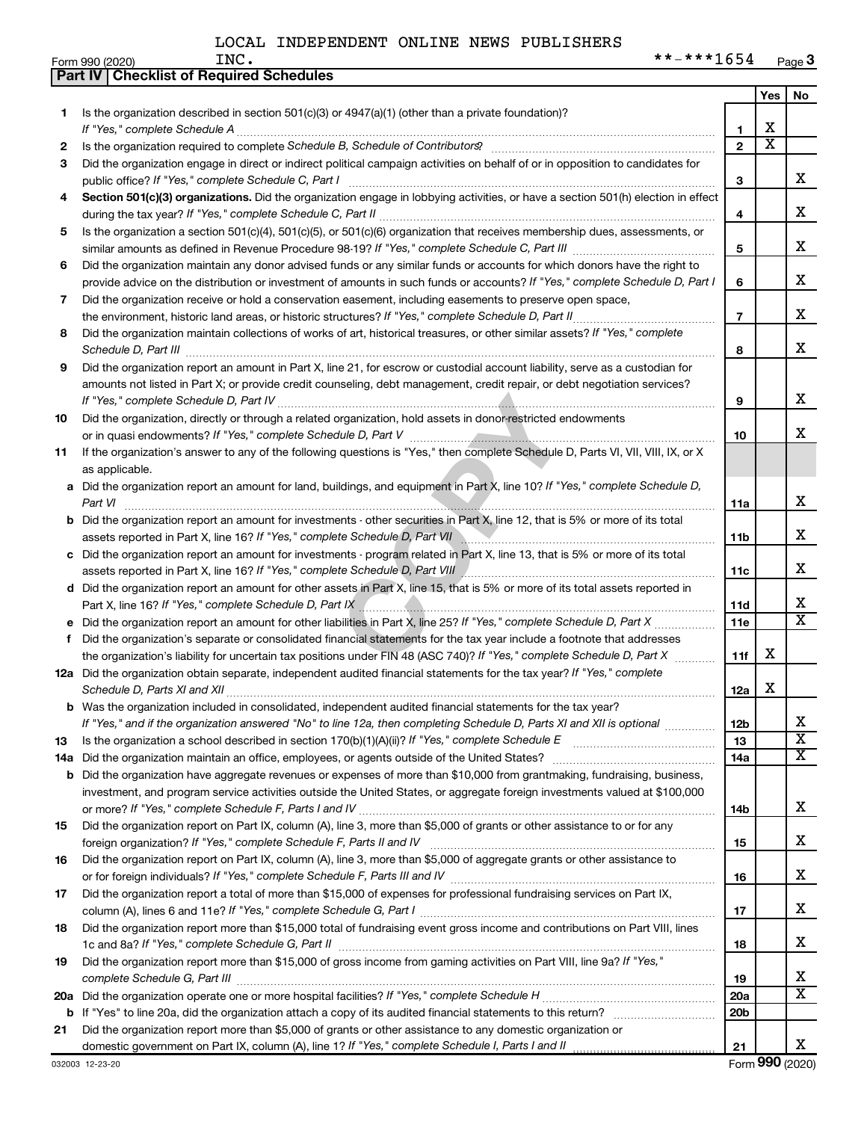Form 990 (2020) Page **3** INC.  $***-1654$ 

|     | Part IV   Checklist of Required Schedules                                                                                                                                                                                                              |                 |                         |                              |
|-----|--------------------------------------------------------------------------------------------------------------------------------------------------------------------------------------------------------------------------------------------------------|-----------------|-------------------------|------------------------------|
|     |                                                                                                                                                                                                                                                        |                 | Yes                     | No                           |
| 1.  | Is the organization described in section $501(c)(3)$ or $4947(a)(1)$ (other than a private foundation)?                                                                                                                                                |                 |                         |                              |
|     | If "Yes," complete Schedule A                                                                                                                                                                                                                          | 1               | х                       |                              |
| 2   | Is the organization required to complete Schedule B, Schedule of Contributors? [11] [12] the organization required to complete Schedule B, Schedule of Contributors?                                                                                   | $\overline{2}$  | $\overline{\mathtt{x}}$ |                              |
| 3   | Did the organization engage in direct or indirect political campaign activities on behalf of or in opposition to candidates for                                                                                                                        |                 |                         |                              |
|     |                                                                                                                                                                                                                                                        | 3               |                         | х                            |
| 4   | Section 501(c)(3) organizations. Did the organization engage in lobbying activities, or have a section 501(h) election in effect                                                                                                                       |                 |                         |                              |
|     |                                                                                                                                                                                                                                                        | 4               |                         | x                            |
| 5   | Is the organization a section 501(c)(4), 501(c)(5), or 501(c)(6) organization that receives membership dues, assessments, or                                                                                                                           |                 |                         |                              |
|     |                                                                                                                                                                                                                                                        |                 |                         | x                            |
| 6   | Did the organization maintain any donor advised funds or any similar funds or accounts for which donors have the right to                                                                                                                              | 5               |                         |                              |
|     | provide advice on the distribution or investment of amounts in such funds or accounts? If "Yes," complete Schedule D, Part I                                                                                                                           | 6               |                         | х                            |
| 7   | Did the organization receive or hold a conservation easement, including easements to preserve open space,                                                                                                                                              |                 |                         |                              |
|     | the environment, historic land areas, or historic structures? If "Yes," complete Schedule D, Part II                                                                                                                                                   | $\overline{7}$  |                         | x                            |
| 8   | Did the organization maintain collections of works of art, historical treasures, or other similar assets? If "Yes," complete                                                                                                                           |                 |                         |                              |
|     |                                                                                                                                                                                                                                                        | 8               |                         | x                            |
| 9   | Schedule D, Part III <b>Entertainment and Constantino Constructs</b> of the Constantino Construction and Construction<br>Did the organization report an amount in Part X, line 21, for escrow or custodial account liability, serve as a custodian for |                 |                         |                              |
|     | amounts not listed in Part X; or provide credit counseling, debt management, credit repair, or debt negotiation services?                                                                                                                              |                 |                         |                              |
|     |                                                                                                                                                                                                                                                        | 9               |                         | х                            |
| 10  | Did the organization, directly or through a related organization, hold assets in donor-restricted endowments                                                                                                                                           |                 |                         |                              |
|     |                                                                                                                                                                                                                                                        | 10              |                         | x                            |
|     |                                                                                                                                                                                                                                                        |                 |                         |                              |
| 11  | If the organization's answer to any of the following questions is "Yes," then complete Schedule D, Parts VI, VII, VIII, IX, or X                                                                                                                       |                 |                         |                              |
|     | as applicable.                                                                                                                                                                                                                                         |                 |                         |                              |
| а   | Did the organization report an amount for land, buildings, and equipment in Part X, line 10? If "Yes," complete Schedule D,                                                                                                                            |                 |                         | x                            |
|     | Part VI                                                                                                                                                                                                                                                | 11a             |                         |                              |
| b   | Did the organization report an amount for investments - other securities in Part X, line 12, that is 5% or more of its total                                                                                                                           |                 |                         | х                            |
|     | assets reported in Part X, line 16? If "Yes," complete Schedule D, Part VII                                                                                                                                                                            | 11b             |                         |                              |
| с   | Did the organization report an amount for investments - program related in Part X, line 13, that is 5% or more of its total                                                                                                                            |                 |                         | х                            |
|     | assets reported in Part X, line 16? If "Yes," complete Schedule D, Part VIII                                                                                                                                                                           | 11c             |                         |                              |
| d   | Did the organization report an amount for other assets in Part X, line 15, that is 5% or more of its total assets reported in                                                                                                                          |                 |                         |                              |
|     |                                                                                                                                                                                                                                                        | 11d             |                         | x<br>$\overline{\texttt{x}}$ |
|     | Did the organization report an amount for other liabilities in Part X, line 25? If "Yes," complete Schedule D, Part X                                                                                                                                  | 11e             |                         |                              |
| f   | Did the organization's separate or consolidated financial statements for the tax year include a footnote that addresses                                                                                                                                |                 |                         |                              |
|     | the organization's liability for uncertain tax positions under FIN 48 (ASC 740)? If "Yes," complete Schedule D, Part X                                                                                                                                 | 11f             | х                       |                              |
|     | 12a Did the organization obtain separate, independent audited financial statements for the tax year? If "Yes," complete                                                                                                                                |                 |                         |                              |
|     |                                                                                                                                                                                                                                                        | 12a             | х                       |                              |
|     | Was the organization included in consolidated, independent audited financial statements for the tax year?                                                                                                                                              |                 |                         |                              |
|     | If "Yes," and if the organization answered "No" to line 12a, then completing Schedule D, Parts XI and XII is optional                                                                                                                                  | 12b             |                         | х                            |
| 13  |                                                                                                                                                                                                                                                        | 13              |                         | $\overline{\textbf{x}}$      |
| 14a | Did the organization maintain an office, employees, or agents outside of the United States?                                                                                                                                                            | 14a             |                         | $\overline{\text{X}}$        |
| b   | Did the organization have aggregate revenues or expenses of more than \$10,000 from grantmaking, fundraising, business,                                                                                                                                |                 |                         |                              |
|     | investment, and program service activities outside the United States, or aggregate foreign investments valued at \$100,000                                                                                                                             |                 |                         |                              |
|     |                                                                                                                                                                                                                                                        | 14b             |                         | x                            |
| 15  | Did the organization report on Part IX, column (A), line 3, more than \$5,000 of grants or other assistance to or for any                                                                                                                              |                 |                         |                              |
|     |                                                                                                                                                                                                                                                        | 15              |                         | x                            |
| 16  | Did the organization report on Part IX, column (A), line 3, more than \$5,000 of aggregate grants or other assistance to                                                                                                                               |                 |                         |                              |
|     |                                                                                                                                                                                                                                                        | 16              |                         | x                            |
| 17  | Did the organization report a total of more than \$15,000 of expenses for professional fundraising services on Part IX,                                                                                                                                |                 |                         |                              |
|     |                                                                                                                                                                                                                                                        | 17              |                         | x                            |
| 18  | Did the organization report more than \$15,000 total of fundraising event gross income and contributions on Part VIII, lines                                                                                                                           |                 |                         |                              |
|     |                                                                                                                                                                                                                                                        | 18              |                         | x                            |
| 19  | Did the organization report more than \$15,000 of gross income from gaming activities on Part VIII, line 9a? If "Yes,"                                                                                                                                 |                 |                         |                              |
|     |                                                                                                                                                                                                                                                        | 19              |                         | x                            |
| 20a |                                                                                                                                                                                                                                                        | 20a             |                         | $\overline{\texttt{x}}$      |
| b   |                                                                                                                                                                                                                                                        | 20 <sub>b</sub> |                         |                              |
| 21  | Did the organization report more than \$5,000 of grants or other assistance to any domestic organization or                                                                                                                                            |                 |                         |                              |
|     | domestic government on Part IX, column (A), line 1? If "Yes," complete Schedule I, Parts I and II                                                                                                                                                      | 21              |                         | X.                           |

Form (2020) **990**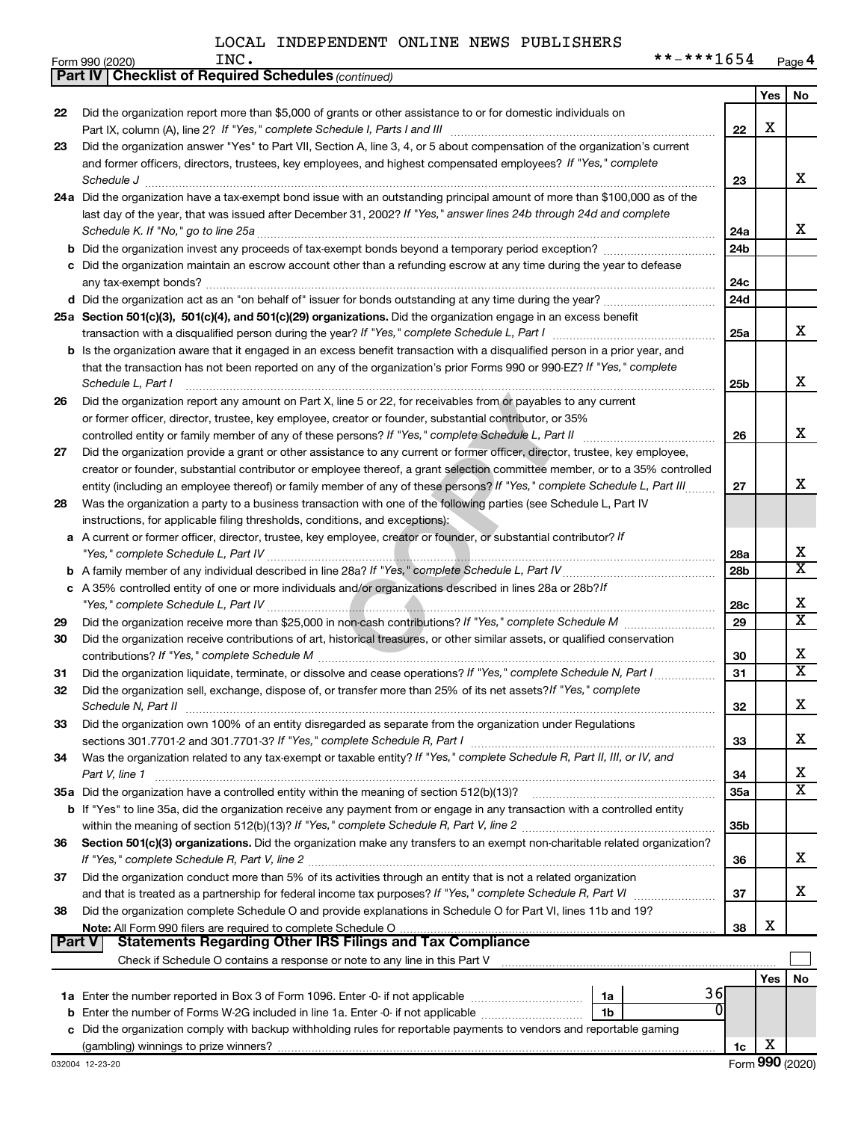|               |                                                                                                                                     |                 | Yes | No.                     |
|---------------|-------------------------------------------------------------------------------------------------------------------------------------|-----------------|-----|-------------------------|
| 22            | Did the organization report more than \$5,000 of grants or other assistance to or for domestic individuals on                       |                 |     |                         |
|               |                                                                                                                                     | 22              | X   |                         |
| 23            | Did the organization answer "Yes" to Part VII, Section A, line 3, 4, or 5 about compensation of the organization's current          |                 |     |                         |
|               | and former officers, directors, trustees, key employees, and highest compensated employees? If "Yes," complete                      |                 |     |                         |
|               | Schedule J <b>Execute Schedule Schedule Schedule Schedule</b> J <b>Execute Schedule J Execute Schedule J</b>                        | 23              |     | x                       |
|               | 24a Did the organization have a tax-exempt bond issue with an outstanding principal amount of more than \$100,000 as of the         |                 |     |                         |
|               | last day of the year, that was issued after December 31, 2002? If "Yes," answer lines 24b through 24d and complete                  |                 |     |                         |
|               |                                                                                                                                     | 24a             |     | х                       |
|               |                                                                                                                                     | 24 <sub>b</sub> |     |                         |
|               | c Did the organization maintain an escrow account other than a refunding escrow at any time during the year to defease              |                 |     |                         |
|               |                                                                                                                                     | 24c             |     |                         |
|               |                                                                                                                                     | 24d             |     |                         |
|               | 25a Section 501(c)(3), 501(c)(4), and 501(c)(29) organizations. Did the organization engage in an excess benefit                    |                 |     |                         |
|               |                                                                                                                                     | 25a             |     | x                       |
|               | <b>b</b> Is the organization aware that it engaged in an excess benefit transaction with a disqualified person in a prior year, and |                 |     |                         |
|               | that the transaction has not been reported on any of the organization's prior Forms 990 or 990-EZ? If "Yes," complete               |                 |     |                         |
|               | Schedule L, Part I                                                                                                                  | 25b             |     | х                       |
| 26            | Did the organization report any amount on Part X, line 5 or 22, for receivables from or payables to any current                     |                 |     |                         |
|               | or former officer, director, trustee, key employee, creator or founder, substantial contributor, or 35%                             |                 |     |                         |
|               |                                                                                                                                     | 26              |     | х                       |
| 27            | Did the organization provide a grant or other assistance to any current or former officer, director, trustee, key employee,         |                 |     |                         |
|               | creator or founder, substantial contributor or employee thereof, a grant selection committee member, or to a 35% controlled         |                 |     |                         |
|               | entity (including an employee thereof) or family member of any of these persons? If "Yes," complete Schedule L, Part III            | 27              |     | x                       |
| 28            | Was the organization a party to a business transaction with one of the following parties (see Schedule L, Part IV                   |                 |     |                         |
|               | instructions, for applicable filing thresholds, conditions, and exceptions):                                                        |                 |     |                         |
| а             | A current or former officer, director, trustee, key employee, creator or founder, or substantial contributor? If                    |                 |     | х                       |
|               |                                                                                                                                     | 28a             |     | $\overline{\text{X}}$   |
|               | c A 35% controlled entity of one or more individuals and/or organizations described in lines 28a or 28b?/f                          | 28b             |     |                         |
|               |                                                                                                                                     | 28c             |     | х                       |
| 29            |                                                                                                                                     | 29              |     | $\overline{\text{x}}$   |
| 30            | Did the organization receive contributions of art, historical treasures, or other similar assets, or qualified conservation         |                 |     |                         |
|               |                                                                                                                                     | 30              |     | х                       |
| 31            | Did the organization liquidate, terminate, or dissolve and cease operations? If "Yes," complete Schedule N, Part I                  | 31              |     | X                       |
| 32            | Did the organization sell, exchange, dispose of, or transfer more than 25% of its net assets? If "Yes," complete                    |                 |     |                         |
|               | Schedule N, Part II <b>Markov Markov Alexander Alexander Alexander Alexander Alexander Alexander Alexander Alexander</b>            | 32              |     | х                       |
| 33            | Did the organization own 100% of an entity disregarded as separate from the organization under Regulations                          |                 |     |                         |
|               |                                                                                                                                     | 33              |     | x                       |
| 34            | Was the organization related to any tax-exempt or taxable entity? If "Yes," complete Schedule R, Part II, III, or IV, and           |                 |     |                         |
|               | Part V, line 1                                                                                                                      | 34              |     | х                       |
|               | 35a Did the organization have a controlled entity within the meaning of section 512(b)(13)?                                         | 35a             |     | $\overline{\textbf{X}}$ |
|               | b If "Yes" to line 35a, did the organization receive any payment from or engage in any transaction with a controlled entity         |                 |     |                         |
|               |                                                                                                                                     | 35 <sub>b</sub> |     |                         |
| 36            | Section 501(c)(3) organizations. Did the organization make any transfers to an exempt non-charitable related organization?          |                 |     |                         |
|               |                                                                                                                                     | 36              |     | x                       |
| 37            | Did the organization conduct more than 5% of its activities through an entity that is not a related organization                    |                 |     |                         |
|               |                                                                                                                                     | 37              |     | x                       |
| 38            | Did the organization complete Schedule O and provide explanations in Schedule O for Part VI, lines 11b and 19?                      |                 |     |                         |
|               |                                                                                                                                     | 38              | х   |                         |
| <b>Part V</b> |                                                                                                                                     |                 |     |                         |
|               |                                                                                                                                     |                 |     |                         |
|               |                                                                                                                                     |                 | Yes | No                      |
|               | 36<br>1a                                                                                                                            |                 |     |                         |
|               | b Enter the number of Forms W-2G included in line 1a. Enter -0- if not applicable<br>1b                                             |                 |     |                         |
|               | c Did the organization comply with backup withholding rules for reportable payments to vendors and reportable gaming                |                 |     |                         |

(gambling) winnings to prize winners?

**1c**

*(continued)* **Part IV Checklist of Required Schedules**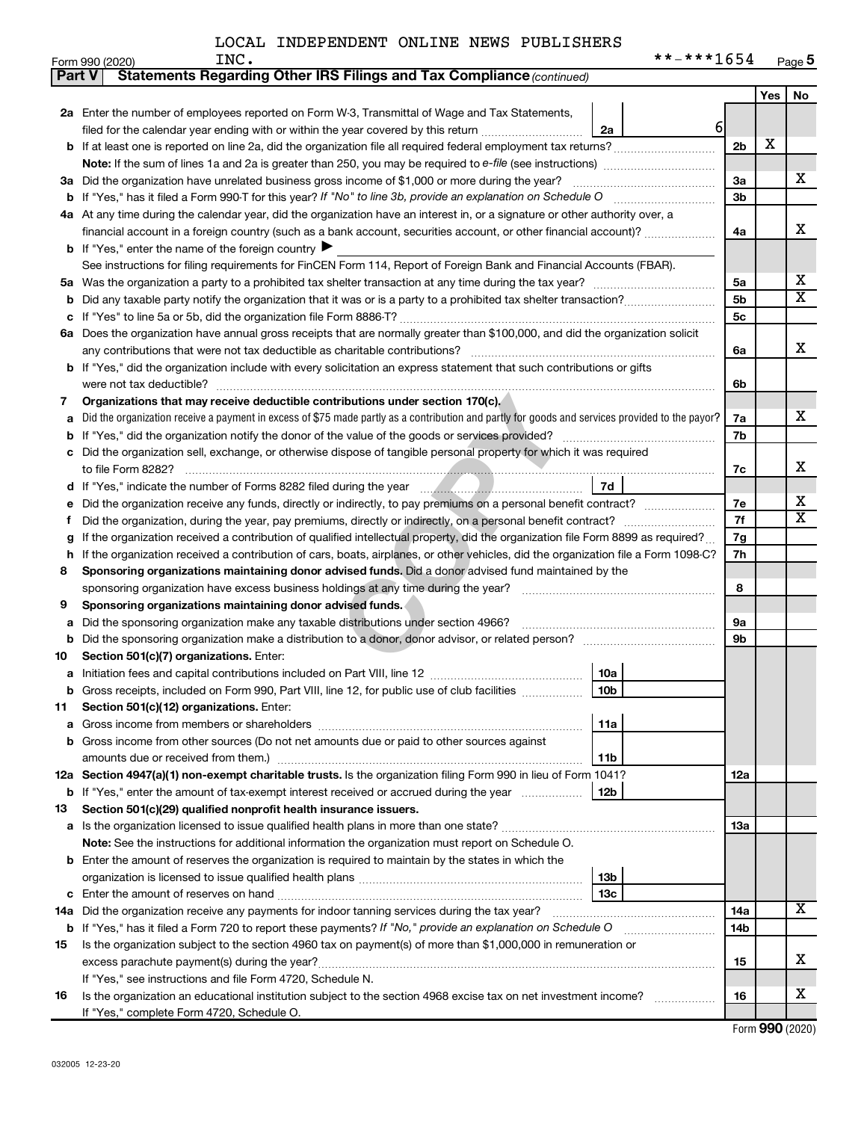|  |  |  |  | **-***1654 |  | Page 5 |
|--|--|--|--|------------|--|--------|
|--|--|--|--|------------|--|--------|

|               | **-***1654<br>INC.<br>Form 990 (2020)                                                                                                           |                |     | $Page$ 5                |
|---------------|-------------------------------------------------------------------------------------------------------------------------------------------------|----------------|-----|-------------------------|
| <b>Part V</b> | Statements Regarding Other IRS Filings and Tax Compliance (continued)                                                                           |                |     |                         |
|               |                                                                                                                                                 |                | Yes | No                      |
|               | 2a Enter the number of employees reported on Form W-3, Transmittal of Wage and Tax Statements,                                                  |                |     |                         |
|               | filed for the calendar year ending with or within the year covered by this return<br>2a                                                         | $6 \mid$       |     |                         |
| b             |                                                                                                                                                 | 2 <sub>b</sub> | Х   |                         |
|               |                                                                                                                                                 |                |     |                         |
|               | Did the organization have unrelated business gross income of \$1,000 or more during the year?                                                   | За             |     | х                       |
| За            |                                                                                                                                                 | 3b             |     |                         |
| b             |                                                                                                                                                 |                |     |                         |
|               | 4a At any time during the calendar year, did the organization have an interest in, or a signature or other authority over, a                    |                |     | X                       |
|               | financial account in a foreign country (such as a bank account, securities account, or other financial account)?                                | 4a             |     |                         |
|               | <b>b</b> If "Yes," enter the name of the foreign country $\blacktriangleright$                                                                  |                |     |                         |
|               | See instructions for filing requirements for FinCEN Form 114, Report of Foreign Bank and Financial Accounts (FBAR).                             |                |     |                         |
| 5a            |                                                                                                                                                 | 5a             |     | х                       |
| b             |                                                                                                                                                 | 5 <sub>b</sub> |     | $\overline{\texttt{X}}$ |
| с             |                                                                                                                                                 | 5c             |     |                         |
|               | 6a Does the organization have annual gross receipts that are normally greater than \$100,000, and did the organization solicit                  |                |     |                         |
|               |                                                                                                                                                 | 6a             |     | х                       |
| b             | If "Yes," did the organization include with every solicitation an express statement that such contributions or gifts                            |                |     |                         |
|               | were not tax deductible?                                                                                                                        | 6b             |     |                         |
| 7             | Organizations that may receive deductible contributions under section 170(c).                                                                   |                |     |                         |
| a             | Did the organization receive a payment in excess of \$75 made partly as a contribution and partly for goods and services provided to the payor? | 7a             |     | x                       |
| b             |                                                                                                                                                 | 7b             |     |                         |
| с             | Did the organization sell, exchange, or otherwise dispose of tangible personal property for which it was required                               |                |     |                         |
|               |                                                                                                                                                 | 7c             |     | х                       |
| d             | 7d                                                                                                                                              |                |     |                         |
| е             | Did the organization receive any funds, directly or indirectly, to pay premiums on a personal benefit contract?                                 | 7e             |     | х                       |
| Ť             | Did the organization, during the year, pay premiums, directly or indirectly, on a personal benefit contract?                                    | 7f             |     | x                       |
| g             | If the organization received a contribution of qualified intellectual property, did the organization file Form 8899 as required?                | 7g             |     |                         |
| h             | If the organization received a contribution of cars, boats, airplanes, or other vehicles, did the organization file a Form 1098-C?              | 7h             |     |                         |
| 8             | Sponsoring organizations maintaining donor advised funds. Did a donor advised fund maintained by the                                            |                |     |                         |
|               | sponsoring organization have excess business holdings at any time during the year?                                                              | 8              |     |                         |
| 9             | Sponsoring organizations maintaining donor advised funds.                                                                                       |                |     |                         |
| а             | Did the sponsoring organization make any taxable distributions under section 4966?                                                              | 9а             |     |                         |
| b             |                                                                                                                                                 | 9b             |     |                         |
| 10            | Section 501(c)(7) organizations. Enter:                                                                                                         |                |     |                         |
|               | 10a<br>Initiation fees and capital contributions included on Part VIII, line 12 [111] [11] [12] [11] [12] [11] [12] [                           |                |     |                         |
|               | 10 <sub>b</sub><br>Gross receipts, included on Form 990, Part VIII, line 12, for public use of club facilities                                  |                |     |                         |
|               |                                                                                                                                                 |                |     |                         |
| 11            | Section 501(c)(12) organizations. Enter:                                                                                                        |                |     |                         |
| а             | 11a                                                                                                                                             |                |     |                         |
| b             | Gross income from other sources (Do not net amounts due or paid to other sources against                                                        |                |     |                         |
|               | 11b                                                                                                                                             |                |     |                         |
|               | 12a Section 4947(a)(1) non-exempt charitable trusts. Is the organization filing Form 990 in lieu of Form 1041?                                  | 12a            |     |                         |
|               | 12b<br><b>b</b> If "Yes," enter the amount of tax-exempt interest received or accrued during the year                                           |                |     |                         |
| 13            | Section 501(c)(29) qualified nonprofit health insurance issuers.                                                                                |                |     |                         |
| а             | Is the organization licensed to issue qualified health plans in more than one state?                                                            | 13a            |     |                         |
|               | Note: See the instructions for additional information the organization must report on Schedule O.                                               |                |     |                         |
| b             | Enter the amount of reserves the organization is required to maintain by the states in which the                                                |                |     |                         |
|               | 13 <sub>b</sub>                                                                                                                                 |                |     |                         |
| с             | 13 <sub>c</sub>                                                                                                                                 |                |     |                         |
| 14a           | Did the organization receive any payments for indoor tanning services during the tax year?                                                      | 14a            |     | x                       |
|               | <b>b</b> If "Yes," has it filed a Form 720 to report these payments? If "No," provide an explanation on Schedule O                              | 14b            |     |                         |
| 15            | Is the organization subject to the section 4960 tax on payment(s) of more than \$1,000,000 in remuneration or                                   |                |     |                         |
|               | excess parachute payment(s) during the year?                                                                                                    | 15             |     | x                       |
|               | If "Yes," see instructions and file Form 4720, Schedule N.                                                                                      |                |     |                         |
| 16            | Is the organization an educational institution subject to the section 4968 excise tax on net investment income?                                 | 16             |     | х                       |
|               | If "Yes," complete Form 4720, Schedule O.                                                                                                       |                |     |                         |

Form (2020) **990**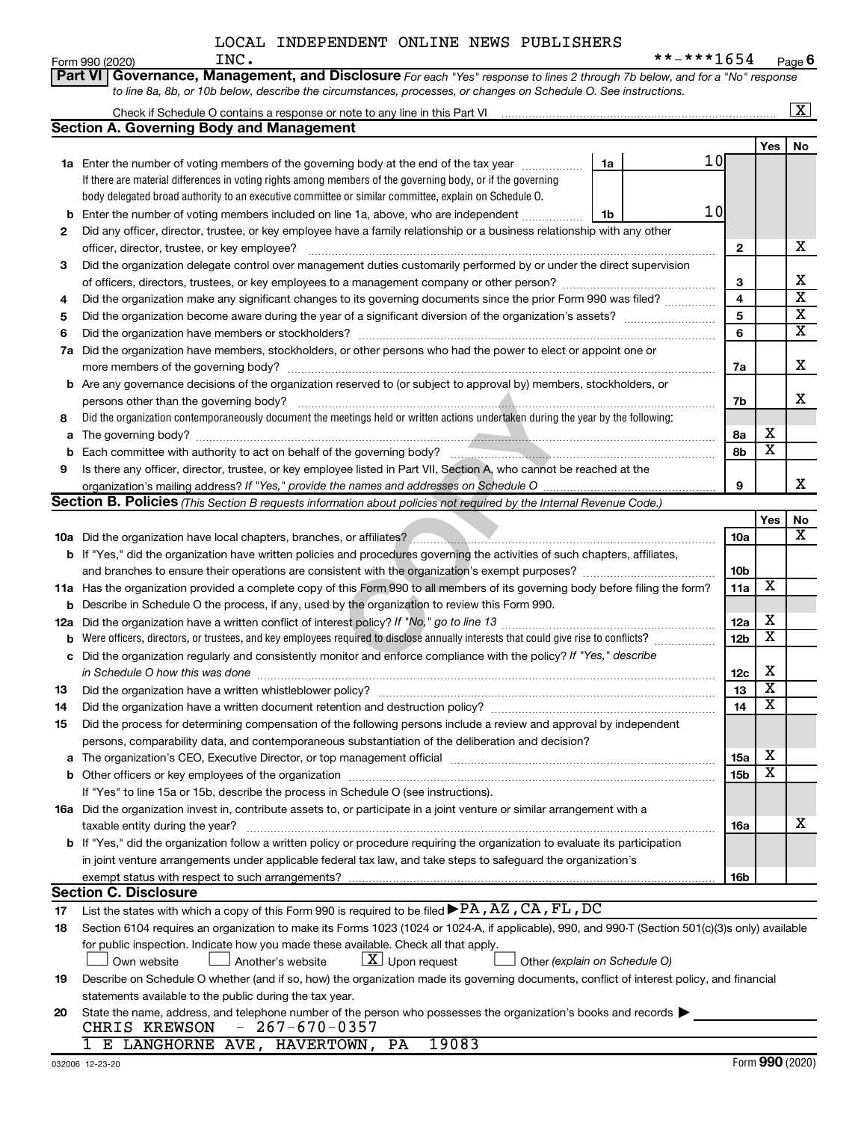|     | Part VI<br>Governance, Management, and Disclosure For each "Yes" response to lines 2 through 7b below, and for a "No" response                                                                                                |                 |                         |                         |
|-----|-------------------------------------------------------------------------------------------------------------------------------------------------------------------------------------------------------------------------------|-----------------|-------------------------|-------------------------|
|     | to line 8a, 8b, or 10b below, describe the circumstances, processes, or changes on Schedule O. See instructions.                                                                                                              |                 |                         |                         |
|     |                                                                                                                                                                                                                               |                 |                         | $\overline{\mathbf{x}}$ |
|     | <b>Section A. Governing Body and Management</b>                                                                                                                                                                               |                 |                         |                         |
|     | 10                                                                                                                                                                                                                            |                 | Yes                     | No                      |
|     | 1a Enter the number of voting members of the governing body at the end of the tax year <i>manumum</i><br>1a<br>If there are material differences in voting rights among members of the governing body, or if the governing    |                 |                         |                         |
|     | body delegated broad authority to an executive committee or similar committee, explain on Schedule O.                                                                                                                         |                 |                         |                         |
| b   | 10<br>Enter the number of voting members included on line 1a, above, who are independent<br>1b                                                                                                                                |                 |                         |                         |
| 2   | Did any officer, director, trustee, or key employee have a family relationship or a business relationship with any other                                                                                                      |                 |                         |                         |
|     | officer, director, trustee, or key employee?                                                                                                                                                                                  | 2               |                         | х                       |
| 3   | Did the organization delegate control over management duties customarily performed by or under the direct supervision                                                                                                         |                 |                         |                         |
|     |                                                                                                                                                                                                                               | 3               |                         | x                       |
| 4   | Did the organization make any significant changes to its governing documents since the prior Form 990 was filed?                                                                                                              | 4               |                         | $\overline{\textbf{x}}$ |
| 5   |                                                                                                                                                                                                                               | 5               |                         | $\overline{\textbf{x}}$ |
| 6   | Did the organization have members or stockholders?                                                                                                                                                                            | 6               |                         | $\overline{\mathtt{x}}$ |
| 7a  | Did the organization have members, stockholders, or other persons who had the power to elect or appoint one or                                                                                                                |                 |                         |                         |
|     | more members of the governing body?                                                                                                                                                                                           | 7a              |                         | x                       |
| b   | Are any governance decisions of the organization reserved to (or subject to approval by) members, stockholders, or                                                                                                            |                 |                         |                         |
|     | persons other than the governing body?                                                                                                                                                                                        | 7b              |                         | x                       |
| 8   | Did the organization contemporaneously document the meetings held or written actions undertaken during the year by the following:                                                                                             |                 |                         |                         |
| a   |                                                                                                                                                                                                                               | 8а              | х                       |                         |
| b   |                                                                                                                                                                                                                               | 8b              | $\overline{\textbf{x}}$ |                         |
| 9   | Is there any officer, director, trustee, or key employee listed in Part VII, Section A, who cannot be reached at the                                                                                                          |                 |                         |                         |
|     |                                                                                                                                                                                                                               | 9               |                         | X.                      |
|     | Section B. Policies (This Section B requests information about policies not required by the Internal Revenue Code.)                                                                                                           |                 | Yes                     | No                      |
|     |                                                                                                                                                                                                                               | 10a             |                         | x                       |
|     | b If "Yes," did the organization have written policies and procedures governing the activities of such chapters, affiliates,                                                                                                  |                 |                         |                         |
|     |                                                                                                                                                                                                                               | 10 <sub>b</sub> |                         |                         |
|     | 11a Has the organization provided a complete copy of this Form 990 to all members of its governing body before filing the form?                                                                                               | 11a             | X                       |                         |
| b   | Describe in Schedule O the process, if any, used by the organization to review this Form 990.                                                                                                                                 |                 |                         |                         |
| 12a |                                                                                                                                                                                                                               | 12a             | х                       |                         |
| b   | Were officers, directors, or trustees, and key employees required to disclose annually interests that could give rise to conflicts?                                                                                           | 12 <sub>b</sub> | $\overline{\textbf{x}}$ |                         |
| с   | Did the organization regularly and consistently monitor and enforce compliance with the policy? If "Yes," describe                                                                                                            |                 |                         |                         |
|     | in Schedule O how this was done manufactured and contain an account of the state of the state of the state of                                                                                                                 | 12c             | х                       |                         |
| 13  | Did the organization have a written whistleblower policy?                                                                                                                                                                     | 13              | $\overline{\mathbf{x}}$ |                         |
| 14  | Did the organization have a written document retention and destruction policy? [11] manufaction manufaction in                                                                                                                | 14              | $\overline{\mathtt{x}}$ |                         |
| 15  | Did the process for determining compensation of the following persons include a review and approval by independent                                                                                                            |                 |                         |                         |
|     | persons, comparability data, and contemporaneous substantiation of the deliberation and decision?                                                                                                                             |                 | х                       |                         |
| a   | The organization's CEO, Executive Director, or top management official manufactured content of the organization's CEO, Executive Director, or top management official manufactured and the state of the state of the state of | 15a             | $\overline{\texttt{x}}$ |                         |
| b   | If "Yes" to line 15a or 15b, describe the process in Schedule O (see instructions).                                                                                                                                           | 15 <sub>b</sub> |                         |                         |
|     | 16a Did the organization invest in, contribute assets to, or participate in a joint venture or similar arrangement with a                                                                                                     |                 |                         |                         |
|     | taxable entity during the year?                                                                                                                                                                                               | 16a             |                         | x                       |
|     | b If "Yes," did the organization follow a written policy or procedure requiring the organization to evaluate its participation                                                                                                |                 |                         |                         |
|     | in joint venture arrangements under applicable federal tax law, and take steps to safeguard the organization's                                                                                                                |                 |                         |                         |
|     | exempt status with respect to such arrangements?                                                                                                                                                                              | 16b             |                         |                         |
|     | <b>Section C. Disclosure</b>                                                                                                                                                                                                  |                 |                         |                         |
| 17  | List the states with which a copy of this Form 990 is required to be filed $\blacktriangleright$ PA, AZ, CA, FL, DC                                                                                                           |                 |                         |                         |
| 18  | Section 6104 requires an organization to make its Forms 1023 (1024 or 1024-A, if applicable), 990, and 990-T (Section 501(c)(3)s only) available                                                                              |                 |                         |                         |
|     | for public inspection. Indicate how you made these available. Check all that apply.                                                                                                                                           |                 |                         |                         |
|     | $\lfloor \underline{X} \rfloor$ Upon request<br>Other (explain on Schedule O)<br>Another's website<br>Own website                                                                                                             |                 |                         |                         |
| 19  | Describe on Schedule O whether (and if so, how) the organization made its governing documents, conflict of interest policy, and financial                                                                                     |                 |                         |                         |
|     | statements available to the public during the tax year.                                                                                                                                                                       |                 |                         |                         |
| 20  | State the name, address, and telephone number of the person who possesses the organization's books and records<br>$-267-670-0357$<br>CHRIS KREWSON                                                                            |                 |                         |                         |
|     | 1 E LANGHORNE AVE, HAVERTOWN, PA<br>19083                                                                                                                                                                                     |                 |                         |                         |
|     |                                                                                                                                                                                                                               |                 |                         |                         |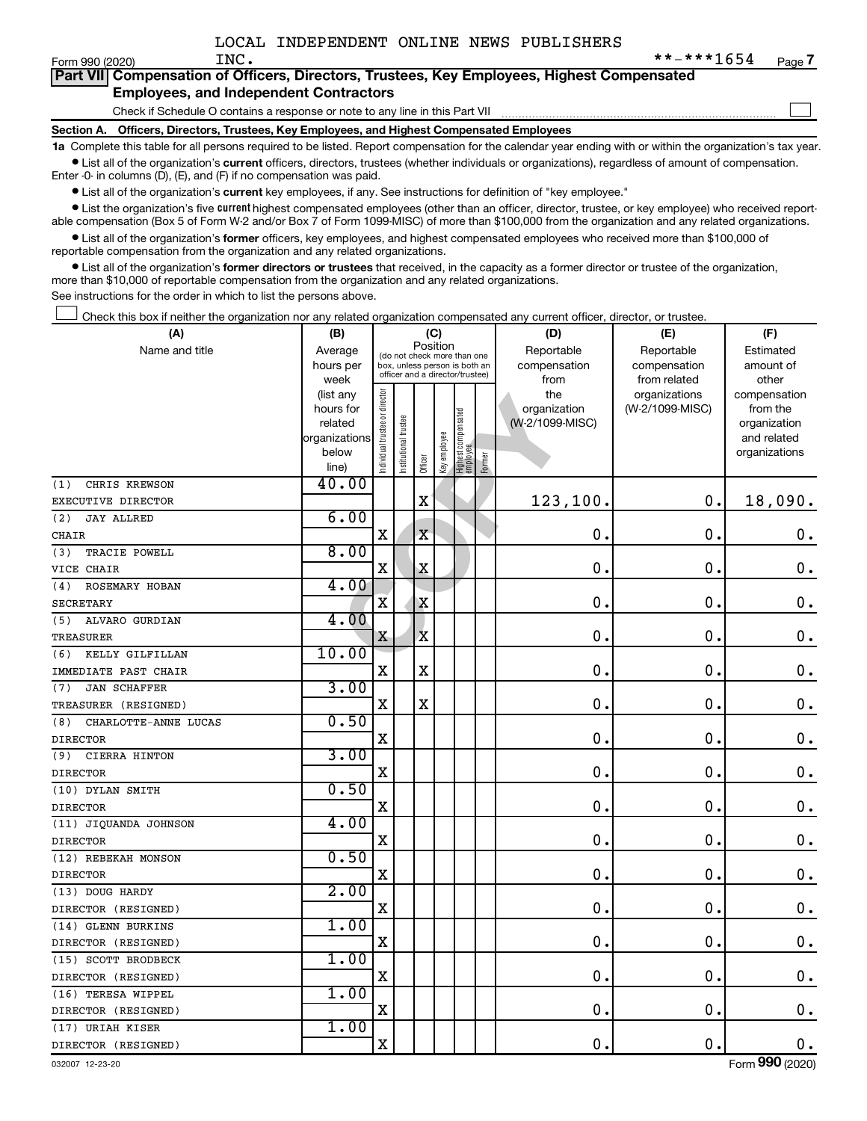$\Box$ 

| Form 990 (2020) |  | INC. |  |  | **-***1654                                                                                 | Page |
|-----------------|--|------|--|--|--------------------------------------------------------------------------------------------|------|
|                 |  |      |  |  | Part VII Compensation of Officers, Directors, Trustees, Key Employees, Highest Compensated |      |
|                 |  |      |  |  |                                                                                            |      |

#### **Employees, and Independent Contractors**

Check if Schedule O contains a response or note to any line in this Part VII

**Section A. Officers, Directors, Trustees, Key Employees, and Highest Compensated Employees**

**1a**  Complete this table for all persons required to be listed. Report compensation for the calendar year ending with or within the organization's tax year.  $\bullet$  List all of the organization's current officers, directors, trustees (whether individuals or organizations), regardless of amount of compensation.

Enter -0- in columns (D), (E), and (F) if no compensation was paid.

**•** List all of the organization's current key employees, if any. See instructions for definition of "key employee."

**•** List the organization's five *current* highest compensated employees (other than an officer, director, trustee, or key employee) who received reportable compensation (Box 5 of Form W-2 and/or Box 7 of Form 1099-MISC) of more than \$100,000 from the organization and any related organizations.

 $\bullet$  List all of the organization's former officers, key employees, and highest compensated employees who received more than \$100,000 of reportable compensation from the organization and any related organizations.

**•** List all of the organization's former directors or trustees that received, in the capacity as a former director or trustee of the organization, more than \$10,000 of reportable compensation from the organization and any related organizations.

See instructions for the order in which to list the persons above.

Check this box if neither the organization nor any related organization compensated any current officer, director, or trustee.  $\Box$ 

| (A)                         | (B)               |                                |                       | (C)                                                              |             |                                 |        | (D)             | (E)                           | (F)                   |
|-----------------------------|-------------------|--------------------------------|-----------------------|------------------------------------------------------------------|-------------|---------------------------------|--------|-----------------|-------------------------------|-----------------------|
| Name and title              | Average           |                                |                       | Position<br>(do not check more than one                          |             |                                 |        | Reportable      | Reportable                    | Estimated             |
|                             | hours per         |                                |                       | box, unless person is both an<br>officer and a director/trustee) |             |                                 |        | compensation    | compensation                  | amount of             |
|                             | week<br>(list any |                                |                       |                                                                  |             |                                 |        | from<br>the     | from related<br>organizations | other<br>compensation |
|                             | hours for         |                                |                       |                                                                  |             |                                 |        | organization    | (W-2/1099-MISC)               | from the              |
|                             | related           |                                |                       |                                                                  |             |                                 |        | (W-2/1099-MISC) |                               | organization          |
|                             | organizations     |                                |                       |                                                                  |             |                                 |        |                 |                               | and related           |
|                             | below             | Individual trustee or director | Institutional trustee |                                                                  | Keyemployee | Highest compensated<br>employee |        |                 |                               | organizations         |
|                             | line)             |                                |                       | Officer                                                          |             |                                 | Former |                 |                               |                       |
| CHRIS KREWSON<br>(1)        | 40.00             |                                |                       |                                                                  |             |                                 |        |                 |                               |                       |
| EXECUTIVE DIRECTOR          |                   |                                |                       | $\rm X$                                                          |             |                                 |        | 123,100.        | $\mathbf 0$ .                 | 18,090.               |
| (2)<br><b>JAY ALLRED</b>    | 6.00              |                                |                       |                                                                  |             |                                 |        |                 |                               |                       |
| CHAIR                       |                   | $\mathbf X$                    |                       | $\mathbf X$                                                      |             |                                 |        | $\mathbf 0$ .   | $\mathbf 0$ .                 | $\mathbf 0$ .         |
| TRACIE POWELL<br>(3)        | 8.00              |                                |                       |                                                                  |             |                                 |        |                 |                               |                       |
| VICE CHAIR                  |                   | X                              |                       | $\mathbf X$                                                      |             |                                 |        | $\mathbf 0$ .   | $\mathbf 0$ .                 | $\mathbf 0$ .         |
| ROSEMARY HOBAN<br>(4)       | 4.00              |                                |                       |                                                                  |             |                                 |        |                 |                               |                       |
| <b>SECRETARY</b>            |                   | $\overline{\mathbf{X}}$        |                       | X                                                                |             |                                 |        | $\mathbf 0$ .   | $\mathbf 0$ .                 | $\mathbf 0$ .         |
| ALVARO GURDIAN<br>(5)       | 4.00              |                                |                       |                                                                  |             |                                 |        |                 |                               |                       |
| TREASURER                   |                   | X                              |                       | X                                                                |             |                                 |        | 0.              | $\mathbf 0$ .                 | $\boldsymbol{0}$ .    |
| (6)<br>KELLY GILFILLAN      | 10.00             |                                |                       |                                                                  |             |                                 |        |                 |                               |                       |
| IMMEDIATE PAST CHAIR        |                   | X                              |                       | X                                                                |             |                                 |        | $\mathbf 0$     | $\mathbf 0$ .                 | $\mathbf 0$ .         |
| <b>JAN SCHAFFER</b><br>(7)  | 3.00              |                                |                       |                                                                  |             |                                 |        |                 |                               |                       |
| TREASURER (RESIGNED)        |                   | X                              |                       | $\rm X$                                                          |             |                                 |        | $\mathbf 0$     | $\mathbf 0$                   | $\mathbf 0$ .         |
| CHARLOTTE-ANNE LUCAS<br>(8) | 0.50              |                                |                       |                                                                  |             |                                 |        |                 |                               |                       |
| <b>DIRECTOR</b>             |                   | $\mathbf X$                    |                       |                                                                  |             |                                 |        | $\mathbf 0$     | $\mathbf 0$ .                 | $\mathbf 0$ .         |
| (9)<br>CIERRA HINTON        | 3.00              |                                |                       |                                                                  |             |                                 |        |                 |                               |                       |
| <b>DIRECTOR</b>             |                   | $\mathbf X$                    |                       |                                                                  |             |                                 |        | 0               | $\mathbf 0$ .                 | $\mathbf 0$ .         |
| (10) DYLAN SMITH            | 0.50              |                                |                       |                                                                  |             |                                 |        |                 |                               |                       |
| <b>DIRECTOR</b>             |                   | X                              |                       |                                                                  |             |                                 |        | $\mathbf 0$     | $\mathbf 0$ .                 | $\mathbf 0$ .         |
| (11) JIQUANDA JOHNSON       | 4.00              |                                |                       |                                                                  |             |                                 |        |                 |                               |                       |
| <b>DIRECTOR</b>             |                   | X                              |                       |                                                                  |             |                                 |        | 0               | 0.                            | $\mathbf 0$ .         |
| (12) REBEKAH MONSON         | 0.50              |                                |                       |                                                                  |             |                                 |        |                 |                               |                       |
| <b>DIRECTOR</b>             |                   | $\mathbf X$                    |                       |                                                                  |             |                                 |        | $\mathbf 0$     | $\mathbf 0$ .                 | $\mathbf 0$ .         |
| (13) DOUG HARDY             | 2.00              |                                |                       |                                                                  |             |                                 |        |                 |                               |                       |
| DIRECTOR (RESIGNED)         |                   | X                              |                       |                                                                  |             |                                 |        | $\mathbf 0$     | $\mathbf 0$ .                 | $\boldsymbol{0}$ .    |
| (14) GLENN BURKINS          | 1.00              |                                |                       |                                                                  |             |                                 |        |                 |                               |                       |
| DIRECTOR (RESIGNED)         |                   | $\mathbf X$                    |                       |                                                                  |             |                                 |        | 0               | $\mathbf 0$ .                 | 0.                    |
| (15) SCOTT BRODBECK         | 1.00              |                                |                       |                                                                  |             |                                 |        |                 |                               |                       |
| DIRECTOR (RESIGNED)         |                   | $\mathbf X$                    |                       |                                                                  |             |                                 |        | $\mathbf 0$ .   | $\mathbf 0$ .                 | $\mathbf 0$ .         |
| (16) TERESA WIPPEL          | 1.00              |                                |                       |                                                                  |             |                                 |        |                 |                               |                       |
| DIRECTOR (RESIGNED)         |                   | $\mathbf X$                    |                       |                                                                  |             |                                 |        | 0.              | $\mathbf 0$ .                 | $\mathbf 0$ .         |
| (17) URIAH KISER            | 1.00              |                                |                       |                                                                  |             |                                 |        |                 |                               |                       |
| DIRECTOR (RESIGNED)         |                   | X                              |                       |                                                                  |             |                                 |        | 0.              | $\mathbf 0$ .                 | $\mathbf 0$ .         |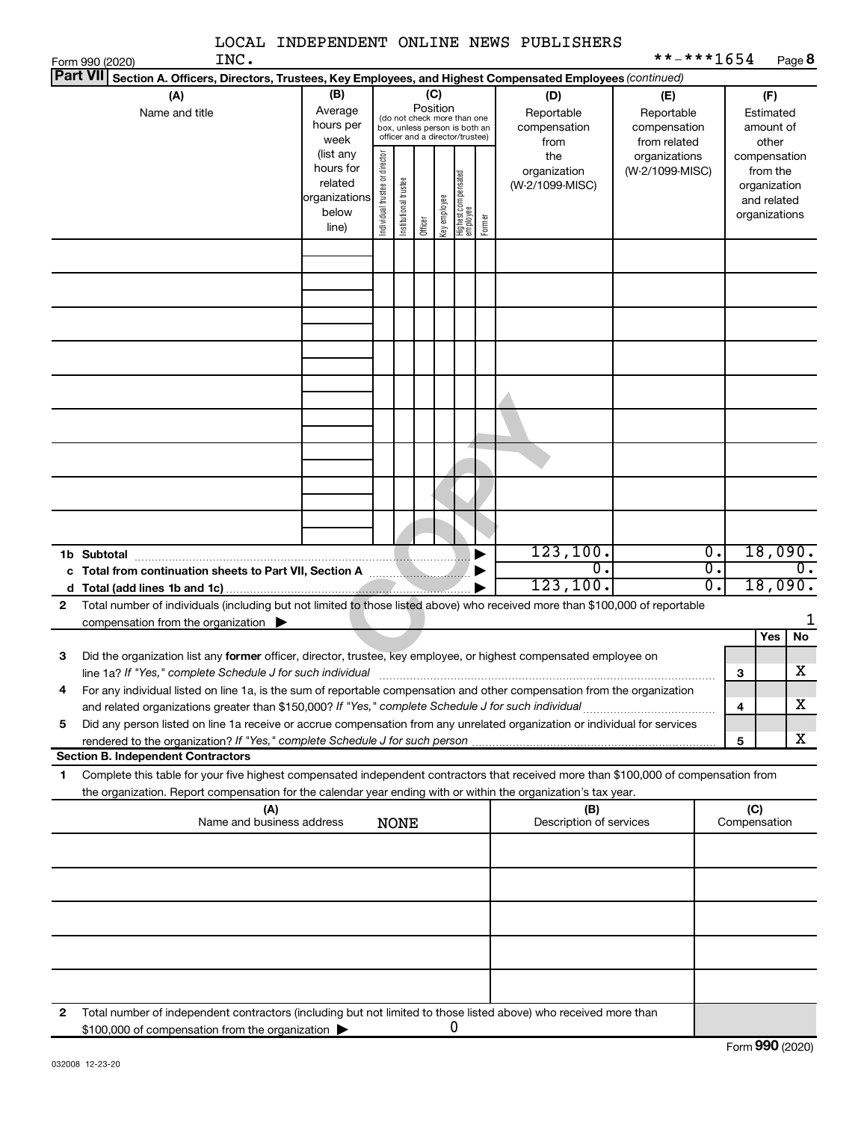|                                                                                                                                                      |                          |                                |                       |                                                              |              |                                 |        | LOCAL INDEPENDENT ONLINE NEWS PUBLISHERS | **-***1654      |                  |              |                              |        |
|------------------------------------------------------------------------------------------------------------------------------------------------------|--------------------------|--------------------------------|-----------------------|--------------------------------------------------------------|--------------|---------------------------------|--------|------------------------------------------|-----------------|------------------|--------------|------------------------------|--------|
| INC.<br>Form 990 (2020)<br><b>Part VII</b><br>Section A. Officers, Directors, Trustees, Key Employees, and Highest Compensated Employees (continued) |                          |                                |                       |                                                              |              |                                 |        |                                          |                 |                  |              |                              | Page 8 |
| (A)                                                                                                                                                  | (B)                      |                                |                       |                                                              | (C)          |                                 |        | (D)                                      | (E)             |                  |              | (F)                          |        |
| Name and title                                                                                                                                       | Average                  |                                |                       | Position                                                     |              |                                 |        | Reportable                               | Reportable      |                  |              | Estimated                    |        |
|                                                                                                                                                      | hours per                |                                |                       | (do not check more than one<br>box, unless person is both an |              |                                 |        | compensation                             | compensation    |                  |              | amount of                    |        |
|                                                                                                                                                      | week                     |                                |                       | officer and a director/trustee)                              |              |                                 |        | from                                     | from related    |                  |              | other                        |        |
|                                                                                                                                                      | (list any                |                                |                       |                                                              |              |                                 |        | the                                      | organizations   |                  |              | compensation                 |        |
|                                                                                                                                                      | hours for                |                                |                       |                                                              |              |                                 |        | organization                             | (W-2/1099-MISC) |                  |              | from the                     |        |
|                                                                                                                                                      | related<br>organizations |                                |                       |                                                              |              |                                 |        | (W-2/1099-MISC)                          |                 |                  |              | organization                 |        |
|                                                                                                                                                      | below                    | Individual trustee or director | Institutional trustee |                                                              | key employee | Highest compensated<br>employee |        |                                          |                 |                  |              | and related<br>organizations |        |
|                                                                                                                                                      | line)                    |                                |                       | Officer                                                      |              |                                 | Former |                                          |                 |                  |              |                              |        |
|                                                                                                                                                      |                          |                                |                       |                                                              |              |                                 |        |                                          |                 |                  |              |                              |        |
|                                                                                                                                                      |                          |                                |                       |                                                              |              |                                 |        |                                          |                 |                  |              |                              |        |
|                                                                                                                                                      |                          |                                |                       |                                                              |              |                                 |        |                                          |                 |                  |              |                              |        |
|                                                                                                                                                      |                          |                                |                       |                                                              |              |                                 |        |                                          |                 |                  |              |                              |        |
|                                                                                                                                                      |                          |                                |                       |                                                              |              |                                 |        |                                          |                 |                  |              |                              |        |
|                                                                                                                                                      |                          |                                |                       |                                                              |              |                                 |        |                                          |                 |                  |              |                              |        |
|                                                                                                                                                      |                          |                                |                       |                                                              |              |                                 |        |                                          |                 |                  |              |                              |        |
|                                                                                                                                                      |                          |                                |                       |                                                              |              |                                 |        |                                          |                 |                  |              |                              |        |
|                                                                                                                                                      |                          |                                |                       |                                                              |              |                                 |        |                                          |                 |                  |              |                              |        |
|                                                                                                                                                      |                          |                                |                       |                                                              |              |                                 |        |                                          |                 |                  |              |                              |        |
|                                                                                                                                                      |                          |                                |                       |                                                              |              |                                 |        |                                          |                 |                  |              |                              |        |
|                                                                                                                                                      |                          |                                |                       |                                                              |              |                                 |        |                                          |                 |                  |              |                              |        |
|                                                                                                                                                      |                          |                                |                       |                                                              |              |                                 |        |                                          |                 |                  |              |                              |        |
|                                                                                                                                                      |                          |                                |                       |                                                              |              |                                 |        |                                          |                 |                  |              |                              |        |
|                                                                                                                                                      |                          |                                |                       |                                                              |              |                                 |        |                                          |                 |                  |              |                              |        |
|                                                                                                                                                      |                          |                                |                       |                                                              |              |                                 |        |                                          |                 |                  |              |                              |        |
|                                                                                                                                                      |                          |                                |                       |                                                              |              |                                 |        |                                          |                 |                  |              |                              |        |
|                                                                                                                                                      |                          |                                |                       |                                                              |              |                                 |        |                                          |                 |                  |              |                              |        |
|                                                                                                                                                      |                          |                                |                       |                                                              |              |                                 |        | 123, 100.                                |                 | $\overline{0}$ . |              | 18,090.                      |        |
| Total from continuation sheets to Part VII, Section A manuscription<br>c                                                                             |                          |                                |                       |                                                              |              |                                 |        | 0.                                       |                 | σ.               |              |                              | 0.     |
|                                                                                                                                                      |                          |                                |                       |                                                              |              |                                 |        | 123, 100.                                |                 | σ.               |              | 18,090.                      |        |
| Total number of individuals (including but not limited to those listed above) who received more than \$100,000 of reportable<br>$\mathbf{2}$         |                          |                                |                       |                                                              |              |                                 |        |                                          |                 |                  |              |                              |        |
| compensation from the organization $\blacktriangleright$                                                                                             |                          |                                |                       |                                                              |              |                                 |        |                                          |                 |                  |              |                              |        |
|                                                                                                                                                      |                          |                                |                       |                                                              |              |                                 |        |                                          |                 |                  |              | Yes                          | No     |
| Did the organization list any former officer, director, trustee, key employee, or highest compensated employee on<br>3                               |                          |                                |                       |                                                              |              |                                 |        |                                          |                 |                  |              |                              |        |
| line 1a? If "Yes," complete Schedule J for such individual [11] manufacture manufacture 1a? If "Yes," complete Schedule J for such individual        |                          |                                |                       |                                                              |              |                                 |        |                                          |                 |                  | 3            |                              | х      |
| For any individual listed on line 1a, is the sum of reportable compensation and other compensation from the organization<br>4                        |                          |                                |                       |                                                              |              |                                 |        |                                          |                 |                  |              |                              |        |
|                                                                                                                                                      |                          |                                |                       |                                                              |              |                                 |        |                                          |                 |                  | 4            |                              | х      |
| Did any person listed on line 1a receive or accrue compensation from any unrelated organization or individual for services<br>5                      |                          |                                |                       |                                                              |              |                                 |        |                                          |                 |                  |              |                              |        |
|                                                                                                                                                      |                          |                                |                       |                                                              |              |                                 |        |                                          |                 |                  | 5            |                              | х      |
| <b>Section B. Independent Contractors</b>                                                                                                            |                          |                                |                       |                                                              |              |                                 |        |                                          |                 |                  |              |                              |        |
| Complete this table for your five highest compensated independent contractors that received more than \$100,000 of compensation from<br>1            |                          |                                |                       |                                                              |              |                                 |        |                                          |                 |                  |              |                              |        |
| the organization. Report compensation for the calendar year ending with or within the organization's tax year.                                       |                          |                                |                       |                                                              |              |                                 |        |                                          |                 |                  |              |                              |        |
| (A)                                                                                                                                                  |                          |                                |                       |                                                              |              |                                 |        | (B)                                      |                 |                  | (C)          |                              |        |
| Name and business address                                                                                                                            |                          |                                | <b>NONE</b>           |                                                              |              |                                 |        | Description of services                  |                 |                  | Compensation |                              |        |
|                                                                                                                                                      |                          |                                |                       |                                                              |              |                                 |        |                                          |                 |                  |              |                              |        |
|                                                                                                                                                      |                          |                                |                       |                                                              |              |                                 |        |                                          |                 |                  |              |                              |        |
|                                                                                                                                                      |                          |                                |                       |                                                              |              |                                 |        |                                          |                 |                  |              |                              |        |
|                                                                                                                                                      |                          |                                |                       |                                                              |              |                                 |        |                                          |                 |                  |              |                              |        |
|                                                                                                                                                      |                          |                                |                       |                                                              |              |                                 |        |                                          |                 |                  |              |                              |        |
|                                                                                                                                                      |                          |                                |                       |                                                              |              |                                 |        |                                          |                 |                  |              |                              |        |
|                                                                                                                                                      |                          |                                |                       |                                                              |              |                                 |        |                                          |                 |                  |              |                              |        |
|                                                                                                                                                      |                          |                                |                       |                                                              |              |                                 |        |                                          |                 |                  |              |                              |        |
|                                                                                                                                                      |                          |                                |                       |                                                              |              |                                 |        |                                          |                 |                  |              |                              |        |
|                                                                                                                                                      |                          |                                |                       |                                                              |              |                                 |        |                                          |                 |                  |              |                              |        |
| 2<br>Total number of independent contractors (including but not limited to those listed above) who received more than                                |                          |                                |                       |                                                              |              |                                 |        |                                          |                 |                  |              |                              |        |
| \$100,000 of compensation from the organization                                                                                                      |                          |                                |                       |                                                              |              | 0                               |        |                                          |                 |                  |              |                              |        |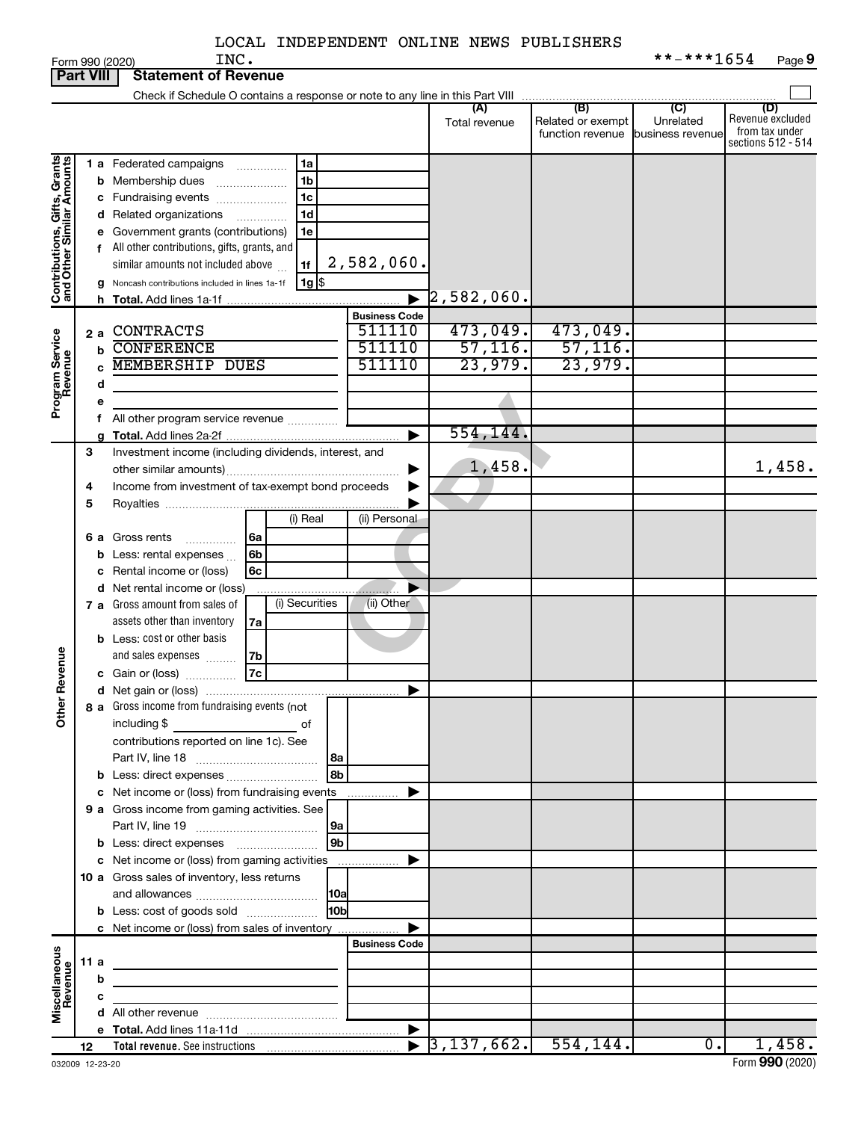|                              |      |    | INC.<br>Form 990 (2020)                                                                                                |                       |                     |                   | **-***1654                 | Page 9             |
|------------------------------|------|----|------------------------------------------------------------------------------------------------------------------------|-----------------------|---------------------|-------------------|----------------------------|--------------------|
| <b>Part VIII</b>             |      |    | <b>Statement of Revenue</b>                                                                                            |                       |                     |                   |                            |                    |
|                              |      |    | Check if Schedule O contains a response or note to any line in this Part VIII                                          |                       |                     |                   |                            |                    |
|                              |      |    |                                                                                                                        |                       | (A)                 | (B)               | $\overline{C}$             | (D)                |
|                              |      |    |                                                                                                                        |                       | Total revenue       | Related or exempt | Unrelated                  | Revenue excluded   |
|                              |      |    |                                                                                                                        |                       |                     | function revenue  | business revenue           | from tax under     |
|                              |      |    |                                                                                                                        |                       |                     |                   |                            | sections 512 - 514 |
| Contributions, Gifts, Grants |      |    | <b>1 a</b> Federated campaigns<br>1a<br>.                                                                              |                       |                     |                   |                            |                    |
|                              |      | b  | 1 <sub>b</sub><br>Membership dues                                                                                      |                       |                     |                   |                            |                    |
|                              |      |    | 1 <sub>c</sub><br>c Fundraising events                                                                                 |                       |                     |                   |                            |                    |
|                              |      |    | 1 <sub>d</sub><br>d Related organizations<br>.                                                                         |                       |                     |                   |                            |                    |
|                              |      |    |                                                                                                                        |                       |                     |                   |                            |                    |
|                              |      |    | e Government grants (contributions)<br>1e                                                                              |                       |                     |                   |                            |                    |
|                              |      |    | f All other contributions, gifts, grants, and                                                                          |                       |                     |                   |                            |                    |
|                              |      |    | 1f<br>similar amounts not included above                                                                               | 2,582,060.            |                     |                   |                            |                    |
|                              |      | a  | $1g$ s<br>Noncash contributions included in lines 1a-1f                                                                |                       |                     |                   |                            |                    |
|                              |      | h. |                                                                                                                        | ь                     | $\rceil$ 2,582,060. |                   |                            |                    |
|                              |      |    |                                                                                                                        | <b>Business Code</b>  |                     |                   |                            |                    |
|                              | 2 a  |    | <b>CONTRACTS</b>                                                                                                       | 511110                | 473,049.            | 473,049.          |                            |                    |
| Program Service<br>Revenue   |      |    | <b>CONFERENCE</b>                                                                                                      | 511110                | 57, 116.            | 57, 116.          |                            |                    |
|                              |      | b  |                                                                                                                        |                       |                     |                   |                            |                    |
|                              |      |    | <b>MEMBERSHIP DUES</b>                                                                                                 | 511110                | 23,979.             | 23,979.           |                            |                    |
|                              |      | d  |                                                                                                                        |                       |                     |                   |                            |                    |
|                              |      |    |                                                                                                                        |                       |                     |                   |                            |                    |
|                              |      |    | f All other program service revenue                                                                                    |                       |                     |                   |                            |                    |
|                              |      |    |                                                                                                                        | ь                     | 554,144.            |                   |                            |                    |
|                              |      |    |                                                                                                                        |                       |                     |                   |                            |                    |
|                              | 3    |    | Investment income (including dividends, interest, and                                                                  |                       | 1,458.              |                   |                            |                    |
|                              |      |    |                                                                                                                        |                       |                     |                   |                            | 1,458.             |
|                              | 4    |    | Income from investment of tax-exempt bond proceeds                                                                     |                       |                     |                   |                            |                    |
|                              | 5    |    |                                                                                                                        |                       |                     |                   |                            |                    |
|                              |      |    | (i) Real                                                                                                               | (ii) Personal         |                     |                   |                            |                    |
|                              |      |    | <b>6 a</b> Gross rents<br>6а<br>.                                                                                      |                       |                     |                   |                            |                    |
|                              |      |    | 6b                                                                                                                     |                       |                     |                   |                            |                    |
|                              |      | b  | Less: rental expenses                                                                                                  |                       |                     |                   |                            |                    |
|                              |      | с  | Rental income or (loss)<br>6c                                                                                          |                       |                     |                   |                            |                    |
|                              |      |    | <b>d</b> Net rental income or (loss)                                                                                   |                       |                     |                   |                            |                    |
|                              |      |    | (i) Securities<br>7 a Gross amount from sales of                                                                       | (ii) Other            |                     |                   |                            |                    |
|                              |      |    | assets other than inventory<br>7a                                                                                      |                       |                     |                   |                            |                    |
|                              |      |    | <b>b</b> Less: cost or other basis                                                                                     |                       |                     |                   |                            |                    |
|                              |      |    | and sales expenses<br>7b                                                                                               |                       |                     |                   |                            |                    |
| evenue                       |      |    |                                                                                                                        |                       |                     |                   |                            |                    |
|                              |      |    | 7c<br>c Gain or (loss)                                                                                                 |                       |                     |                   |                            |                    |
|                              |      |    |                                                                                                                        |                       |                     |                   |                            |                    |
| Other                        |      |    | 8 a Gross income from fundraising events (not                                                                          |                       |                     |                   |                            |                    |
|                              |      |    | including \$<br>of                                                                                                     |                       |                     |                   |                            |                    |
|                              |      |    | contributions reported on line 1c). See                                                                                |                       |                     |                   |                            |                    |
|                              |      |    | l8a                                                                                                                    |                       |                     |                   |                            |                    |
|                              |      |    | 8 <sub>b</sub><br><b>b</b> Less: direct expenses <i>manually contained</i>                                             |                       |                     |                   |                            |                    |
|                              |      |    |                                                                                                                        |                       |                     |                   |                            |                    |
|                              |      |    | c Net income or (loss) from fundraising events                                                                         | ▶<br>.                |                     |                   |                            |                    |
|                              |      |    | 9 a Gross income from gaming activities. See                                                                           |                       |                     |                   |                            |                    |
|                              |      |    | 9a                                                                                                                     |                       |                     |                   |                            |                    |
|                              |      |    | 9 <sub>b</sub><br><b>b</b> Less: direct expenses <b>manually</b>                                                       |                       |                     |                   |                            |                    |
|                              |      |    | c Net income or (loss) from gaming activities                                                                          | ▶<br>.                |                     |                   |                            |                    |
|                              |      |    | 10 a Gross sales of inventory, less returns                                                                            |                       |                     |                   |                            |                    |
|                              |      |    |                                                                                                                        |                       |                     |                   |                            |                    |
|                              |      |    | 10a                                                                                                                    |                       |                     |                   |                            |                    |
|                              |      |    | H <sub>0b</sub><br><b>b</b> Less: cost of goods sold                                                                   |                       |                     |                   |                            |                    |
|                              |      |    | c Net income or (loss) from sales of inventory                                                                         | ▶                     |                     |                   |                            |                    |
|                              |      |    |                                                                                                                        | <b>Business Code</b>  |                     |                   |                            |                    |
|                              | 11 a |    | the contract of the contract of the contract of the contract of                                                        |                       |                     |                   |                            |                    |
|                              |      | b  |                                                                                                                        |                       |                     |                   |                            |                    |
|                              |      |    | <u> 1980 - Johann Stein, marwolaethau a bhann an t-Albann an t-Albann an t-Albann an t-Albann an t-Albann an t-Alb</u> |                       |                     |                   |                            |                    |
| Miscellaneous<br>Revenue     |      | с  | the control of the control of the control of the                                                                       |                       |                     |                   |                            |                    |
|                              |      |    |                                                                                                                        |                       |                     |                   |                            |                    |
|                              |      |    |                                                                                                                        |                       |                     |                   |                            |                    |
|                              | 12   |    |                                                                                                                        | $\blacktriangleright$ |                     |                   | $\overline{\phantom{0}}$ . | 1,458.             |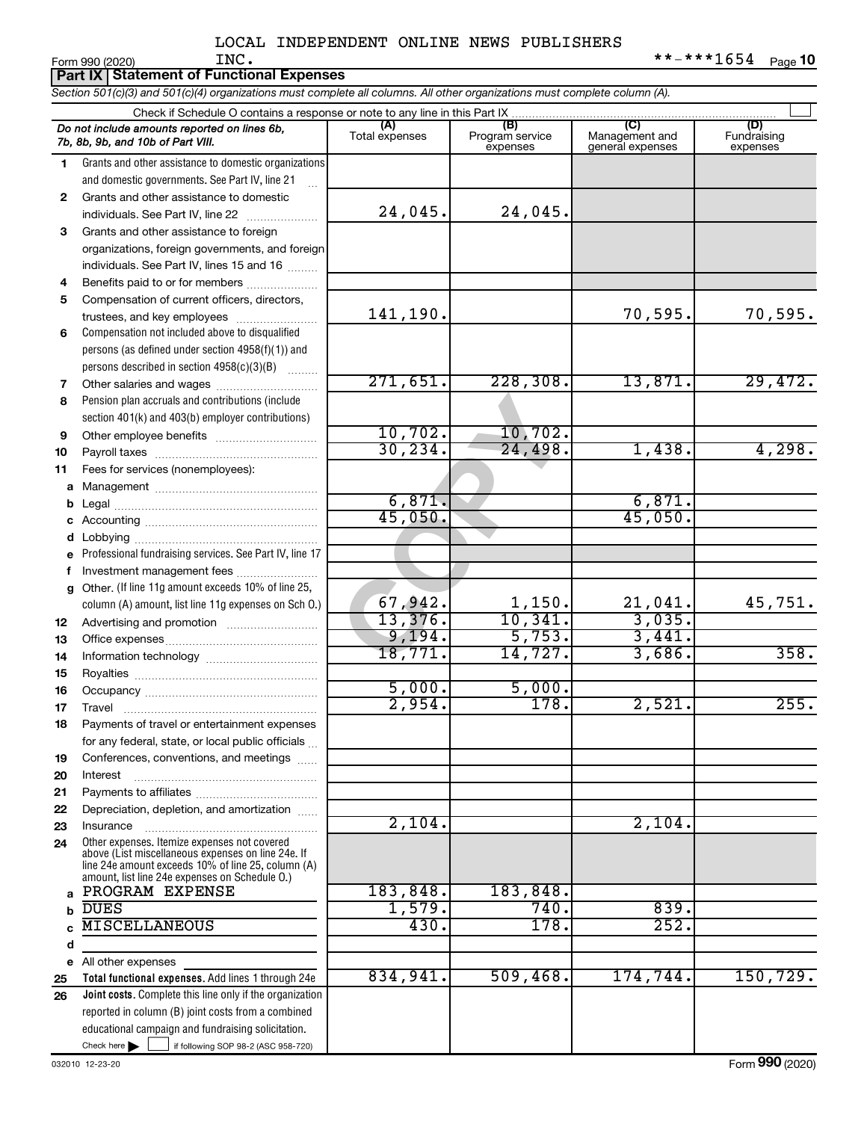|    |                                                                                                                                                          |                | LOCAL INDEPENDENT ONLINE NEWS PUBLISHERS |                        |                    |
|----|----------------------------------------------------------------------------------------------------------------------------------------------------------|----------------|------------------------------------------|------------------------|--------------------|
|    | INC.<br>Form 990 (2020)                                                                                                                                  |                |                                          |                        | **-***1654 Page 10 |
|    | Part IX   Statement of Functional Expenses                                                                                                               |                |                                          |                        |                    |
|    | Section 501(c)(3) and 501(c)(4) organizations must complete all columns. All other organizations must complete column (A).                               |                |                                          |                        |                    |
|    | Check if Schedule O contains a response or note to any line in this Part IX                                                                              |                |                                          |                        |                    |
|    | Do not include amounts reported on lines 6b,                                                                                                             | (A)            | (B)<br>Program service                   | Management and         | (D)<br>Fundraising |
|    | 7b, 8b, 9b, and 10b of Part VIII.                                                                                                                        | Total expenses | expenses                                 | general expenses       | expenses           |
| 1. | Grants and other assistance to domestic organizations                                                                                                    |                |                                          |                        |                    |
|    | and domestic governments. See Part IV, line 21                                                                                                           |                |                                          |                        |                    |
| 2  | Grants and other assistance to domestic                                                                                                                  |                |                                          |                        |                    |
|    | individuals. See Part IV, line 22                                                                                                                        | 24,045.        | 24,045.                                  |                        |                    |
| 3  | Grants and other assistance to foreign                                                                                                                   |                |                                          |                        |                    |
|    | organizations, foreign governments, and foreign                                                                                                          |                |                                          |                        |                    |
|    | individuals. See Part IV, lines 15 and 16                                                                                                                |                |                                          |                        |                    |
| 4  | Benefits paid to or for members                                                                                                                          |                |                                          |                        |                    |
| 5  | Compensation of current officers, directors,                                                                                                             |                |                                          |                        |                    |
|    | trustees, and key employees                                                                                                                              | 141,190.       |                                          | 70,595.                | 70,595.            |
| 6  | Compensation not included above to disqualified                                                                                                          |                |                                          |                        |                    |
|    | persons (as defined under section 4958(f)(1)) and                                                                                                        |                |                                          |                        |                    |
|    | persons described in section 4958(c)(3)(B)                                                                                                               |                |                                          |                        |                    |
| 7  |                                                                                                                                                          | 271,651.       | 228, 308.                                | 13,871.                | 29,472.            |
| 8  | Pension plan accruals and contributions (include                                                                                                         |                |                                          |                        |                    |
|    | section 401(k) and 403(b) employer contributions)                                                                                                        |                |                                          |                        |                    |
| 9  |                                                                                                                                                          | 10,702.        | 10,702.                                  |                        |                    |
| 10 |                                                                                                                                                          | 30, 234.       | 24,498.                                  | 1,438.                 | 4,298.             |
| 11 | Fees for services (nonemployees):                                                                                                                        |                |                                          |                        |                    |
| a  |                                                                                                                                                          |                |                                          |                        |                    |
| b  |                                                                                                                                                          | 6,871.         |                                          | 6,871.                 |                    |
| с  |                                                                                                                                                          | 45,050.        |                                          | 45,050.                |                    |
|    |                                                                                                                                                          |                |                                          |                        |                    |
| е  | Professional fundraising services. See Part IV, line 17                                                                                                  |                |                                          |                        |                    |
| f. | Investment management fees                                                                                                                               |                |                                          |                        |                    |
| g  | Other. (If line 11g amount exceeds 10% of line 25,                                                                                                       |                |                                          |                        |                    |
|    | column (A) amount, list line 11g expenses on Sch 0.)                                                                                                     | 67,942.        | $\frac{1,150}{10,341}$                   | $\frac{21,041}{3,035}$ | 45,751.            |
|    |                                                                                                                                                          | 13,376.        |                                          |                        |                    |
| 13 |                                                                                                                                                          | 9,194.         | 5,753.                                   | 3,441.                 |                    |
| 14 |                                                                                                                                                          | 18,771.        | 14,727.                                  | 3,686.                 | 358.               |
| 15 |                                                                                                                                                          |                |                                          |                        |                    |
| 16 |                                                                                                                                                          | 5,000.         | 5,000.                                   |                        |                    |
| 17 |                                                                                                                                                          | 2,954.         | 178.                                     | 2,521.                 | 255.               |
| 18 | Payments of travel or entertainment expenses                                                                                                             |                |                                          |                        |                    |
|    | for any federal, state, or local public officials                                                                                                        |                |                                          |                        |                    |
| 19 | Conferences, conventions, and meetings                                                                                                                   |                |                                          |                        |                    |
| 20 | Interest                                                                                                                                                 |                |                                          |                        |                    |
| 21 |                                                                                                                                                          |                |                                          |                        |                    |
| 22 | Depreciation, depletion, and amortization                                                                                                                |                |                                          |                        |                    |
| 23 | Insurance                                                                                                                                                | 2,104.         |                                          | 2,104.                 |                    |
| 24 | Other expenses. Itemize expenses not covered<br>above (List miscellaneous expenses on line 24e. If<br>line 24e amount exceeds 10% of line 25, column (A) |                |                                          |                        |                    |

Check here

All other expenses

**a b c d e 25 26**

Check here  $\begin{array}{c} \begin{array}{|c} \hline \end{array} \end{array}$  if following SOP 98-2 (ASC 958-720)

reported in column (B) joint costs from a combined educational campaign and fundraising solicitation.

**Total functional expenses.**  Add lines 1 through 24e **Joint costs.** Complete this line only if the organization

amount, list line 24e expenses on Schedule O.)

PROGRAM EXPENSE 183,848. 183,848.

DUES 1,579. 740. 839. MISCELLANEOUS 430. 178. 252.

Form (2020) **990**

834,941. 509,468. 174,744. 150,729.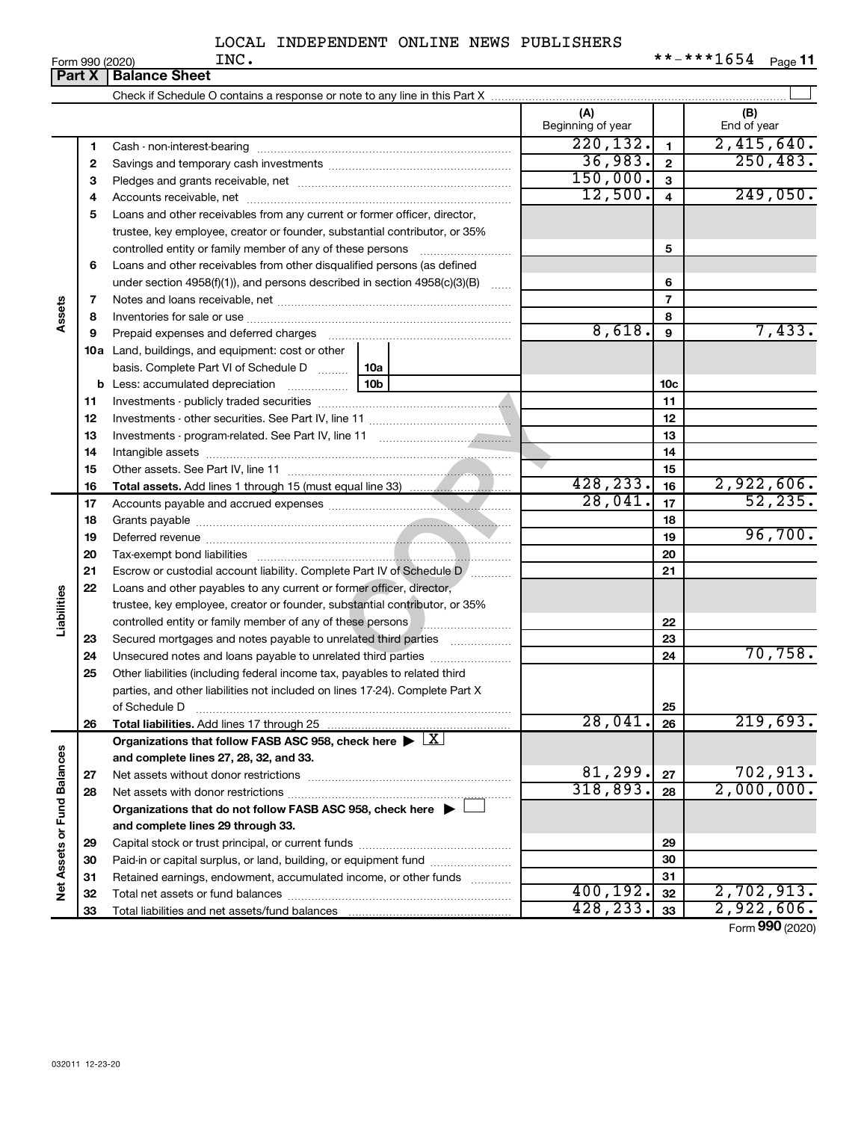|                             |          | <b>Part X   Balance Sheet</b>                                                                                                              |                          |                         |                    |
|-----------------------------|----------|--------------------------------------------------------------------------------------------------------------------------------------------|--------------------------|-------------------------|--------------------|
|                             |          |                                                                                                                                            |                          |                         |                    |
|                             |          |                                                                                                                                            | (A)<br>Beginning of year |                         | (B)<br>End of year |
|                             | 1        |                                                                                                                                            | 220, 132.                | $\mathbf{1}$            | 2,415,640.         |
|                             | 2        |                                                                                                                                            | 36,983.                  | $\overline{\mathbf{2}}$ | 250, 483.          |
|                             | 3        |                                                                                                                                            | 150,000.                 | 3                       |                    |
|                             | 4        |                                                                                                                                            | 12,500.                  | $\overline{\mathbf{4}}$ | 249,050.           |
|                             | 5        | Loans and other receivables from any current or former officer, director,                                                                  |                          |                         |                    |
|                             |          | trustee, key employee, creator or founder, substantial contributor, or 35%                                                                 |                          |                         |                    |
|                             |          | controlled entity or family member of any of these persons                                                                                 |                          | 5                       |                    |
|                             | 6        | Loans and other receivables from other disqualified persons (as defined                                                                    |                          |                         |                    |
|                             |          | under section 4958(f)(1)), and persons described in section 4958(c)(3)(B)                                                                  |                          | 6                       |                    |
|                             | 7        |                                                                                                                                            |                          | $\overline{7}$          |                    |
| Assets                      | 8        |                                                                                                                                            |                          | 8                       |                    |
|                             | 9        | Prepaid expenses and deferred charges                                                                                                      | 8,618.                   | 9                       | 7,433.             |
|                             |          | <b>10a</b> Land, buildings, and equipment: cost or other                                                                                   |                          |                         |                    |
|                             |          | basis. Complete Part VI of Schedule D    10a                                                                                               |                          |                         |                    |
|                             | b        | $\frac{1}{10b}$<br>Less: accumulated depreciation                                                                                          |                          | 10 <sub>c</sub>         |                    |
|                             | 11       |                                                                                                                                            |                          | 11                      |                    |
|                             | 12       |                                                                                                                                            |                          | 12                      |                    |
|                             | 13       |                                                                                                                                            |                          | 13                      |                    |
|                             | 14       |                                                                                                                                            |                          | 14                      |                    |
|                             | 15       |                                                                                                                                            |                          | 15                      |                    |
|                             | 16       |                                                                                                                                            | 428, 233.                | 16                      | 2,922,606.         |
|                             | 17       |                                                                                                                                            | 28,041.                  | 17                      | 52, 235.           |
|                             | 18       |                                                                                                                                            |                          | 18                      |                    |
|                             | 19       |                                                                                                                                            |                          | 19                      | 96,700.            |
|                             | 20       |                                                                                                                                            |                          | 20                      |                    |
|                             | 21       | Escrow or custodial account liability. Complete Part IV of Schedule D /                                                                    |                          | 21                      |                    |
| Liabilities                 | 22       | Loans and other payables to any current or former officer, director,                                                                       |                          |                         |                    |
|                             |          | trustee, key employee, creator or founder, substantial contributor, or 35%                                                                 |                          |                         |                    |
|                             |          |                                                                                                                                            |                          | 22                      |                    |
|                             | 23       | Secured mortgages and notes payable to unrelated third parties                                                                             |                          | 23                      | 70,758.            |
|                             | 24<br>25 | Unsecured notes and loans payable to unrelated third parties<br>Other liabilities (including federal income tax, payables to related third |                          | 24                      |                    |
|                             |          | parties, and other liabilities not included on lines 17-24). Complete Part X                                                               |                          |                         |                    |
|                             |          | of Schedule D                                                                                                                              |                          | 25                      |                    |
|                             | 26       | Total liabilities. Add lines 17 through 25                                                                                                 | 28,041                   | 26                      | 219,693.           |
|                             |          | Organizations that follow FASB ASC 958, check here $\blacktriangleright \lfloor \underline{X} \rfloor$                                     |                          |                         |                    |
|                             |          | and complete lines 27, 28, 32, and 33.                                                                                                     |                          |                         |                    |
|                             | 27       |                                                                                                                                            | 81,299.                  | 27                      | 702,913.           |
|                             | 28       |                                                                                                                                            | 318,893.                 | 28                      | 2,000,000.         |
|                             |          | Organizations that do not follow FASB ASC 958, check here $\blacktriangleright$                                                            |                          |                         |                    |
|                             |          | and complete lines 29 through 33.                                                                                                          |                          |                         |                    |
| Net Assets or Fund Balances | 29       |                                                                                                                                            |                          | 29                      |                    |
|                             | 30       | Paid-in or capital surplus, or land, building, or equipment fund                                                                           |                          | 30                      |                    |
|                             | 31       | Retained earnings, endowment, accumulated income, or other funds                                                                           |                          | 31                      |                    |
|                             | 32       |                                                                                                                                            | 400, 192.                | 32                      | 2,702,913.         |
|                             | 33       |                                                                                                                                            | 428, 233.                | 33                      | 2,922,606.         |

Form (2020) **990**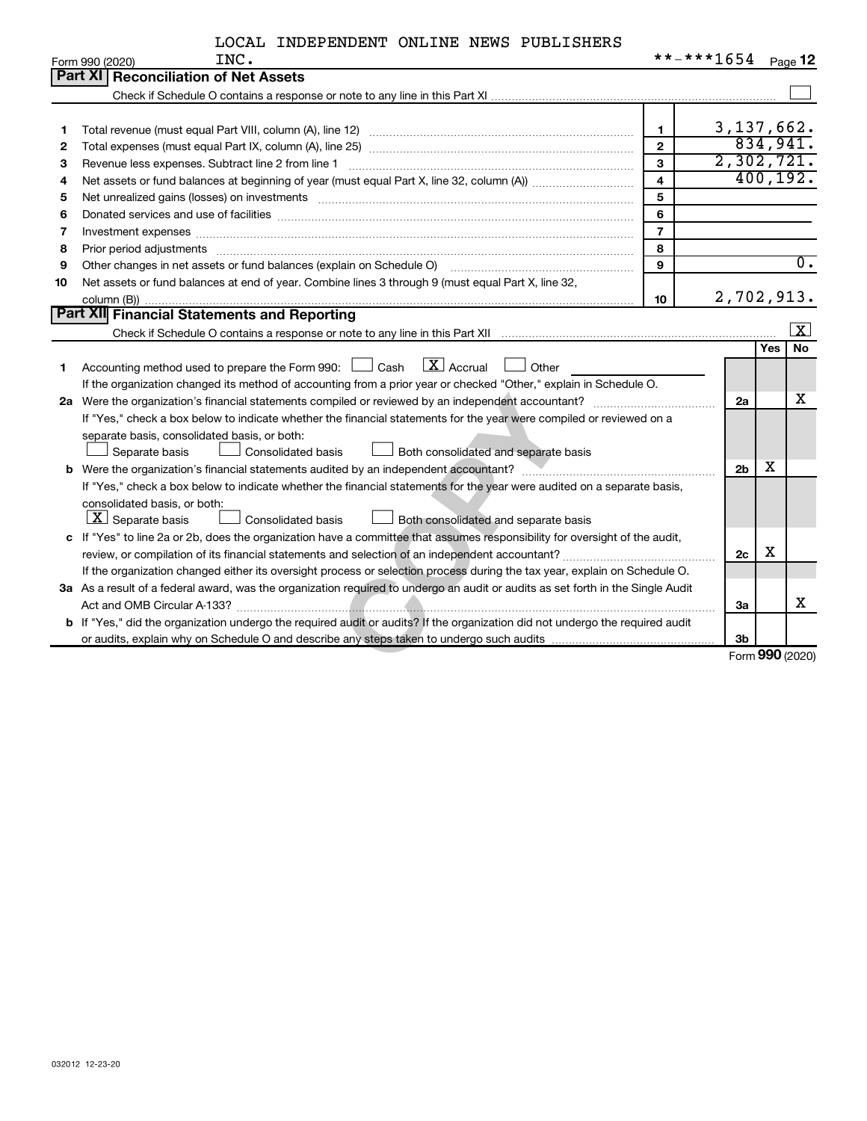| LOCAL INDEPENDENT ONLINE NEWS PUBLISHERS |  |  |  |  |  |
|------------------------------------------|--|--|--|--|--|
|------------------------------------------|--|--|--|--|--|

|    | INC.<br>Form 990 (2020)                                                                                                         | **-***1654     |                 |            | Page 12                 |
|----|---------------------------------------------------------------------------------------------------------------------------------|----------------|-----------------|------------|-------------------------|
|    | <b>Part XI Reconciliation of Net Assets</b>                                                                                     |                |                 |            |                         |
|    |                                                                                                                                 |                |                 |            |                         |
|    |                                                                                                                                 |                |                 |            |                         |
| 1  |                                                                                                                                 | $\mathbf{1}$   | 3, 137, 662.    |            |                         |
| 2  |                                                                                                                                 | $\mathbf{2}$   |                 |            | 834,941.                |
| З  |                                                                                                                                 | 3              | 2,302,721.      |            |                         |
| 4  |                                                                                                                                 | $\overline{4}$ |                 |            | 400, 192.               |
| 5  |                                                                                                                                 | 5              |                 |            |                         |
| 6  |                                                                                                                                 | 6              |                 |            |                         |
| 7  | Investment expenses www.communication.communication.com/www.communication.com/www.communication.com                             | $\overline{7}$ |                 |            |                         |
| 8  |                                                                                                                                 | 8              |                 |            |                         |
| 9  | Other changes in net assets or fund balances (explain on Schedule O)                                                            | 9              |                 |            | $\overline{0}$ .        |
| 10 | Net assets or fund balances at end of year. Combine lines 3 through 9 (must equal Part X, line 32,                              |                |                 |            |                         |
|    |                                                                                                                                 | 10             | 2,702,913.      |            |                         |
|    | Part XII Financial Statements and Reporting                                                                                     |                |                 |            |                         |
|    |                                                                                                                                 |                |                 |            | $\overline{\mathbf{x}}$ |
|    |                                                                                                                                 |                |                 | <b>Yes</b> | No                      |
| 1  | $\boxed{\mathbf{X}}$ Accrual<br>Accounting method used to prepare the Form 990: $\Box$ Cash<br>Other                            |                |                 |            |                         |
|    | If the organization changed its method of accounting from a prior year or checked "Other," explain in Schedule O.               |                |                 |            |                         |
|    |                                                                                                                                 |                | 2a              |            | x                       |
|    | If "Yes," check a box below to indicate whether the financial statements for the year were compiled or reviewed on a            |                |                 |            |                         |
|    | separate basis, consolidated basis, or both:                                                                                    |                |                 |            |                         |
|    | Separate basis<br><b>Consolidated basis</b><br>Both consolidated and separate basis                                             |                |                 |            |                         |
|    |                                                                                                                                 |                | 2 <sub>b</sub>  | x          |                         |
|    | If "Yes," check a box below to indicate whether the financial statements for the year were audited on a separate basis,         |                |                 |            |                         |
|    | consolidated basis, or both:                                                                                                    |                |                 |            |                         |
|    | $\boxed{\textbf{X}}$ Separate basis<br><b>Consolidated basis</b><br>Both consolidated and separate basis                        |                |                 |            |                         |
|    | c If "Yes" to line 2a or 2b, does the organization have a committee that assumes responsibility for oversight of the audit,     |                |                 |            |                         |
|    |                                                                                                                                 |                | 2c              | X          |                         |
|    | If the organization changed either its oversight process or selection process during the tax year, explain on Schedule O.       |                |                 |            |                         |
|    | 3a As a result of a federal award, was the organization required to undergo an audit or audits as set forth in the Single Audit |                |                 |            |                         |
|    |                                                                                                                                 |                | За              |            | х                       |
|    | b If "Yes," did the organization undergo the required audit or audits? If the organization did not undergo the required audit   |                |                 |            |                         |
|    |                                                                                                                                 |                | 3 <sub>b</sub>  |            |                         |
|    |                                                                                                                                 |                | Form 990 (2020) |            |                         |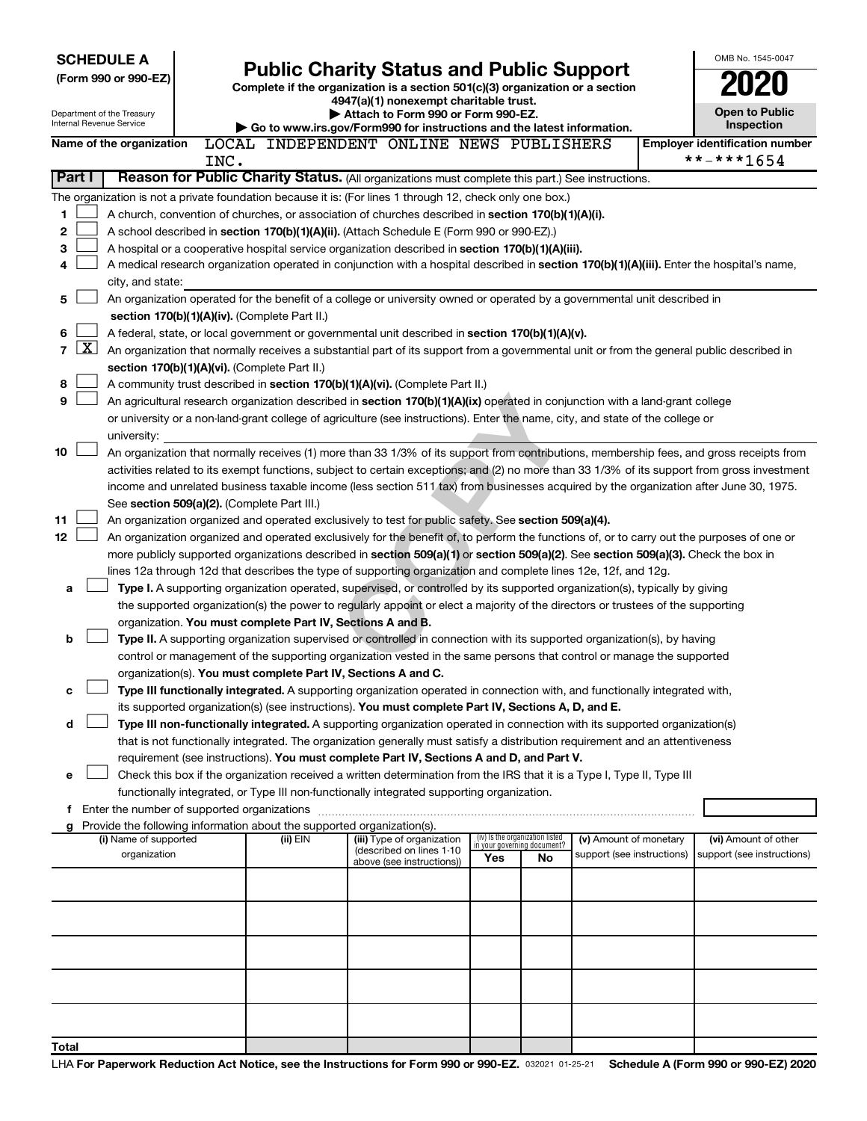|                |              | <b>SCHEDULE A</b><br>(Form 990 or 990-EZ)<br>Department of the Treasury<br>Internal Revenue Service |      |                                                                          | <b>Public Charity Status and Public Support</b><br>Complete if the organization is a section 501(c)(3) organization or a section<br>4947(a)(1) nonexempt charitable trust.<br>Attach to Form 990 or Form 990-EZ.<br>Go to www.irs.gov/Form990 for instructions and the latest information. |     |                                                                |                            | OMB No. 1545-0047<br>Open to Public<br>Inspection |  |
|----------------|--------------|-----------------------------------------------------------------------------------------------------|------|--------------------------------------------------------------------------|--------------------------------------------------------------------------------------------------------------------------------------------------------------------------------------------------------------------------------------------------------------------------------------------|-----|----------------------------------------------------------------|----------------------------|---------------------------------------------------|--|
|                |              | Name of the organization                                                                            |      |                                                                          | LOCAL INDEPENDENT ONLINE NEWS PUBLISHERS                                                                                                                                                                                                                                                   |     |                                                                |                            | <b>Employer identification number</b>             |  |
|                |              |                                                                                                     | INC. |                                                                          |                                                                                                                                                                                                                                                                                            |     |                                                                |                            | **-***1654                                        |  |
|                | Part I       |                                                                                                     |      |                                                                          | Reason for Public Charity Status. (All organizations must complete this part.) See instructions.                                                                                                                                                                                           |     |                                                                |                            |                                                   |  |
|                |              |                                                                                                     |      |                                                                          | The organization is not a private foundation because it is: (For lines 1 through 12, check only one box.)                                                                                                                                                                                  |     |                                                                |                            |                                                   |  |
| 1              |              |                                                                                                     |      |                                                                          | A church, convention of churches, or association of churches described in section 170(b)(1)(A)(i).                                                                                                                                                                                         |     |                                                                |                            |                                                   |  |
| 2              |              |                                                                                                     |      |                                                                          | A school described in section 170(b)(1)(A)(ii). (Attach Schedule E (Form 990 or 990-EZ).)                                                                                                                                                                                                  |     |                                                                |                            |                                                   |  |
| 3              |              |                                                                                                     |      |                                                                          | A hospital or a cooperative hospital service organization described in section 170(b)(1)(A)(iii).                                                                                                                                                                                          |     |                                                                |                            |                                                   |  |
| 4              |              |                                                                                                     |      |                                                                          | A medical research organization operated in conjunction with a hospital described in section 170(b)(1)(A)(iii). Enter the hospital's name,                                                                                                                                                 |     |                                                                |                            |                                                   |  |
|                |              | city, and state:                                                                                    |      |                                                                          |                                                                                                                                                                                                                                                                                            |     |                                                                |                            |                                                   |  |
| 5              |              |                                                                                                     |      |                                                                          | An organization operated for the benefit of a college or university owned or operated by a governmental unit described in                                                                                                                                                                  |     |                                                                |                            |                                                   |  |
|                |              |                                                                                                     |      | section 170(b)(1)(A)(iv). (Complete Part II.)                            |                                                                                                                                                                                                                                                                                            |     |                                                                |                            |                                                   |  |
| 6              |              |                                                                                                     |      |                                                                          | A federal, state, or local government or governmental unit described in section 170(b)(1)(A)(v).                                                                                                                                                                                           |     |                                                                |                            |                                                   |  |
| $\overline{7}$ | $\mathbf{X}$ |                                                                                                     |      |                                                                          | An organization that normally receives a substantial part of its support from a governmental unit or from the general public described in                                                                                                                                                  |     |                                                                |                            |                                                   |  |
|                |              |                                                                                                     |      | section 170(b)(1)(A)(vi). (Complete Part II.)                            |                                                                                                                                                                                                                                                                                            |     |                                                                |                            |                                                   |  |
| 8              |              |                                                                                                     |      |                                                                          | A community trust described in section 170(b)(1)(A)(vi). (Complete Part II.)                                                                                                                                                                                                               |     |                                                                |                            |                                                   |  |
| 9              |              |                                                                                                     |      |                                                                          | An agricultural research organization described in section 170(b)(1)(A)(ix) operated in conjunction with a land-grant college                                                                                                                                                              |     |                                                                |                            |                                                   |  |
|                |              |                                                                                                     |      |                                                                          | or university or a non-land-grant college of agriculture (see instructions). Enter the name, city, and state of the college or                                                                                                                                                             |     |                                                                |                            |                                                   |  |
|                |              | university:                                                                                         |      |                                                                          |                                                                                                                                                                                                                                                                                            |     |                                                                |                            |                                                   |  |
| 10             |              |                                                                                                     |      |                                                                          | An organization that normally receives (1) more than 33 1/3% of its support from contributions, membership fees, and gross receipts from                                                                                                                                                   |     |                                                                |                            |                                                   |  |
|                |              |                                                                                                     |      |                                                                          | activities related to its exempt functions, subject to certain exceptions; and (2) no more than 33 1/3% of its support from gross investment                                                                                                                                               |     |                                                                |                            |                                                   |  |
|                |              |                                                                                                     |      |                                                                          | income and unrelated business taxable income (less section 511 tax) from businesses acquired by the organization after June 30, 1975.                                                                                                                                                      |     |                                                                |                            |                                                   |  |
|                |              |                                                                                                     |      | See section 509(a)(2). (Complete Part III.)                              |                                                                                                                                                                                                                                                                                            |     |                                                                |                            |                                                   |  |
| 11             |              |                                                                                                     |      |                                                                          | An organization organized and operated exclusively to test for public safety. See section 509(a)(4).                                                                                                                                                                                       |     |                                                                |                            |                                                   |  |
| 12             |              |                                                                                                     |      |                                                                          | An organization organized and operated exclusively for the benefit of, to perform the functions of, or to carry out the purposes of one or                                                                                                                                                 |     |                                                                |                            |                                                   |  |
|                |              |                                                                                                     |      |                                                                          | more publicly supported organizations described in section 509(a)(1) or section 509(a)(2). See section 509(a)(3). Check the box in                                                                                                                                                         |     |                                                                |                            |                                                   |  |
|                |              |                                                                                                     |      |                                                                          | lines 12a through 12d that describes the type of supporting organization and complete lines 12e, 12f, and 12g.                                                                                                                                                                             |     |                                                                |                            |                                                   |  |
| a              |              |                                                                                                     |      |                                                                          | Type I. A supporting organization operated, supervised, or controlled by its supported organization(s), typically by giving<br>the supported organization(s) the power to regularly appoint or elect a majority of the directors or trustees of the supporting                             |     |                                                                |                            |                                                   |  |
|                |              |                                                                                                     |      | organization. You must complete Part IV, Sections A and B.               |                                                                                                                                                                                                                                                                                            |     |                                                                |                            |                                                   |  |
| b              |              |                                                                                                     |      |                                                                          | Type II. A supporting organization supervised or controlled in connection with its supported organization(s), by having                                                                                                                                                                    |     |                                                                |                            |                                                   |  |
|                |              |                                                                                                     |      |                                                                          | control or management of the supporting organization vested in the same persons that control or manage the supported                                                                                                                                                                       |     |                                                                |                            |                                                   |  |
|                |              |                                                                                                     |      | organization(s). You must complete Part IV, Sections A and C.            |                                                                                                                                                                                                                                                                                            |     |                                                                |                            |                                                   |  |
|                |              |                                                                                                     |      |                                                                          | Type III functionally integrated. A supporting organization operated in connection with, and functionally integrated with,                                                                                                                                                                 |     |                                                                |                            |                                                   |  |
|                |              |                                                                                                     |      |                                                                          | its supported organization(s) (see instructions). You must complete Part IV, Sections A, D, and E.                                                                                                                                                                                         |     |                                                                |                            |                                                   |  |
| d              |              |                                                                                                     |      |                                                                          | Type III non-functionally integrated. A supporting organization operated in connection with its supported organization(s)                                                                                                                                                                  |     |                                                                |                            |                                                   |  |
|                |              |                                                                                                     |      |                                                                          | that is not functionally integrated. The organization generally must satisfy a distribution requirement and an attentiveness                                                                                                                                                               |     |                                                                |                            |                                                   |  |
|                |              |                                                                                                     |      |                                                                          | requirement (see instructions). You must complete Part IV, Sections A and D, and Part V.                                                                                                                                                                                                   |     |                                                                |                            |                                                   |  |
| е              |              |                                                                                                     |      |                                                                          | Check this box if the organization received a written determination from the IRS that it is a Type I, Type II, Type III                                                                                                                                                                    |     |                                                                |                            |                                                   |  |
|                |              |                                                                                                     |      |                                                                          | functionally integrated, or Type III non-functionally integrated supporting organization.                                                                                                                                                                                                  |     |                                                                |                            |                                                   |  |
|                |              |                                                                                                     |      |                                                                          |                                                                                                                                                                                                                                                                                            |     |                                                                |                            |                                                   |  |
|                |              |                                                                                                     |      | g Provide the following information about the supported organization(s). |                                                                                                                                                                                                                                                                                            |     |                                                                |                            |                                                   |  |
|                |              | (i) Name of supported                                                                               |      | (ii) EIN                                                                 | (iii) Type of organization<br>(described on lines 1-10)                                                                                                                                                                                                                                    |     | (iv) Is the organization listed<br>in your governing document? | (v) Amount of monetary     | (vi) Amount of other                              |  |
|                |              | organization                                                                                        |      |                                                                          | above (see instructions))                                                                                                                                                                                                                                                                  | Yes | No                                                             | support (see instructions) | support (see instructions)                        |  |
|                |              |                                                                                                     |      |                                                                          |                                                                                                                                                                                                                                                                                            |     |                                                                |                            |                                                   |  |
|                |              |                                                                                                     |      |                                                                          |                                                                                                                                                                                                                                                                                            |     |                                                                |                            |                                                   |  |
|                |              |                                                                                                     |      |                                                                          |                                                                                                                                                                                                                                                                                            |     |                                                                |                            |                                                   |  |
|                |              |                                                                                                     |      |                                                                          |                                                                                                                                                                                                                                                                                            |     |                                                                |                            |                                                   |  |
|                |              |                                                                                                     |      |                                                                          |                                                                                                                                                                                                                                                                                            |     |                                                                |                            |                                                   |  |
|                |              |                                                                                                     |      |                                                                          |                                                                                                                                                                                                                                                                                            |     |                                                                |                            |                                                   |  |
|                |              |                                                                                                     |      |                                                                          |                                                                                                                                                                                                                                                                                            |     |                                                                |                            |                                                   |  |
|                |              |                                                                                                     |      |                                                                          |                                                                                                                                                                                                                                                                                            |     |                                                                |                            |                                                   |  |
|                |              |                                                                                                     |      |                                                                          |                                                                                                                                                                                                                                                                                            |     |                                                                |                            |                                                   |  |
| Total          |              |                                                                                                     |      |                                                                          |                                                                                                                                                                                                                                                                                            |     |                                                                |                            |                                                   |  |
|                |              |                                                                                                     |      |                                                                          |                                                                                                                                                                                                                                                                                            |     |                                                                |                            |                                                   |  |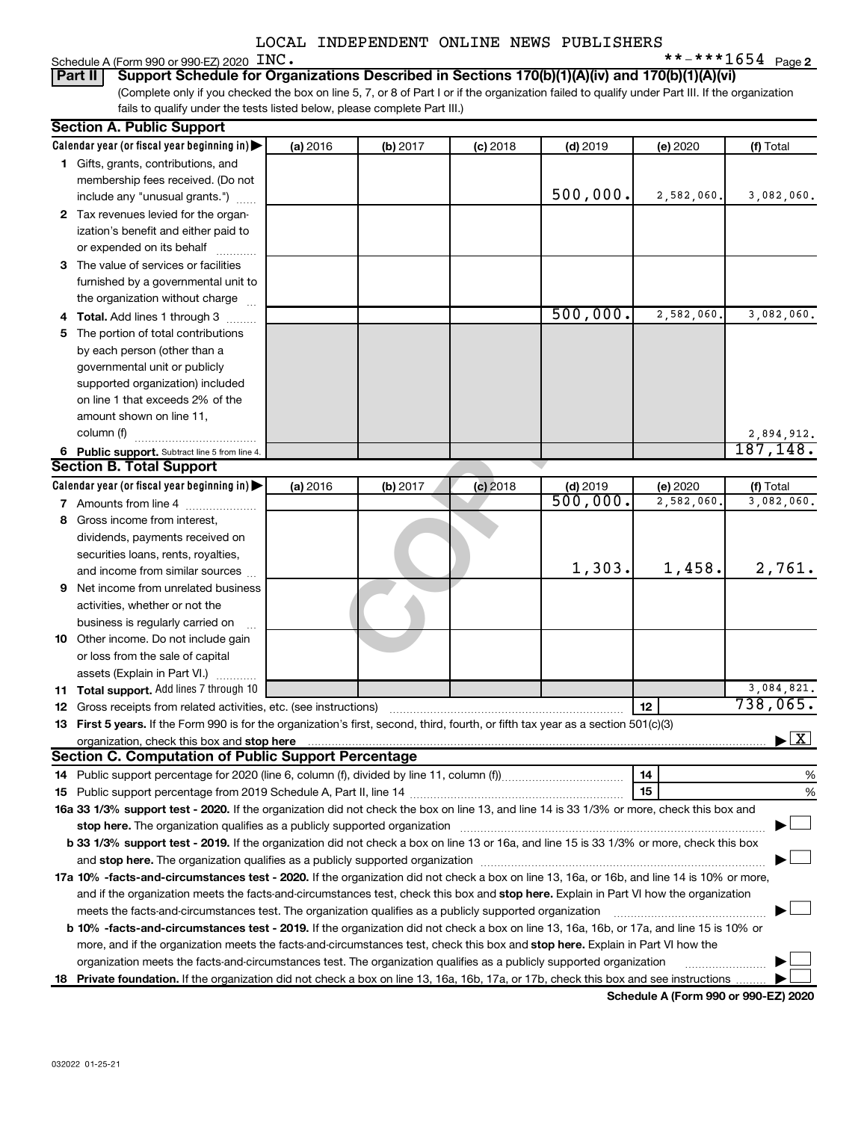|  | Schedule A (Form 990 or 990-EZ) 2020 $~\rm{INC}$ . |  | **-***1654 $_{\text{Page 2}}$ |  |
|--|----------------------------------------------------|--|-------------------------------|--|
|--|----------------------------------------------------|--|-------------------------------|--|

(Complete only if you checked the box on line 5, 7, or 8 of Part I or if the organization failed to qualify under Part III. If the organization fails to qualify under the tests listed below, please complete Part III.) **Part II** | Support Schedule for Organizations Described in Sections 170(b)(1)(A)(iv) and 170(b)(1)(A)(vi)

| <b>Section A. Public Support</b>                                                                                                                                                                                                    |          |          |            |            |            |                                          |
|-------------------------------------------------------------------------------------------------------------------------------------------------------------------------------------------------------------------------------------|----------|----------|------------|------------|------------|------------------------------------------|
| Calendar year (or fiscal year beginning in)                                                                                                                                                                                         | (a) 2016 | (b) 2017 | $(c)$ 2018 | $(d)$ 2019 | (e) 2020   | (f) Total                                |
| 1 Gifts, grants, contributions, and                                                                                                                                                                                                 |          |          |            |            |            |                                          |
| membership fees received. (Do not                                                                                                                                                                                                   |          |          |            |            |            |                                          |
| include any "unusual grants.")                                                                                                                                                                                                      |          |          |            | 500,000.   | 2,582,060. | 3,082,060.                               |
| 2 Tax revenues levied for the organ-                                                                                                                                                                                                |          |          |            |            |            |                                          |
| ization's benefit and either paid to                                                                                                                                                                                                |          |          |            |            |            |                                          |
| or expended on its behalf                                                                                                                                                                                                           |          |          |            |            |            |                                          |
| 3 The value of services or facilities                                                                                                                                                                                               |          |          |            |            |            |                                          |
| furnished by a governmental unit to                                                                                                                                                                                                 |          |          |            |            |            |                                          |
| the organization without charge                                                                                                                                                                                                     |          |          |            |            |            |                                          |
| 4 Total. Add lines 1 through 3                                                                                                                                                                                                      |          |          |            | 500,000.   | 2,582,060  | 3,082,060.                               |
| 5 The portion of total contributions                                                                                                                                                                                                |          |          |            |            |            |                                          |
| by each person (other than a                                                                                                                                                                                                        |          |          |            |            |            |                                          |
| governmental unit or publicly                                                                                                                                                                                                       |          |          |            |            |            |                                          |
| supported organization) included                                                                                                                                                                                                    |          |          |            |            |            |                                          |
| on line 1 that exceeds 2% of the                                                                                                                                                                                                    |          |          |            |            |            |                                          |
| amount shown on line 11,                                                                                                                                                                                                            |          |          |            |            |            |                                          |
| column (f)                                                                                                                                                                                                                          |          |          |            |            |            | 2,894,912.                               |
| 6 Public support. Subtract line 5 from line 4.                                                                                                                                                                                      |          |          |            |            |            | 187, 148.                                |
| <b>Section B. Total Support</b>                                                                                                                                                                                                     |          |          |            |            |            |                                          |
| Calendar year (or fiscal year beginning in)                                                                                                                                                                                         | (a) 2016 | (b) 2017 | $(c)$ 2018 | $(d)$ 2019 | (e) 2020   | (f) Total                                |
| 7 Amounts from line 4                                                                                                                                                                                                               |          |          |            | 500,000.   | 2,582,060  | 3,082,060.                               |
| 8 Gross income from interest,                                                                                                                                                                                                       |          |          |            |            |            |                                          |
| dividends, payments received on                                                                                                                                                                                                     |          |          |            |            |            |                                          |
| securities loans, rents, royalties,                                                                                                                                                                                                 |          |          |            |            |            |                                          |
| and income from similar sources                                                                                                                                                                                                     |          |          |            | 1,303.     | 1,458.     | 2,761.                                   |
| <b>9</b> Net income from unrelated business                                                                                                                                                                                         |          |          |            |            |            |                                          |
| activities, whether or not the                                                                                                                                                                                                      |          |          |            |            |            |                                          |
| business is regularly carried on                                                                                                                                                                                                    |          |          |            |            |            |                                          |
| 10 Other income. Do not include gain                                                                                                                                                                                                |          |          |            |            |            |                                          |
| or loss from the sale of capital                                                                                                                                                                                                    |          |          |            |            |            |                                          |
| assets (Explain in Part VI.)                                                                                                                                                                                                        |          |          |            |            |            |                                          |
| 11 Total support. Add lines 7 through 10                                                                                                                                                                                            |          |          |            |            |            | 3,084,821.                               |
| <b>12</b> Gross receipts from related activities, etc. (see instructions)                                                                                                                                                           |          |          |            |            | 12         | 738,065.                                 |
| 13 First 5 years. If the Form 990 is for the organization's first, second, third, fourth, or fifth tax year as a section 501(c)(3)                                                                                                  |          |          |            |            |            |                                          |
| organization, check this box and stop here <b>construction and construction</b> construction of the state of the state of the state of the state of the state of the state of the state of the state of the state of the state of t |          |          |            |            |            | $\blacktriangleright$ $\boxed{\text{X}}$ |
| <b>Section C. Computation of Public Support Percentage</b>                                                                                                                                                                          |          |          |            |            |            |                                          |
|                                                                                                                                                                                                                                     |          |          |            |            | 14         | %                                        |
|                                                                                                                                                                                                                                     |          |          |            |            | 15         | %                                        |
| 16a 33 1/3% support test - 2020. If the organization did not check the box on line 13, and line 14 is 33 1/3% or more, check this box and                                                                                           |          |          |            |            |            |                                          |
|                                                                                                                                                                                                                                     |          |          |            |            |            |                                          |
| b 33 1/3% support test - 2019. If the organization did not check a box on line 13 or 16a, and line 15 is 33 1/3% or more, check this box                                                                                            |          |          |            |            |            |                                          |
| and stop here. The organization qualifies as a publicly supported organization [11] manuscription manuscription manuscription manuscription manuscription manuscription manuscription and an analyze of the organization manus      |          |          |            |            |            |                                          |
| 17a 10% -facts-and-circumstances test - 2020. If the organization did not check a box on line 13, 16a, or 16b, and line 14 is 10% or more,                                                                                          |          |          |            |            |            |                                          |
| and if the organization meets the facts-and-circumstances test, check this box and stop here. Explain in Part VI how the organization                                                                                               |          |          |            |            |            |                                          |
| meets the facts-and-circumstances test. The organization qualifies as a publicly supported organization                                                                                                                             |          |          |            |            |            |                                          |
| <b>b 10%</b> -facts-and-circumstances test - 2019. If the organization did not check a box on line 13, 16a, 16b, or 17a, and line 15 is 10% or                                                                                      |          |          |            |            |            |                                          |
| more, and if the organization meets the facts-and-circumstances test, check this box and stop here. Explain in Part VI how the                                                                                                      |          |          |            |            |            |                                          |
| organization meets the facts-and-circumstances test. The organization qualifies as a publicly supported organization                                                                                                                |          |          |            |            |            |                                          |
| 18 Private foundation. If the organization did not check a box on line 13, 16a, 16b, 17a, or 17b, check this box and see instructions                                                                                               |          |          |            |            |            |                                          |

**Schedule A (Form 990 or 990-EZ) 2020**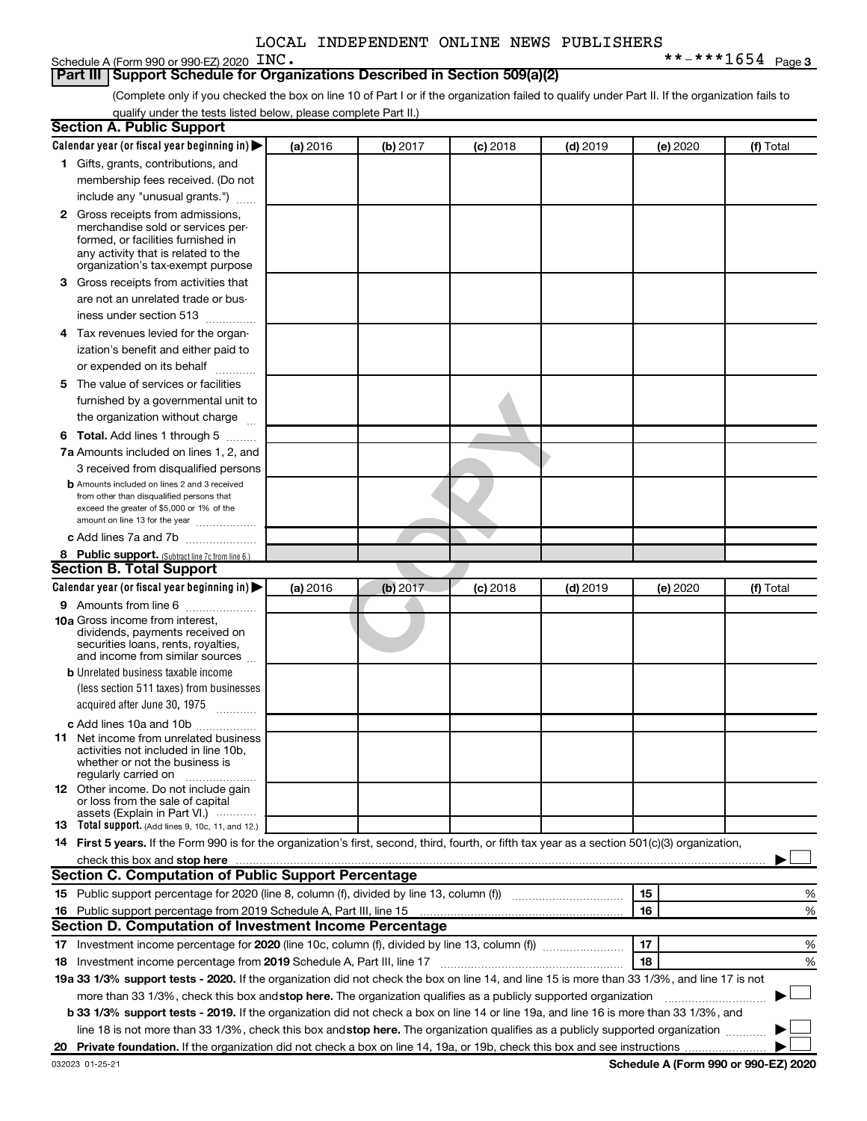#### **Part III | Support Schedule for Organizations Described in Section 509(a)(2)**

(Complete only if you checked the box on line 10 of Part I or if the organization failed to qualify under Part II. If the organization fails to qualify under the tests listed below, please complete Part II.)

| <b>Section A. Public Support</b>                                                                                                                                                                                                    |          |          |            |            |          |           |
|-------------------------------------------------------------------------------------------------------------------------------------------------------------------------------------------------------------------------------------|----------|----------|------------|------------|----------|-----------|
| Calendar year (or fiscal year beginning in)                                                                                                                                                                                         | (a) 2016 | (b) 2017 | $(c)$ 2018 | $(d)$ 2019 | (e) 2020 | (f) Total |
| 1 Gifts, grants, contributions, and                                                                                                                                                                                                 |          |          |            |            |          |           |
| membership fees received. (Do not                                                                                                                                                                                                   |          |          |            |            |          |           |
| include any "unusual grants.")                                                                                                                                                                                                      |          |          |            |            |          |           |
| <b>2</b> Gross receipts from admissions,                                                                                                                                                                                            |          |          |            |            |          |           |
| merchandise sold or services per-                                                                                                                                                                                                   |          |          |            |            |          |           |
| formed, or facilities furnished in                                                                                                                                                                                                  |          |          |            |            |          |           |
| any activity that is related to the<br>organization's tax-exempt purpose                                                                                                                                                            |          |          |            |            |          |           |
| 3 Gross receipts from activities that                                                                                                                                                                                               |          |          |            |            |          |           |
| are not an unrelated trade or bus-                                                                                                                                                                                                  |          |          |            |            |          |           |
| iness under section 513                                                                                                                                                                                                             |          |          |            |            |          |           |
| 4 Tax revenues levied for the organ-                                                                                                                                                                                                |          |          |            |            |          |           |
| ization's benefit and either paid to                                                                                                                                                                                                |          |          |            |            |          |           |
| or expended on its behalf                                                                                                                                                                                                           |          |          |            |            |          |           |
| 5 The value of services or facilities                                                                                                                                                                                               |          |          |            |            |          |           |
| furnished by a governmental unit to                                                                                                                                                                                                 |          |          |            |            |          |           |
| the organization without charge                                                                                                                                                                                                     |          |          |            |            |          |           |
| 6 Total. Add lines 1 through 5                                                                                                                                                                                                      |          |          |            |            |          |           |
| 7a Amounts included on lines 1, 2, and                                                                                                                                                                                              |          |          |            |            |          |           |
| 3 received from disqualified persons                                                                                                                                                                                                |          |          |            |            |          |           |
| <b>b</b> Amounts included on lines 2 and 3 received                                                                                                                                                                                 |          |          |            |            |          |           |
| from other than disqualified persons that                                                                                                                                                                                           |          |          |            |            |          |           |
| exceed the greater of \$5,000 or 1% of the                                                                                                                                                                                          |          |          |            |            |          |           |
| amount on line 13 for the year                                                                                                                                                                                                      |          |          |            |            |          |           |
| c Add lines 7a and 7b                                                                                                                                                                                                               |          |          |            |            |          |           |
| 8 Public support. (Subtract line 7c from line 6.)<br><b>Section B. Total Support</b>                                                                                                                                                |          |          |            |            |          |           |
| Calendar year (or fiscal year beginning in)                                                                                                                                                                                         | (a) 2016 |          | $(c)$ 2018 | $(d)$ 2019 |          | (f) Total |
| 9 Amounts from line 6                                                                                                                                                                                                               |          | (b) 2017 |            |            | (e) 2020 |           |
| <b>10a</b> Gross income from interest,                                                                                                                                                                                              |          |          |            |            |          |           |
| dividends, payments received on                                                                                                                                                                                                     |          |          |            |            |          |           |
| securities loans, rents, royalties,                                                                                                                                                                                                 |          |          |            |            |          |           |
| and income from similar sources                                                                                                                                                                                                     |          |          |            |            |          |           |
| <b>b</b> Unrelated business taxable income<br>(less section 511 taxes) from businesses                                                                                                                                              |          |          |            |            |          |           |
| acquired after June 30, 1975                                                                                                                                                                                                        |          |          |            |            |          |           |
|                                                                                                                                                                                                                                     |          |          |            |            |          |           |
| c Add lines 10a and 10b                                                                                                                                                                                                             |          |          |            |            |          |           |
| <b>11</b> Net income from unrelated business<br>activities not included in line 10b.                                                                                                                                                |          |          |            |            |          |           |
| whether or not the business is                                                                                                                                                                                                      |          |          |            |            |          |           |
| regularly carried on                                                                                                                                                                                                                |          |          |            |            |          |           |
| 12 Other income. Do not include gain<br>or loss from the sale of capital                                                                                                                                                            |          |          |            |            |          |           |
| assets (Explain in Part VI.)                                                                                                                                                                                                        |          |          |            |            |          |           |
| <b>13</b> Total support. (Add lines 9, 10c, 11, and 12.)                                                                                                                                                                            |          |          |            |            |          |           |
| 14 First 5 years. If the Form 990 is for the organization's first, second, third, fourth, or fifth tax year as a section 501(c)(3) organization,                                                                                    |          |          |            |            |          |           |
| check this box and stop here <i>manufacture and stop here</i> and stop here and stop here and stop here and stop here and stop here and stop here and stop here and stop here and stop here and stop here and stop here and stop he |          |          |            |            |          |           |
| Section C. Computation of Public Support Percentage                                                                                                                                                                                 |          |          |            |            |          |           |
|                                                                                                                                                                                                                                     |          |          |            |            | 15       | ℅         |
| 16 Public support percentage from 2019 Schedule A, Part III, line 15                                                                                                                                                                |          |          |            |            | 16       | %         |
| Section D. Computation of Investment Income Percentage                                                                                                                                                                              |          |          |            |            |          |           |
|                                                                                                                                                                                                                                     |          |          |            |            | 17       | %         |
| 18 Investment income percentage from 2019 Schedule A, Part III, line 17                                                                                                                                                             |          |          |            |            | 18       | %         |
| 19a 33 1/3% support tests - 2020. If the organization did not check the box on line 14, and line 15 is more than 33 1/3%, and line 17 is not                                                                                        |          |          |            |            |          |           |
| more than 33 1/3%, check this box and stop here. The organization qualifies as a publicly supported organization                                                                                                                    |          |          |            |            |          |           |
| b 33 1/3% support tests - 2019. If the organization did not check a box on line 14 or line 19a, and line 16 is more than 33 1/3%, and                                                                                               |          |          |            |            |          |           |
| line 18 is not more than 33 1/3%, check this box and stop here. The organization qualifies as a publicly supported organization                                                                                                     |          |          |            |            |          |           |
|                                                                                                                                                                                                                                     |          |          |            |            |          |           |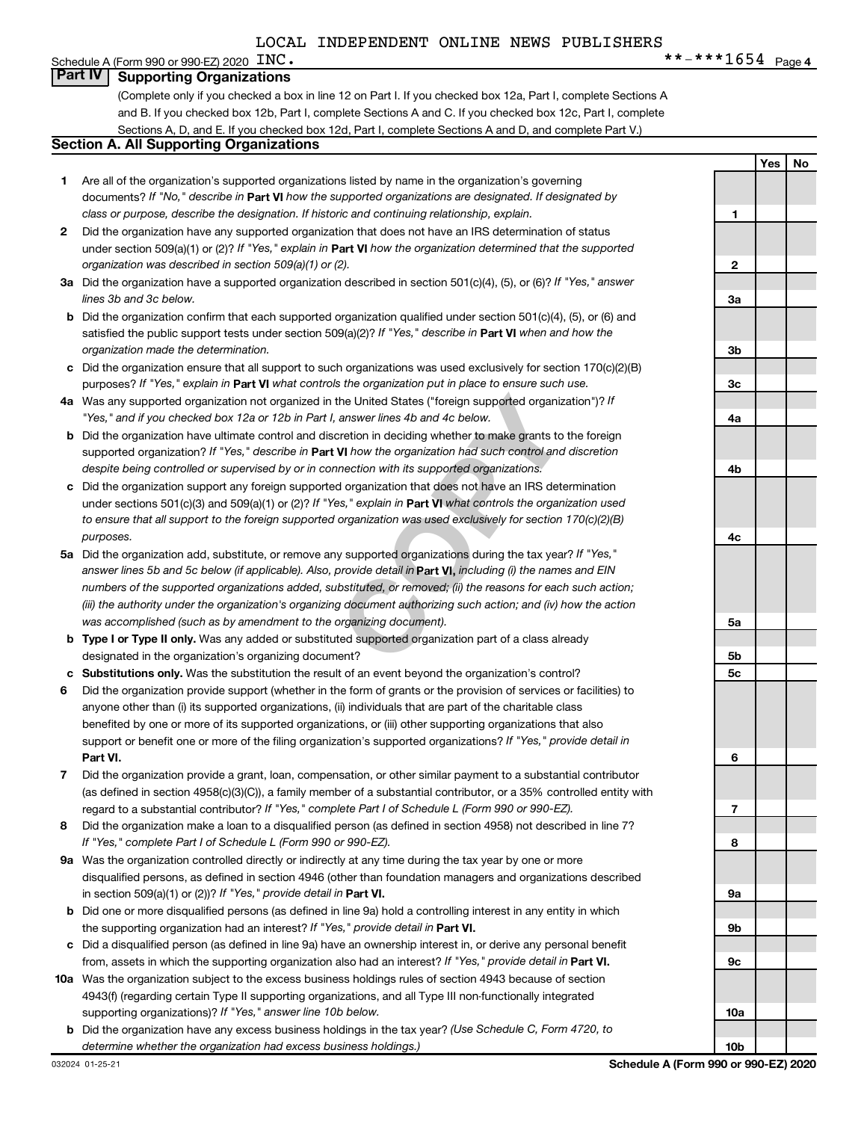#### Schedule A (Form 990 or 990-EZ) 2020  $~\rm{INC}$  . **Part IV Supporting Organizations**

(Complete only if you checked a box in line 12 on Part I. If you checked box 12a, Part I, complete Sections A and B. If you checked box 12b, Part I, complete Sections A and C. If you checked box 12c, Part I, complete Sections A, D, and E. If you checked box 12d, Part I, complete Sections A and D, and complete Part V.)

#### **Section A. All Supporting Organizations**

- **1** Are all of the organization's supported organizations listed by name in the organization's governing documents? If "No," describe in Part VI how the supported organizations are designated. If designated by *class or purpose, describe the designation. If historic and continuing relationship, explain.*
- **2** Did the organization have any supported organization that does not have an IRS determination of status under section 509(a)(1) or (2)? If "Yes," explain in Part **VI** how the organization determined that the supported *organization was described in section 509(a)(1) or (2).*
- **3a** Did the organization have a supported organization described in section 501(c)(4), (5), or (6)? If "Yes," answer *lines 3b and 3c below.*
- **b** Did the organization confirm that each supported organization qualified under section 501(c)(4), (5), or (6) and satisfied the public support tests under section 509(a)(2)? If "Yes," describe in Part VI when and how the *organization made the determination.*
- **c** Did the organization ensure that all support to such organizations was used exclusively for section 170(c)(2)(B) purposes? If "Yes," explain in Part VI what controls the organization put in place to ensure such use.
- **4 a** *If* Was any supported organization not organized in the United States ("foreign supported organization")? *"Yes," and if you checked box 12a or 12b in Part I, answer lines 4b and 4c below.*
- **b** Did the organization have ultimate control and discretion in deciding whether to make grants to the foreign supported organization? If "Yes," describe in Part VI how the organization had such control and discretion *despite being controlled or supervised by or in connection with its supported organizations.*
- **c** Did the organization support any foreign supported organization that does not have an IRS determination under sections 501(c)(3) and 509(a)(1) or (2)? If "Yes," explain in Part VI what controls the organization used *to ensure that all support to the foreign supported organization was used exclusively for section 170(c)(2)(B) purposes.*
- the United States ("foreign supported organization")? *I*<br>answer lines 4b and 4c below.<br>Consider the foreign supported organization")? *I*<br>answer lines 4b and 4c below.<br>**VI** how the organization had such control and discre **5a** Did the organization add, substitute, or remove any supported organizations during the tax year? If "Yes," answer lines 5b and 5c below (if applicable). Also, provide detail in **Part VI,** including (i) the names and EIN *numbers of the supported organizations added, substituted, or removed; (ii) the reasons for each such action; (iii) the authority under the organization's organizing document authorizing such action; and (iv) how the action was accomplished (such as by amendment to the organizing document).*
- **b** Type I or Type II only. Was any added or substituted supported organization part of a class already designated in the organization's organizing document?
- **c Substitutions only.**  Was the substitution the result of an event beyond the organization's control?
- **6** Did the organization provide support (whether in the form of grants or the provision of services or facilities) to **Part VI.** support or benefit one or more of the filing organization's supported organizations? If "Yes," provide detail in anyone other than (i) its supported organizations, (ii) individuals that are part of the charitable class benefited by one or more of its supported organizations, or (iii) other supporting organizations that also
- **7** Did the organization provide a grant, loan, compensation, or other similar payment to a substantial contributor regard to a substantial contributor? If "Yes," complete Part I of Schedule L (Form 990 or 990-EZ). (as defined in section 4958(c)(3)(C)), a family member of a substantial contributor, or a 35% controlled entity with
- **8** Did the organization make a loan to a disqualified person (as defined in section 4958) not described in line 7? *If "Yes," complete Part I of Schedule L (Form 990 or 990-EZ).*
- **9 a** Was the organization controlled directly or indirectly at any time during the tax year by one or more in section 509(a)(1) or (2))? If "Yes," provide detail in **Part VI.** disqualified persons, as defined in section 4946 (other than foundation managers and organizations described
- **b** Did one or more disqualified persons (as defined in line 9a) hold a controlling interest in any entity in which the supporting organization had an interest? If "Yes," provide detail in Part VI.
- **c** Did a disqualified person (as defined in line 9a) have an ownership interest in, or derive any personal benefit from, assets in which the supporting organization also had an interest? If "Yes," provide detail in Part VI.
- **10 a** Was the organization subject to the excess business holdings rules of section 4943 because of section supporting organizations)? If "Yes," answer line 10b below. 4943(f) (regarding certain Type II supporting organizations, and all Type III non-functionally integrated
	- **b** Did the organization have any excess business holdings in the tax year? (Use Schedule C, Form 4720, to *determine whether the organization had excess business holdings.)*

**Yes No 1 2 3a 3b 3c 4a 4b 4c 5a 5b 5c 6 7 8 9a 9b 9c 10a 10b**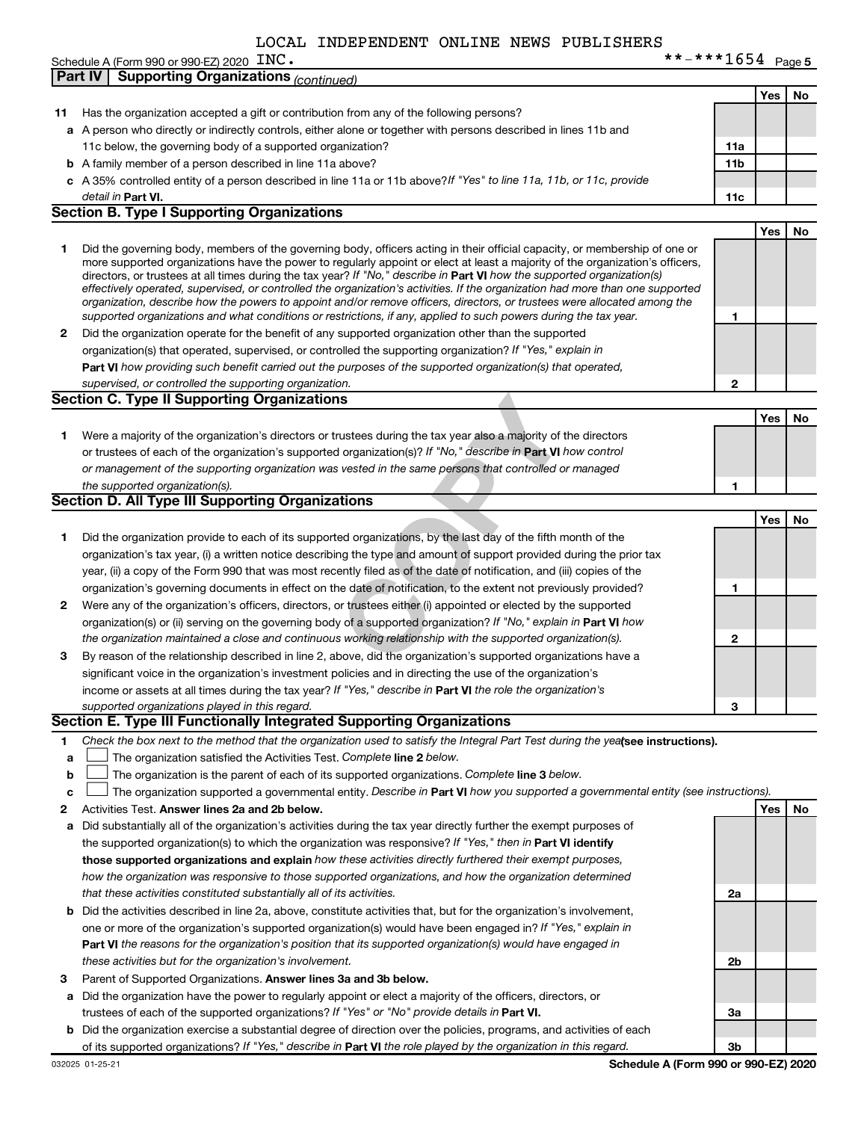| INC. | **-***1654 $Page 5$ |  |
|------|---------------------|--|
|------|---------------------|--|

|    | Schedule A (Form 990 or 990-EZ) 2020 $\text{INC}$ .                                                                               |                 |     |    |
|----|-----------------------------------------------------------------------------------------------------------------------------------|-----------------|-----|----|
|    | <b>Supporting Organizations (continued)</b><br>Part IV                                                                            |                 |     |    |
|    |                                                                                                                                   |                 | Yes | No |
| 11 | Has the organization accepted a gift or contribution from any of the following persons?                                           |                 |     |    |
|    | a A person who directly or indirectly controls, either alone or together with persons described in lines 11b and                  |                 |     |    |
|    | 11c below, the governing body of a supported organization?                                                                        | 11a             |     |    |
|    | <b>b</b> A family member of a person described in line 11a above?                                                                 | 11 <sub>b</sub> |     |    |
|    | c A 35% controlled entity of a person described in line 11a or 11b above? If "Yes" to line 11a, 11b, or 11c, provide              |                 |     |    |
|    | detail in Part VI.                                                                                                                | 11c             |     |    |
|    | <b>Section B. Type I Supporting Organizations</b>                                                                                 |                 |     |    |
|    |                                                                                                                                   |                 | Yes | No |
| 1  | Did the governing body, members of the governing body, officers acting in their official capacity, or membership of one or        |                 |     |    |
|    | more supported organizations have the power to regularly appoint or elect at least a majority of the organization's officers,     |                 |     |    |
|    | directors, or trustees at all times during the tax year? If "No," describe in Part VI how the supported organization(s)           |                 |     |    |
|    | effectively operated, supervised, or controlled the organization's activities. If the organization had more than one supported    |                 |     |    |
|    | organization, describe how the powers to appoint and/or remove officers, directors, or trustees were allocated among the          |                 |     |    |
|    | supported organizations and what conditions or restrictions, if any, applied to such powers during the tax year.                  | 1               |     |    |
| 2  | Did the organization operate for the benefit of any supported organization other than the supported                               |                 |     |    |
|    | organization(s) that operated, supervised, or controlled the supporting organization? If "Yes," explain in                        |                 |     |    |
|    | Part VI how providing such benefit carried out the purposes of the supported organization(s) that operated,                       |                 |     |    |
|    | supervised, or controlled the supporting organization.                                                                            | 2               |     |    |
|    | <b>Section C. Type II Supporting Organizations</b>                                                                                |                 |     |    |
|    |                                                                                                                                   |                 | Yes | No |
| 1  | Were a majority of the organization's directors or trustees during the tax year also a majority of the directors                  |                 |     |    |
|    | or trustees of each of the organization's supported organization(s)? If "No," describe in Part VI how control                     |                 |     |    |
|    | or management of the supporting organization was vested in the same persons that controlled or managed                            |                 |     |    |
|    | the supported organization(s).                                                                                                    | 1               |     |    |
|    | <b>Section D. All Type III Supporting Organizations</b>                                                                           |                 |     |    |
|    |                                                                                                                                   |                 | Yes | No |
| 1  | Did the organization provide to each of its supported organizations, by the last day of the fifth month of the                    |                 |     |    |
|    | organization's tax year, (i) a written notice describing the type and amount of support provided during the prior tax             |                 |     |    |
|    | year, (ii) a copy of the Form 990 that was most recently filed as of the date of notification, and (iii) copies of the            |                 |     |    |
|    | organization's governing documents in effect on the date of notification, to the extent not previously provided?                  | 1               |     |    |
| 2  | Were any of the organization's officers, directors, or trustees either (i) appointed or elected by the supported                  |                 |     |    |
|    | organization(s) or (ii) serving on the governing body of a supported organization? If "No," explain in Part VI how                |                 |     |    |
|    | the organization maintained a close and continuous working relationship with the supported organization(s).                       | 2               |     |    |
| З  | By reason of the relationship described in line 2, above, did the organization's supported organizations have a                   |                 |     |    |
|    | significant voice in the organization's investment policies and in directing the use of the organization's                        |                 |     |    |
|    | income or assets at all times during the tax year? If "Yes," describe in Part VI the role the organization's                      |                 |     |    |
|    |                                                                                                                                   |                 |     |    |
|    | supported organizations played in this regard.<br>Section E. Type III Functionally Integrated Supporting Organizations            | З               |     |    |
|    |                                                                                                                                   |                 |     |    |
| 1  | Check the box next to the method that the organization used to satisfy the Integral Part Test during the yealsee instructions).   |                 |     |    |
| a  | The organization satisfied the Activities Test. Complete line 2 below.                                                            |                 |     |    |
| b  | The organization is the parent of each of its supported organizations. Complete line 3 below.                                     |                 |     |    |
| C  | The organization supported a governmental entity. Describe in Part VI how you supported a governmental entity (see instructions). |                 |     |    |
| 2  | Activities Test. Answer lines 2a and 2b below.                                                                                    |                 | Yes | No |
| а  | Did substantially all of the organization's activities during the tax year directly further the exempt purposes of                |                 |     |    |
|    | the supported organization(s) to which the organization was responsive? If "Yes," then in Part VI identify                        |                 |     |    |
|    | those supported organizations and explain how these activities directly furthered their exempt purposes,                          |                 |     |    |
|    | how the organization was responsive to those supported organizations, and how the organization determined                         |                 |     |    |
|    | that these activities constituted substantially all of its activities.                                                            | 2a              |     |    |
| b  | Did the activities described in line 2a, above, constitute activities that, but for the organization's involvement,               |                 |     |    |
|    | one or more of the organization's supported organization(s) would have been engaged in? If "Yes," explain in                      |                 |     |    |
|    | <b>Part VI</b> the reasons for the organization's position that its supported organization(s) would have engaged in               |                 |     |    |
|    | these activities but for the organization's involvement.                                                                          | 2b              |     |    |
| з  | Parent of Supported Organizations. Answer lines 3a and 3b below.                                                                  |                 |     |    |
| а  | Did the organization have the power to regularly appoint or elect a majority of the officers, directors, or                       |                 |     |    |
|    | trustees of each of the supported organizations? If "Yes" or "No" provide details in Part VI.                                     | За              |     |    |
|    | <b>b</b> Did the organization exercise a substantial degree of direction over the policies, programs, and activities of each      |                 |     |    |
|    | of its supported organizations? If "Yes," describe in Part VI the role played by the organization in this regard.                 | Зb              |     |    |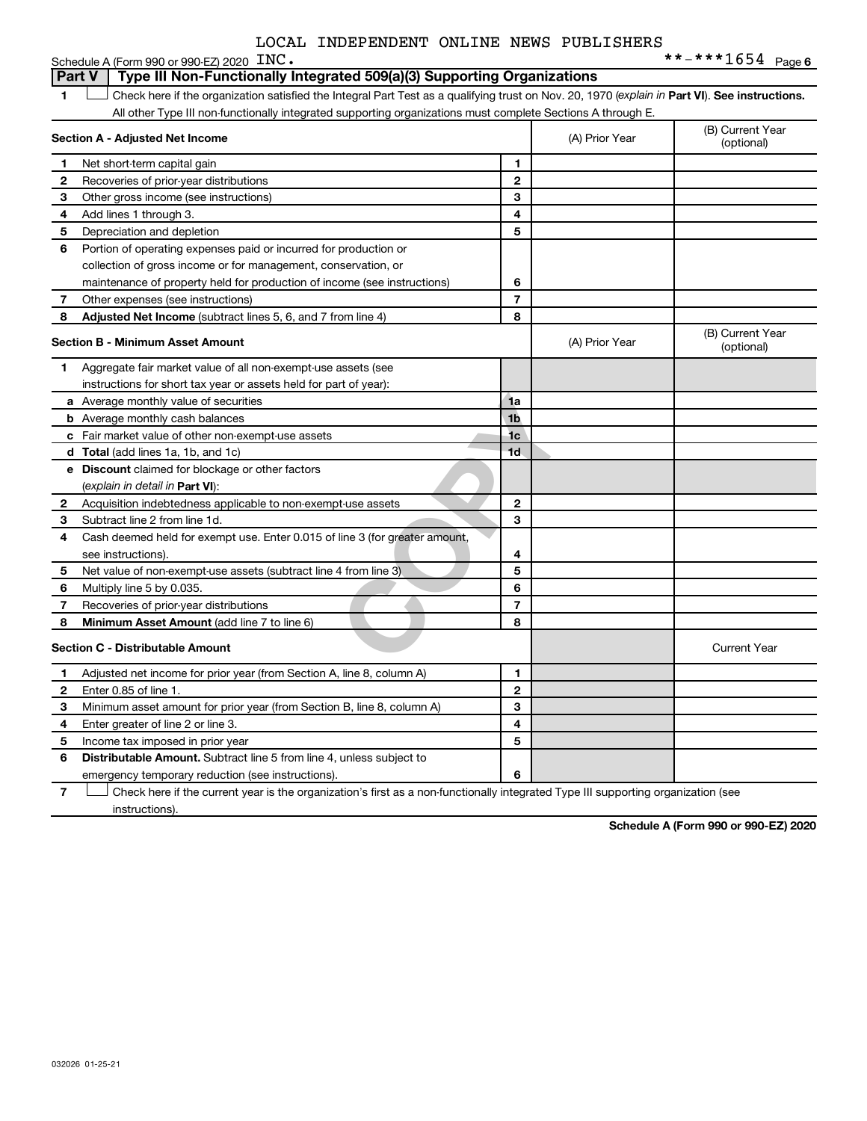| LOCAL INDEPENDENT ONLINE NEWS PUBLISHERS |  |  |  |  |  |
|------------------------------------------|--|--|--|--|--|
|------------------------------------------|--|--|--|--|--|

|               | Schedule A (Form 990 or 990-EZ) 2020 INC.                                                                                                      |                |                | **-***1654 Page 6              |
|---------------|------------------------------------------------------------------------------------------------------------------------------------------------|----------------|----------------|--------------------------------|
| <b>Part V</b> | Type III Non-Functionally Integrated 509(a)(3) Supporting Organizations                                                                        |                |                |                                |
| 1             | Check here if the organization satisfied the Integral Part Test as a qualifying trust on Nov. 20, 1970 (explain in Part VI). See instructions. |                |                |                                |
|               | All other Type III non-functionally integrated supporting organizations must complete Sections A through E.                                    |                |                |                                |
|               | Section A - Adjusted Net Income                                                                                                                |                | (A) Prior Year | (B) Current Year<br>(optional) |
| 1             | Net short-term capital gain                                                                                                                    | 1              |                |                                |
| 2             | Recoveries of prior-year distributions                                                                                                         | $\mathbf{2}$   |                |                                |
| З             | Other gross income (see instructions)                                                                                                          | 3              |                |                                |
| 4             | Add lines 1 through 3.                                                                                                                         | 4              |                |                                |
| 5             | Depreciation and depletion                                                                                                                     | 5              |                |                                |
| 6             | Portion of operating expenses paid or incurred for production or                                                                               |                |                |                                |
|               | collection of gross income or for management, conservation, or                                                                                 |                |                |                                |
|               | maintenance of property held for production of income (see instructions)                                                                       | 6              |                |                                |
| 7             | Other expenses (see instructions)                                                                                                              | $\overline{7}$ |                |                                |
| 8             | Adjusted Net Income (subtract lines 5, 6, and 7 from line 4)                                                                                   | 8              |                |                                |
|               | Section B - Minimum Asset Amount                                                                                                               |                | (A) Prior Year | (B) Current Year<br>(optional) |
| 1             | Aggregate fair market value of all non-exempt-use assets (see                                                                                  |                |                |                                |
|               | instructions for short tax year or assets held for part of year):                                                                              |                |                |                                |
|               | <b>a</b> Average monthly value of securities                                                                                                   | 1a             |                |                                |
|               | <b>b</b> Average monthly cash balances                                                                                                         | 1 <sub>b</sub> |                |                                |
|               | c Fair market value of other non-exempt-use assets                                                                                             | 1 <sub>c</sub> |                |                                |
|               | d Total (add lines 1a, 1b, and 1c)                                                                                                             | 1 <sub>d</sub> |                |                                |
|               | <b>e</b> Discount claimed for blockage or other factors                                                                                        |                |                |                                |
|               | (explain in detail in Part VI):                                                                                                                |                |                |                                |
| 2             | Acquisition indebtedness applicable to non-exempt-use assets                                                                                   | $\mathbf{2}$   |                |                                |
| з             | Subtract line 2 from line 1d.                                                                                                                  | 3              |                |                                |
| 4             | Cash deemed held for exempt use. Enter 0.015 of line 3 (for greater amount,                                                                    |                |                |                                |
|               | see instructions)                                                                                                                              | 4              |                |                                |
| 5             | Net value of non-exempt-use assets (subtract line 4 from line 3)                                                                               | 5              |                |                                |
| 6             | Multiply line 5 by 0.035.                                                                                                                      | 6              |                |                                |
| 7             | Recoveries of prior-year distributions                                                                                                         | $\overline{7}$ |                |                                |
| 8             | Minimum Asset Amount (add line 7 to line 6)                                                                                                    | 8              |                |                                |
|               | Section C - Distributable Amount                                                                                                               |                |                | <b>Current Year</b>            |
| 1             | Adjusted net income for prior year (from Section A, line 8, column A)                                                                          | 1              |                |                                |
| 2             | Enter 0.85 of line 1.                                                                                                                          | $\mathbf{2}$   |                |                                |
| 3             | Minimum asset amount for prior year (from Section B, line 8, column A)                                                                         | 3              |                |                                |
| 4             | Enter greater of line 2 or line 3.                                                                                                             | 4              |                |                                |
| 5             | Income tax imposed in prior year                                                                                                               | 5              |                |                                |
| 6             | <b>Distributable Amount.</b> Subtract line 5 from line 4, unless subject to                                                                    |                |                |                                |
|               | emergency temporary reduction (see instructions).                                                                                              | 6              |                |                                |

**7** Check here if the current year is the organization's first as a non-functionally integrated Type III supporting organization (see instructions).

**Schedule A (Form 990 or 990-EZ) 2020**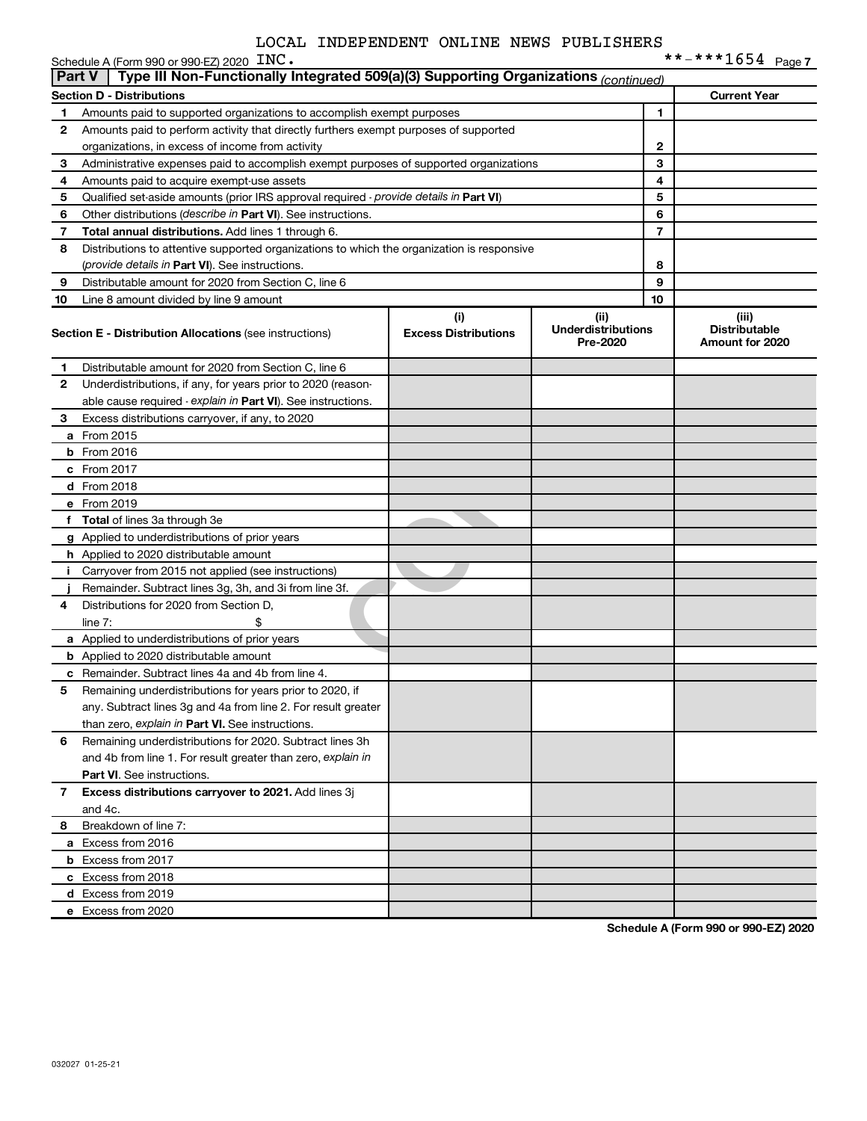|               | Schedule A (Form 990 or 990-EZ) 2020 INC.                                                  |                                    |                                               |                | **-***1654 Page7                                 |
|---------------|--------------------------------------------------------------------------------------------|------------------------------------|-----------------------------------------------|----------------|--------------------------------------------------|
| <b>Part V</b> | Type III Non-Functionally Integrated 509(a)(3) Supporting Organizations (continued)        |                                    |                                               |                |                                                  |
|               | <b>Section D - Distributions</b>                                                           |                                    |                                               |                | <b>Current Year</b>                              |
| 1             | Amounts paid to supported organizations to accomplish exempt purposes                      |                                    |                                               | 1              |                                                  |
| $\mathbf{2}$  | Amounts paid to perform activity that directly furthers exempt purposes of supported       |                                    |                                               |                |                                                  |
|               | organizations, in excess of income from activity                                           |                                    |                                               | 2              |                                                  |
| 3             | Administrative expenses paid to accomplish exempt purposes of supported organizations      |                                    | 3                                             |                |                                                  |
| 4             | Amounts paid to acquire exempt-use assets                                                  |                                    |                                               | 4              |                                                  |
| 5             | Qualified set-aside amounts (prior IRS approval required - provide details in Part VI)     |                                    |                                               | 5              |                                                  |
| 6             | Other distributions (describe in Part VI). See instructions.                               |                                    |                                               | 6              |                                                  |
| 7             | Total annual distributions. Add lines 1 through 6.                                         |                                    |                                               | $\overline{7}$ |                                                  |
| 8             | Distributions to attentive supported organizations to which the organization is responsive |                                    |                                               |                |                                                  |
|               | (provide details in Part VI). See instructions.                                            |                                    |                                               | 8              |                                                  |
| 9             | Distributable amount for 2020 from Section C, line 6                                       |                                    |                                               | 9              |                                                  |
| 10            | Line 8 amount divided by line 9 amount                                                     |                                    |                                               | 10             |                                                  |
|               | <b>Section E - Distribution Allocations (see instructions)</b>                             | (i)<br><b>Excess Distributions</b> | (ii)<br><b>Underdistributions</b><br>Pre-2020 |                | (iii)<br><b>Distributable</b><br>Amount for 2020 |
| 1             | Distributable amount for 2020 from Section C, line 6                                       |                                    |                                               |                |                                                  |
| $\mathbf{2}$  | Underdistributions, if any, for years prior to 2020 (reason-                               |                                    |                                               |                |                                                  |
|               | able cause required - explain in Part VI). See instructions.                               |                                    |                                               |                |                                                  |
| 3             | Excess distributions carryover, if any, to 2020                                            |                                    |                                               |                |                                                  |
|               | <b>a</b> From 2015                                                                         |                                    |                                               |                |                                                  |
|               | $b$ From 2016                                                                              |                                    |                                               |                |                                                  |
|               | c From 2017                                                                                |                                    |                                               |                |                                                  |
|               | <b>d</b> From 2018                                                                         |                                    |                                               |                |                                                  |
|               | e From 2019                                                                                |                                    |                                               |                |                                                  |
|               | f Total of lines 3a through 3e                                                             |                                    |                                               |                |                                                  |
|               | g Applied to underdistributions of prior years                                             |                                    |                                               |                |                                                  |
|               | <b>h</b> Applied to 2020 distributable amount                                              |                                    |                                               |                |                                                  |
|               | i Carryover from 2015 not applied (see instructions)                                       |                                    |                                               |                |                                                  |
|               | Remainder. Subtract lines 3g, 3h, and 3i from line 3f.                                     |                                    |                                               |                |                                                  |
| 4             | Distributions for 2020 from Section D,                                                     |                                    |                                               |                |                                                  |
|               | line $7:$                                                                                  |                                    |                                               |                |                                                  |
|               | a Applied to underdistributions of prior years                                             |                                    |                                               |                |                                                  |
|               | <b>b</b> Applied to 2020 distributable amount                                              |                                    |                                               |                |                                                  |
|               | <b>c</b> Remainder. Subtract lines 4a and 4b from line 4.                                  |                                    |                                               |                |                                                  |
| 5             | Remaining underdistributions for years prior to 2020, if                                   |                                    |                                               |                |                                                  |
|               | any. Subtract lines 3g and 4a from line 2. For result greater                              |                                    |                                               |                |                                                  |
|               | than zero, explain in Part VI. See instructions.                                           |                                    |                                               |                |                                                  |
| 6             | Remaining underdistributions for 2020. Subtract lines 3h                                   |                                    |                                               |                |                                                  |
|               | and 4b from line 1. For result greater than zero, explain in                               |                                    |                                               |                |                                                  |
|               | <b>Part VI.</b> See instructions.                                                          |                                    |                                               |                |                                                  |
| $\mathbf{7}$  | Excess distributions carryover to 2021. Add lines 3j                                       |                                    |                                               |                |                                                  |
|               | and 4c.                                                                                    |                                    |                                               |                |                                                  |
| 8             | Breakdown of line 7:                                                                       |                                    |                                               |                |                                                  |
|               | a Excess from 2016                                                                         |                                    |                                               |                |                                                  |
|               | <b>b</b> Excess from 2017                                                                  |                                    |                                               |                |                                                  |
|               | c Excess from 2018                                                                         |                                    |                                               |                |                                                  |
|               | <b>d</b> Excess from 2019                                                                  |                                    |                                               |                |                                                  |
|               | e Excess from 2020                                                                         |                                    |                                               |                |                                                  |
|               |                                                                                            |                                    |                                               |                |                                                  |

**Schedule A (Form 990 or 990-EZ) 2020**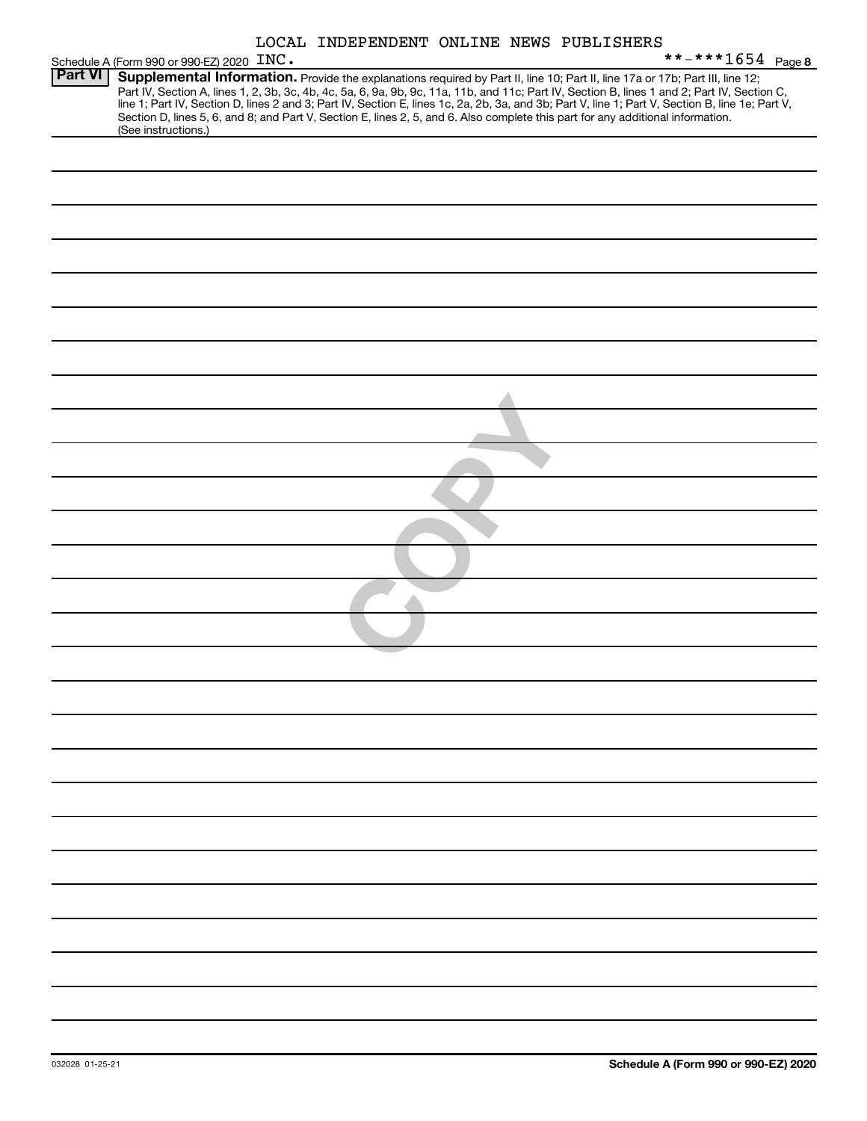| LOCAL INDEPENDENT ONLINE NEWS PUBLISHERS |  |  |  |
|------------------------------------------|--|--|--|
|------------------------------------------|--|--|--|

|                | LOCAL INDEPENDENT ONLINE NEWS PUBLISHERS                                                                                                                                                                                                                                                                                                                                                                                                                                                                                                                                                    |
|----------------|---------------------------------------------------------------------------------------------------------------------------------------------------------------------------------------------------------------------------------------------------------------------------------------------------------------------------------------------------------------------------------------------------------------------------------------------------------------------------------------------------------------------------------------------------------------------------------------------|
|                | **-***1654 Page 8<br>Schedule A (Form 990 or 990-EZ) 2020 INC.                                                                                                                                                                                                                                                                                                                                                                                                                                                                                                                              |
| <b>Part VI</b> | Supplemental Information. Provide the explanations required by Part II, line 10; Part II, line 17a or 17b; Part III, line 12;<br>Part IV, Section A, lines 1, 2, 3b, 3c, 4b, 4c, 5a, 6, 9a, 9b, 9c, 11a, 11b, and 11c; Part IV, Section B, lines 1 and 2; Part IV, Section C,<br>line 1; Part IV, Section D, lines 2 and 3; Part IV, Section E, lines 1c, 2a, 2b, 3a, and 3b; Part V, line 1; Part V, Section B, line 1e; Part V,<br>Section D, lines 5, 6, and 8; and Part V, Section E, lines 2, 5, and 6. Also complete this part for any additional information.<br>(See instructions.) |
|                |                                                                                                                                                                                                                                                                                                                                                                                                                                                                                                                                                                                             |
|                |                                                                                                                                                                                                                                                                                                                                                                                                                                                                                                                                                                                             |
|                |                                                                                                                                                                                                                                                                                                                                                                                                                                                                                                                                                                                             |
|                |                                                                                                                                                                                                                                                                                                                                                                                                                                                                                                                                                                                             |
|                |                                                                                                                                                                                                                                                                                                                                                                                                                                                                                                                                                                                             |
|                |                                                                                                                                                                                                                                                                                                                                                                                                                                                                                                                                                                                             |
|                |                                                                                                                                                                                                                                                                                                                                                                                                                                                                                                                                                                                             |
|                |                                                                                                                                                                                                                                                                                                                                                                                                                                                                                                                                                                                             |
|                |                                                                                                                                                                                                                                                                                                                                                                                                                                                                                                                                                                                             |
|                |                                                                                                                                                                                                                                                                                                                                                                                                                                                                                                                                                                                             |
|                |                                                                                                                                                                                                                                                                                                                                                                                                                                                                                                                                                                                             |
|                |                                                                                                                                                                                                                                                                                                                                                                                                                                                                                                                                                                                             |
|                |                                                                                                                                                                                                                                                                                                                                                                                                                                                                                                                                                                                             |
|                |                                                                                                                                                                                                                                                                                                                                                                                                                                                                                                                                                                                             |
|                |                                                                                                                                                                                                                                                                                                                                                                                                                                                                                                                                                                                             |
|                |                                                                                                                                                                                                                                                                                                                                                                                                                                                                                                                                                                                             |
|                |                                                                                                                                                                                                                                                                                                                                                                                                                                                                                                                                                                                             |
|                |                                                                                                                                                                                                                                                                                                                                                                                                                                                                                                                                                                                             |
|                |                                                                                                                                                                                                                                                                                                                                                                                                                                                                                                                                                                                             |
|                |                                                                                                                                                                                                                                                                                                                                                                                                                                                                                                                                                                                             |
|                |                                                                                                                                                                                                                                                                                                                                                                                                                                                                                                                                                                                             |
|                |                                                                                                                                                                                                                                                                                                                                                                                                                                                                                                                                                                                             |
|                |                                                                                                                                                                                                                                                                                                                                                                                                                                                                                                                                                                                             |
|                |                                                                                                                                                                                                                                                                                                                                                                                                                                                                                                                                                                                             |
|                |                                                                                                                                                                                                                                                                                                                                                                                                                                                                                                                                                                                             |
|                |                                                                                                                                                                                                                                                                                                                                                                                                                                                                                                                                                                                             |
|                |                                                                                                                                                                                                                                                                                                                                                                                                                                                                                                                                                                                             |
|                |                                                                                                                                                                                                                                                                                                                                                                                                                                                                                                                                                                                             |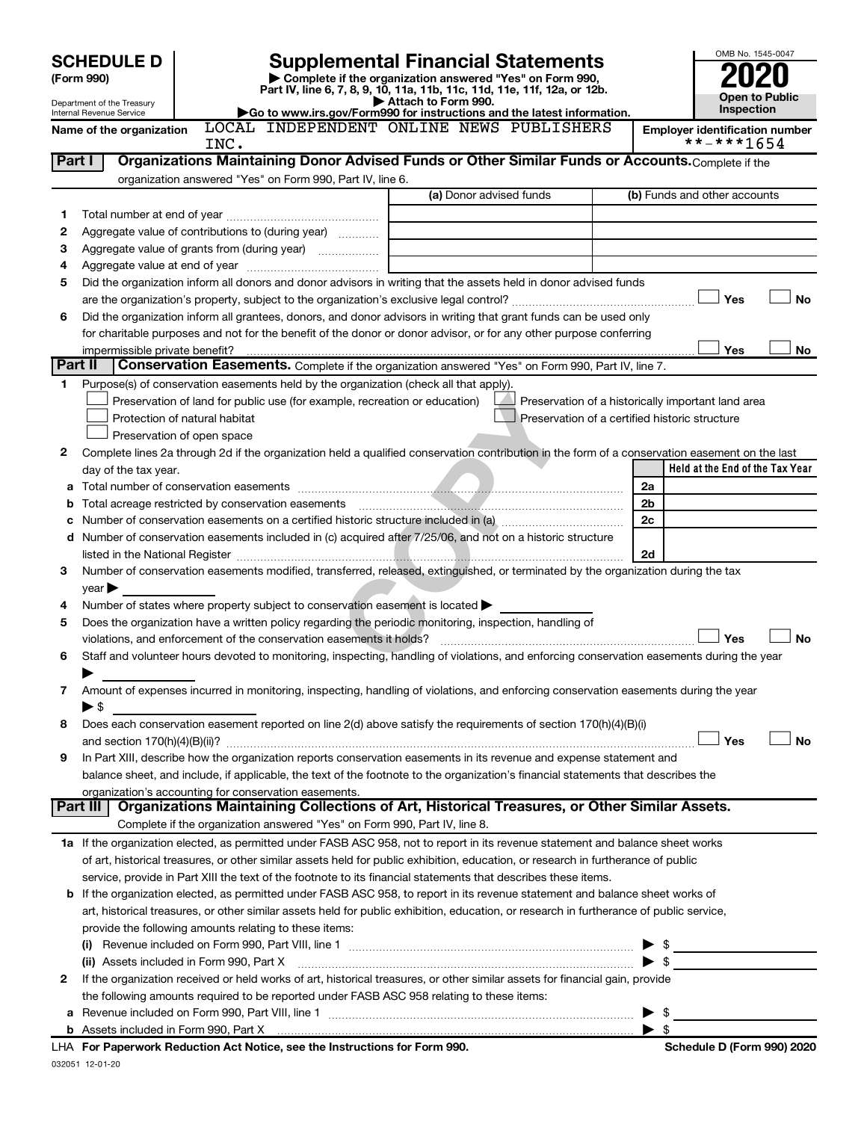|         | <b>SCHEDULE D</b>                        |                               | <b>Supplemental Financial Statements</b>                                                                                                              |                     |                                                    |      | OMB No. 1545-0047                                   |
|---------|------------------------------------------|-------------------------------|-------------------------------------------------------------------------------------------------------------------------------------------------------|---------------------|----------------------------------------------------|------|-----------------------------------------------------|
|         | (Form 990)                               |                               | Complete if the organization answered "Yes" on Form 990,<br>Part IV, line 6, 7, 8, 9, 10, 11a, 11b, 11c, 11d, 11e, 11f, 12a, or 12b.                  |                     |                                                    |      |                                                     |
|         | Department of the Treasury               |                               |                                                                                                                                                       | Attach to Form 990. |                                                    |      | <b>Open to Public</b><br><b>Inspection</b>          |
|         | Internal Revenue Service                 |                               | Go to www.irs.gov/Form990 for instructions and the latest information.<br>LOCAL INDEPENDENT ONLINE NEWS PUBLISHERS                                    |                     |                                                    |      |                                                     |
|         | Name of the organization                 | INC.                          |                                                                                                                                                       |                     |                                                    |      | <b>Employer identification number</b><br>**-***1654 |
| Part I  |                                          |                               | Organizations Maintaining Donor Advised Funds or Other Similar Funds or Accounts. Complete if the                                                     |                     |                                                    |      |                                                     |
|         |                                          |                               | organization answered "Yes" on Form 990, Part IV, line 6.                                                                                             |                     |                                                    |      |                                                     |
|         |                                          |                               |                                                                                                                                                       |                     | (a) Donor advised funds                            |      | (b) Funds and other accounts                        |
| 1       |                                          |                               |                                                                                                                                                       |                     |                                                    |      |                                                     |
| 2       |                                          |                               | Aggregate value of contributions to (during year)                                                                                                     |                     |                                                    |      |                                                     |
| З       |                                          |                               | Aggregate value of grants from (during year)                                                                                                          |                     |                                                    |      |                                                     |
| 4<br>5  |                                          |                               | Did the organization inform all donors and donor advisors in writing that the assets held in donor advised funds                                      |                     |                                                    |      |                                                     |
|         |                                          |                               |                                                                                                                                                       |                     |                                                    |      | Yes<br><b>No</b>                                    |
| 6       |                                          |                               | Did the organization inform all grantees, donors, and donor advisors in writing that grant funds can be used only                                     |                     |                                                    |      |                                                     |
|         |                                          |                               | for charitable purposes and not for the benefit of the donor or donor advisor, or for any other purpose conferring                                    |                     |                                                    |      |                                                     |
|         | impermissible private benefit?           |                               |                                                                                                                                                       |                     |                                                    |      | Yes<br>No                                           |
| Part II |                                          |                               | Conservation Easements. Complete if the organization answered "Yes" on Form 990, Part IV, line 7.                                                     |                     |                                                    |      |                                                     |
| 1       |                                          |                               | Purpose(s) of conservation easements held by the organization (check all that apply).                                                                 |                     |                                                    |      |                                                     |
|         |                                          |                               | Preservation of land for public use (for example, recreation or education)                                                                            |                     | Preservation of a historically important land area |      |                                                     |
|         |                                          | Protection of natural habitat |                                                                                                                                                       |                     | Preservation of a certified historic structure     |      |                                                     |
|         |                                          | Preservation of open space    |                                                                                                                                                       |                     |                                                    |      |                                                     |
| 2       |                                          |                               | Complete lines 2a through 2d if the organization held a qualified conservation contribution in the form of a conservation easement on the last        |                     |                                                    |      |                                                     |
|         | day of the tax year.                     |                               |                                                                                                                                                       |                     |                                                    |      | Held at the End of the Tax Year                     |
| а       |                                          |                               |                                                                                                                                                       |                     |                                                    | 2a   |                                                     |
| b       |                                          |                               |                                                                                                                                                       |                     |                                                    | 2b   |                                                     |
| с       |                                          |                               |                                                                                                                                                       |                     |                                                    | 2c   |                                                     |
| d       |                                          |                               | Number of conservation easements included in (c) acquired after 7/25/06, and not on a historic structure                                              |                     |                                                    |      |                                                     |
|         |                                          |                               |                                                                                                                                                       |                     |                                                    | 2d   |                                                     |
| 3       |                                          |                               | Number of conservation easements modified, transferred, released, extinguished, or terminated by the organization during the tax                      |                     |                                                    |      |                                                     |
|         | $year \blacktriangleright$               |                               |                                                                                                                                                       |                     |                                                    |      |                                                     |
| 4       |                                          |                               | Number of states where property subject to conservation easement is located $\blacktriangleright$                                                     |                     |                                                    |      |                                                     |
| 5       |                                          |                               | Does the organization have a written policy regarding the periodic monitoring, inspection, handling of                                                |                     |                                                    |      |                                                     |
|         |                                          |                               |                                                                                                                                                       |                     |                                                    |      | <b>No</b><br>Yes                                    |
| 6       |                                          |                               | Staff and volunteer hours devoted to monitoring, inspecting, handling of violations, and enforcing conservation easements during the year             |                     |                                                    |      |                                                     |
|         |                                          |                               |                                                                                                                                                       |                     |                                                    |      |                                                     |
| 7       |                                          |                               | Amount of expenses incurred in monitoring, inspecting, handling of violations, and enforcing conservation easements during the year                   |                     |                                                    |      |                                                     |
|         | $\blacktriangleright$ \$                 |                               |                                                                                                                                                       |                     |                                                    |      |                                                     |
| 8       |                                          |                               | Does each conservation easement reported on line 2(d) above satisfy the requirements of section 170(h)(4)(B)(i)                                       |                     |                                                    |      |                                                     |
|         |                                          |                               |                                                                                                                                                       |                     |                                                    |      | Yes<br>No                                           |
| 9       |                                          |                               | In Part XIII, describe how the organization reports conservation easements in its revenue and expense statement and                                   |                     |                                                    |      |                                                     |
|         |                                          |                               | balance sheet, and include, if applicable, the text of the footnote to the organization's financial statements that describes the                     |                     |                                                    |      |                                                     |
|         | Part III                                 |                               | organization's accounting for conservation easements.<br>Organizations Maintaining Collections of Art, Historical Treasures, or Other Similar Assets. |                     |                                                    |      |                                                     |
|         |                                          |                               | Complete if the organization answered "Yes" on Form 990, Part IV, line 8.                                                                             |                     |                                                    |      |                                                     |
|         |                                          |                               | 1a If the organization elected, as permitted under FASB ASC 958, not to report in its revenue statement and balance sheet works                       |                     |                                                    |      |                                                     |
|         |                                          |                               | of art, historical treasures, or other similar assets held for public exhibition, education, or research in furtherance of public                     |                     |                                                    |      |                                                     |
|         |                                          |                               | service, provide in Part XIII the text of the footnote to its financial statements that describes these items.                                        |                     |                                                    |      |                                                     |
|         |                                          |                               | <b>b</b> If the organization elected, as permitted under FASB ASC 958, to report in its revenue statement and balance sheet works of                  |                     |                                                    |      |                                                     |
|         |                                          |                               | art, historical treasures, or other similar assets held for public exhibition, education, or research in furtherance of public service,               |                     |                                                    |      |                                                     |
|         |                                          |                               | provide the following amounts relating to these items:                                                                                                |                     |                                                    |      |                                                     |
|         |                                          |                               |                                                                                                                                                       |                     |                                                    | - \$ |                                                     |
|         | (ii) Assets included in Form 990, Part X |                               |                                                                                                                                                       |                     |                                                    | -\$  |                                                     |
| 2       |                                          |                               | If the organization received or held works of art, historical treasures, or other similar assets for financial gain, provide                          |                     |                                                    |      |                                                     |
|         |                                          |                               | the following amounts required to be reported under FASB ASC 958 relating to these items:                                                             |                     |                                                    |      |                                                     |
|         |                                          |                               |                                                                                                                                                       |                     |                                                    |      |                                                     |
|         |                                          |                               | b Assets included in Form 990, Part X [11] matter contract the contract of Assets included in Form 990, Part X                                        |                     |                                                    | -\$  |                                                     |
|         |                                          |                               | For Department: Deduction Act Nation and the Instructions for Form 000                                                                                |                     |                                                    |      | Cahadula D (Faum 000) 2000                          |

032051 12-01-20 **For Paperwork Reduction Act Notice, see the Instructions for Form 990. Schedule D (Form 990) 2020** LHA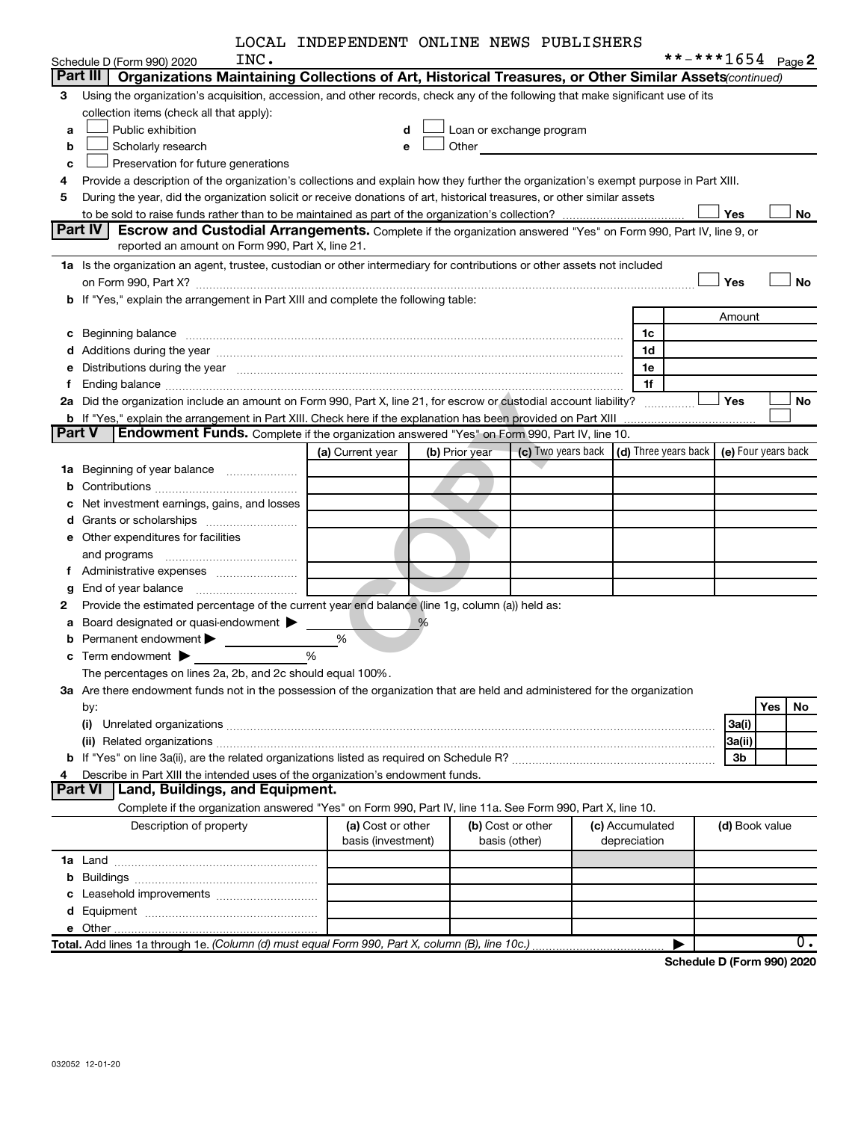| LOCAL INDEPENDENT ONLINE NEWS PUBLISHERS |  |  |
|------------------------------------------|--|--|
|                                          |  |  |

|               |                                                                                                                                                                                                                                | LOCAL INDEPENDENT ONLINE NEWS PUBLISHEKS |                |                                                         |                 |   |                |                     |
|---------------|--------------------------------------------------------------------------------------------------------------------------------------------------------------------------------------------------------------------------------|------------------------------------------|----------------|---------------------------------------------------------|-----------------|---|----------------|---------------------|
|               | INC.<br>Schedule D (Form 990) 2020                                                                                                                                                                                             |                                          |                |                                                         |                 |   |                | **-***1654 Page 2   |
|               | Organizations Maintaining Collections of Art, Historical Treasures, or Other Similar Assets(continued)<br>Part III                                                                                                             |                                          |                |                                                         |                 |   |                |                     |
| з             | Using the organization's acquisition, accession, and other records, check any of the following that make significant use of its                                                                                                |                                          |                |                                                         |                 |   |                |                     |
|               | collection items (check all that apply):                                                                                                                                                                                       |                                          |                |                                                         |                 |   |                |                     |
| a             | Public exhibition                                                                                                                                                                                                              | d                                        |                | Loan or exchange program                                |                 |   |                |                     |
| b             | Scholarly research                                                                                                                                                                                                             | e                                        | Other          |                                                         |                 |   |                |                     |
| c             | Preservation for future generations                                                                                                                                                                                            |                                          |                |                                                         |                 |   |                |                     |
| 4             | Provide a description of the organization's collections and explain how they further the organization's exempt purpose in Part XIII.                                                                                           |                                          |                |                                                         |                 |   |                |                     |
| 5             | During the year, did the organization solicit or receive donations of art, historical treasures, or other similar assets                                                                                                       |                                          |                |                                                         |                 |   |                |                     |
|               |                                                                                                                                                                                                                                |                                          |                |                                                         |                 |   | Yes            | No                  |
|               | Part IV<br>Escrow and Custodial Arrangements. Complete if the organization answered "Yes" on Form 990, Part IV, line 9, or                                                                                                     |                                          |                |                                                         |                 |   |                |                     |
|               | reported an amount on Form 990, Part X, line 21.                                                                                                                                                                               |                                          |                |                                                         |                 |   |                |                     |
|               | 1a Is the organization an agent, trustee, custodian or other intermediary for contributions or other assets not included                                                                                                       |                                          |                |                                                         |                 |   |                |                     |
|               |                                                                                                                                                                                                                                |                                          |                |                                                         |                 |   | Yes            | <b>No</b>           |
|               | b If "Yes," explain the arrangement in Part XIII and complete the following table:                                                                                                                                             |                                          |                |                                                         |                 |   |                |                     |
|               |                                                                                                                                                                                                                                |                                          |                |                                                         |                 |   | Amount         |                     |
|               | c Beginning balance measurements and the contract of the contract of the contract of the contract of the contract of the contract of the contract of the contract of the contract of the contract of the contract of the contr |                                          |                |                                                         | 1c              |   |                |                     |
|               |                                                                                                                                                                                                                                |                                          |                |                                                         | 1d              |   |                |                     |
|               | e Distributions during the year manufactured and continuum and contained and the year manufactured and contained and the year manufactured and contained and contained and contained and contained and contained and contained |                                          |                |                                                         | 1е              |   |                |                     |
| Ť.            |                                                                                                                                                                                                                                |                                          |                |                                                         | 1f              |   |                |                     |
|               | 2a Did the organization include an amount on Form 990, Part X, line 21, for escrow or custodial account liability?                                                                                                             |                                          |                |                                                         |                 |   | Yes            | No                  |
|               |                                                                                                                                                                                                                                |                                          |                |                                                         |                 |   |                |                     |
| <b>Part V</b> | Endowment Funds. Complete if the organization answered "Yes" on Form 990, Part IV, line 10.                                                                                                                                    |                                          |                |                                                         |                 |   |                |                     |
|               |                                                                                                                                                                                                                                | (a) Current year                         | (b) Prior year | (c) Two years back $\vert$ (d) Three years back $\vert$ |                 |   |                | (e) Four years back |
|               | 1a Beginning of year balance                                                                                                                                                                                                   |                                          |                |                                                         |                 |   |                |                     |
| b             |                                                                                                                                                                                                                                |                                          |                |                                                         |                 |   |                |                     |
| с             | Net investment earnings, gains, and losses                                                                                                                                                                                     |                                          |                |                                                         |                 |   |                |                     |
|               |                                                                                                                                                                                                                                |                                          |                |                                                         |                 |   |                |                     |
|               | <b>e</b> Other expenditures for facilities                                                                                                                                                                                     |                                          |                |                                                         |                 |   |                |                     |
|               |                                                                                                                                                                                                                                |                                          |                |                                                         |                 |   |                |                     |
|               |                                                                                                                                                                                                                                |                                          |                |                                                         |                 |   |                |                     |
| g             |                                                                                                                                                                                                                                |                                          |                |                                                         |                 |   |                |                     |
| 2             | Provide the estimated percentage of the current year end balance (line 1g, column (a)) held as:                                                                                                                                |                                          |                |                                                         |                 |   |                |                     |
| а             | Board designated or quasi-endowment $\blacktriangleright$                                                                                                                                                                      |                                          | %              |                                                         |                 |   |                |                     |
| b             | Permanent endowment >                                                                                                                                                                                                          | %                                        |                |                                                         |                 |   |                |                     |
| c             | Term endowment <b>Department</b>                                                                                                                                                                                               | %                                        |                |                                                         |                 |   |                |                     |
|               | The percentages on lines 2a, 2b, and 2c should equal 100%                                                                                                                                                                      |                                          |                |                                                         |                 |   |                |                     |
|               | 3a Are there endowment funds not in the possession of the organization that are held and administered for the organization                                                                                                     |                                          |                |                                                         |                 |   |                |                     |
|               | by:                                                                                                                                                                                                                            |                                          |                |                                                         |                 |   |                | Yes<br>No           |
|               | (i)                                                                                                                                                                                                                            |                                          |                |                                                         |                 |   | 3a(i)          |                     |
|               |                                                                                                                                                                                                                                |                                          |                |                                                         |                 |   | 3a(ii)         |                     |
|               |                                                                                                                                                                                                                                |                                          |                |                                                         |                 |   | 3b             |                     |
| 4             | Describe in Part XIII the intended uses of the organization's endowment funds.                                                                                                                                                 |                                          |                |                                                         |                 |   |                |                     |
|               | Land, Buildings, and Equipment.<br>Part VI                                                                                                                                                                                     |                                          |                |                                                         |                 |   |                |                     |
|               | Complete if the organization answered "Yes" on Form 990, Part IV, line 11a. See Form 990, Part X, line 10.                                                                                                                     |                                          |                |                                                         |                 |   |                |                     |
|               | Description of property                                                                                                                                                                                                        | (a) Cost or other                        |                | (b) Cost or other                                       | (c) Accumulated |   | (d) Book value |                     |
|               |                                                                                                                                                                                                                                | basis (investment)                       |                | basis (other)                                           | depreciation    |   |                |                     |
|               |                                                                                                                                                                                                                                |                                          |                |                                                         |                 |   |                |                     |
|               |                                                                                                                                                                                                                                |                                          |                |                                                         |                 |   |                |                     |
|               |                                                                                                                                                                                                                                |                                          |                |                                                         |                 |   |                |                     |
|               |                                                                                                                                                                                                                                |                                          |                |                                                         |                 |   |                |                     |
|               |                                                                                                                                                                                                                                |                                          |                |                                                         |                 |   |                |                     |
|               |                                                                                                                                                                                                                                |                                          |                |                                                         |                 | ▶ |                | $\overline{0}$ .    |
|               |                                                                                                                                                                                                                                |                                          |                |                                                         |                 |   |                |                     |

**Schedule D (Form 990) 2020**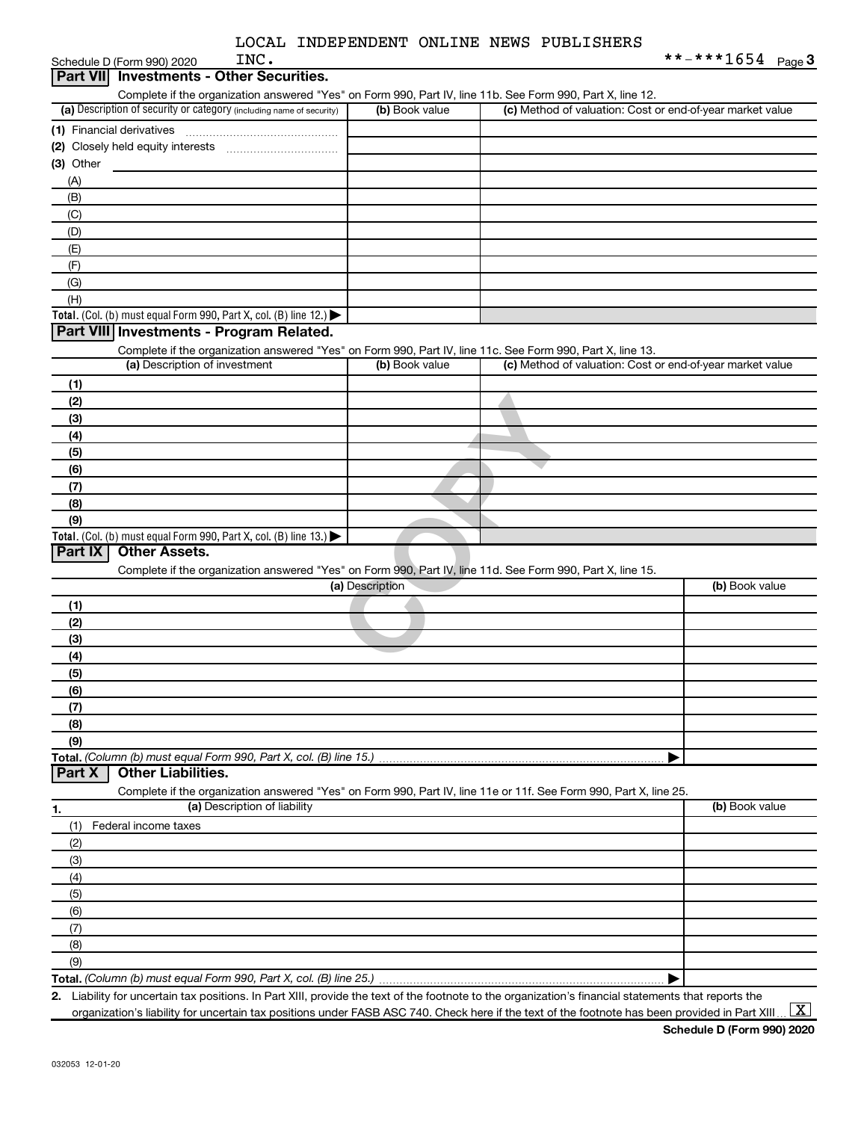| LOCAL INDEPENDENT ONLINE NEWS PUBLISHERS |  |  |  |  |  |
|------------------------------------------|--|--|--|--|--|
|------------------------------------------|--|--|--|--|--|

|                  | INC.<br>Schedule D (Form 990) 2020                                                                                |                 |                                                           | **-***1654 $_{Page 3}$ |
|------------------|-------------------------------------------------------------------------------------------------------------------|-----------------|-----------------------------------------------------------|------------------------|
| <b>Part VIII</b> | <b>Investments - Other Securities.</b>                                                                            |                 |                                                           |                        |
|                  | Complete if the organization answered "Yes" on Form 990, Part IV, line 11b. See Form 990, Part X, line 12.        |                 |                                                           |                        |
|                  | (a) Description of security or category (including name of security)                                              | (b) Book value  | (c) Method of valuation: Cost or end-of-year market value |                        |
|                  | (1) Financial derivatives                                                                                         |                 |                                                           |                        |
|                  |                                                                                                                   |                 |                                                           |                        |
| $(3)$ Other      |                                                                                                                   |                 |                                                           |                        |
| (A)              |                                                                                                                   |                 |                                                           |                        |
| (B)              |                                                                                                                   |                 |                                                           |                        |
|                  |                                                                                                                   |                 |                                                           |                        |
| (C)              |                                                                                                                   |                 |                                                           |                        |
| (D)              |                                                                                                                   |                 |                                                           |                        |
| (E)              |                                                                                                                   |                 |                                                           |                        |
| (F)              |                                                                                                                   |                 |                                                           |                        |
| (G)              |                                                                                                                   |                 |                                                           |                        |
| (H)              |                                                                                                                   |                 |                                                           |                        |
|                  | Total. (Col. (b) must equal Form 990, Part X, col. (B) line 12.) $\blacktriangleright$                            |                 |                                                           |                        |
|                  | Part VIII Investments - Program Related.                                                                          |                 |                                                           |                        |
|                  | Complete if the organization answered "Yes" on Form 990, Part IV, line 11c. See Form 990, Part X, line 13.        |                 |                                                           |                        |
|                  | (a) Description of investment                                                                                     | (b) Book value  | (c) Method of valuation: Cost or end-of-year market value |                        |
| (1)              |                                                                                                                   |                 |                                                           |                        |
| (2)              |                                                                                                                   |                 |                                                           |                        |
| (3)              |                                                                                                                   |                 |                                                           |                        |
| (4)              |                                                                                                                   |                 |                                                           |                        |
|                  |                                                                                                                   |                 |                                                           |                        |
| (5)              |                                                                                                                   |                 |                                                           |                        |
| (6)              |                                                                                                                   |                 |                                                           |                        |
| (7)              |                                                                                                                   |                 |                                                           |                        |
| (8)              |                                                                                                                   |                 |                                                           |                        |
| (9)              |                                                                                                                   |                 |                                                           |                        |
|                  | Total. (Col. (b) must equal Form 990, Part X, col. (B) line 13.)                                                  |                 |                                                           |                        |
| Part IX          | <b>Other Assets.</b>                                                                                              |                 |                                                           |                        |
|                  | Complete if the organization answered "Yes" on Form 990, Part IV, line 11d. See Form 990, Part X, line 15.        |                 |                                                           |                        |
|                  |                                                                                                                   | (a) Description |                                                           | (b) Book value         |
| (1)              |                                                                                                                   |                 |                                                           |                        |
| (2)              |                                                                                                                   |                 |                                                           |                        |
| (3)              |                                                                                                                   |                 |                                                           |                        |
| (4)              |                                                                                                                   |                 |                                                           |                        |
| (5)              |                                                                                                                   |                 |                                                           |                        |
| (6)              |                                                                                                                   |                 |                                                           |                        |
| (7)              |                                                                                                                   |                 |                                                           |                        |
| (8)              |                                                                                                                   |                 |                                                           |                        |
| (9)              |                                                                                                                   |                 |                                                           |                        |
|                  | Total. (Column (b) must equal Form 990, Part X, col. (B) line 15.)                                                |                 |                                                           |                        |
| Part X           | <b>Other Liabilities.</b>                                                                                         |                 |                                                           |                        |
|                  |                                                                                                                   |                 |                                                           |                        |
|                  | Complete if the organization answered "Yes" on Form 990, Part IV, line 11e or 11f. See Form 990, Part X, line 25. |                 |                                                           |                        |
| 1.               | (a) Description of liability                                                                                      |                 |                                                           | (b) Book value         |
| (1)              | Federal income taxes                                                                                              |                 |                                                           |                        |
| (2)              |                                                                                                                   |                 |                                                           |                        |
| (3)              |                                                                                                                   |                 |                                                           |                        |
| (4)              |                                                                                                                   |                 |                                                           |                        |
| (5)              |                                                                                                                   |                 |                                                           |                        |
| (6)              |                                                                                                                   |                 |                                                           |                        |
| (7)              |                                                                                                                   |                 |                                                           |                        |
| (8)              |                                                                                                                   |                 |                                                           |                        |
| (9)              |                                                                                                                   |                 |                                                           |                        |
|                  |                                                                                                                   |                 |                                                           |                        |
|                  |                                                                                                                   |                 |                                                           |                        |

**2.** Liability for uncertain tax positions. In Part XIII, provide the text of the footnote to the organization's financial statements that reports the organization's liability for uncertain tax positions under FASB ASC 740. Check here if the text of the footnote has been provided in Part XIII ...  $\fbox{\bf X}$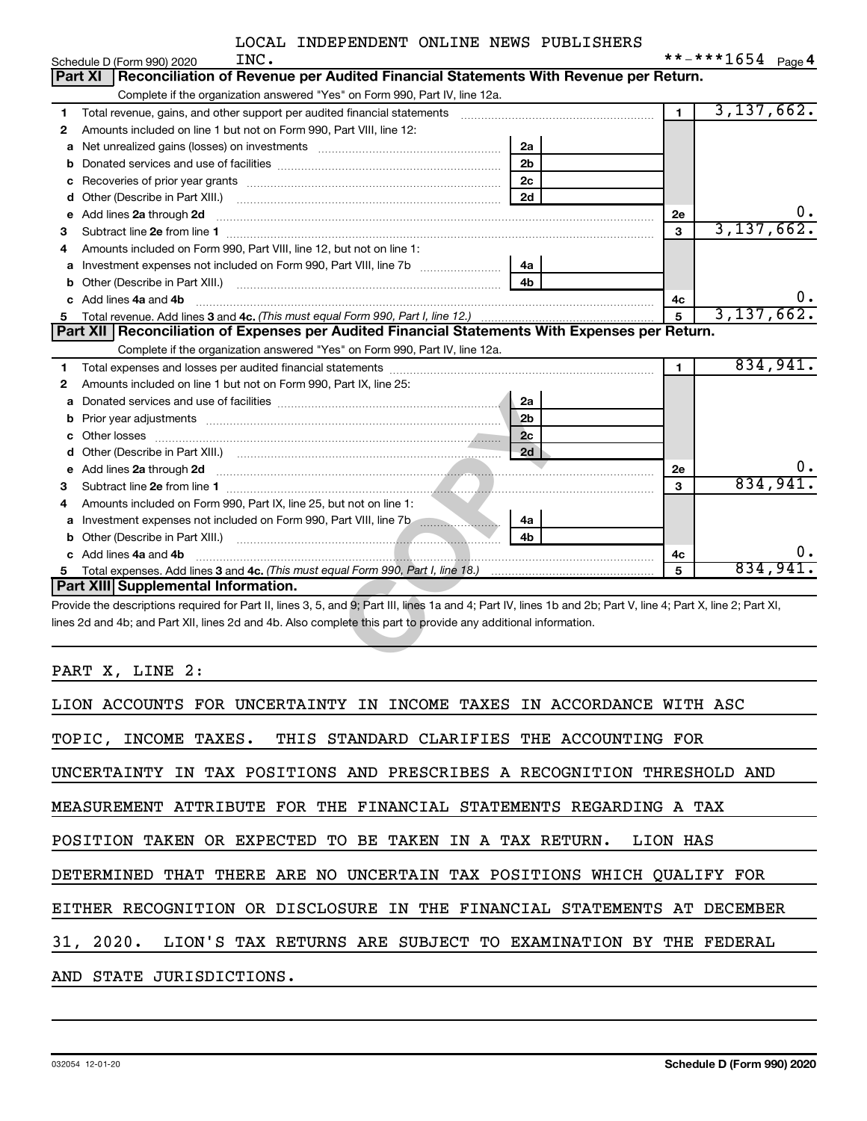|    | INC.<br>Schedule D (Form 990) 2020                                                                                                                                                                                                                                               |                |                | **-***1654 $_{Page 4}$ |
|----|----------------------------------------------------------------------------------------------------------------------------------------------------------------------------------------------------------------------------------------------------------------------------------|----------------|----------------|------------------------|
|    | Reconciliation of Revenue per Audited Financial Statements With Revenue per Return.<br>Part XI                                                                                                                                                                                   |                |                |                        |
|    | Complete if the organization answered "Yes" on Form 990, Part IV, line 12a.                                                                                                                                                                                                      |                |                |                        |
| 1  | Total revenue, gains, and other support per audited financial statements                                                                                                                                                                                                         |                | $\blacksquare$ | 3,137,662.             |
| 2  | Amounts included on line 1 but not on Form 990, Part VIII, line 12:                                                                                                                                                                                                              |                |                |                        |
| a  |                                                                                                                                                                                                                                                                                  | 2a             |                |                        |
| b  |                                                                                                                                                                                                                                                                                  | 2 <sub>b</sub> |                |                        |
| с  |                                                                                                                                                                                                                                                                                  | 2 <sub>c</sub> |                |                        |
| d  | Other (Describe in Part XIII.)                                                                                                                                                                                                                                                   | 2d             |                |                        |
| е  | Add lines 2a through 2d                                                                                                                                                                                                                                                          |                | 2e             |                        |
| 3  |                                                                                                                                                                                                                                                                                  |                | 3              | 3,137,662.             |
| 4  | Amounts included on Form 990, Part VIII, line 12, but not on line 1:                                                                                                                                                                                                             |                |                |                        |
| a  |                                                                                                                                                                                                                                                                                  | 4a             |                |                        |
| b  | Other (Describe in Part XIII.) [1001] [2010] [2010] [2010] [3010] [3010] [3010] [3010] [3010] [3010] [3010] [3010] [3010] [3010] [3010] [3010] [3010] [3010] [3010] [3010] [3010] [3010] [3010] [3010] [3010] [3010] [3010] [3                                                   | 4b             |                |                        |
| c. | Add lines 4a and 4b                                                                                                                                                                                                                                                              |                | 4c             |                        |
|    | Total revenue. Add lines 3 and 4c. (This must equal Form 990, Part I, line 12.)                                                                                                                                                                                                  |                | 5              | 3, 137, 662.           |
|    | Part XII   Reconciliation of Expenses per Audited Financial Statements With Expenses per Return.                                                                                                                                                                                 |                |                |                        |
|    | Complete if the organization answered "Yes" on Form 990, Part IV, line 12a.                                                                                                                                                                                                      |                |                |                        |
| 1  |                                                                                                                                                                                                                                                                                  |                | $\mathbf{1}$   | 834,941.               |
| 2  | Amounts included on line 1 but not on Form 990, Part IX, line 25:                                                                                                                                                                                                                |                |                |                        |
| a  |                                                                                                                                                                                                                                                                                  | 2a             |                |                        |
| b  | Prior year adjustments <i>www.www.www.www.www.www.www.www.www.</i> ww.                                                                                                                                                                                                           | 2 <sub>b</sub> |                |                        |
| c  |                                                                                                                                                                                                                                                                                  | 2c             |                |                        |
| d  |                                                                                                                                                                                                                                                                                  | 2d             |                |                        |
| е  |                                                                                                                                                                                                                                                                                  |                | 2e             |                        |
| 3  |                                                                                                                                                                                                                                                                                  |                | 3              | 834,941                |
| 4  | Amounts included on Form 990, Part IX, line 25, but not on line 1:                                                                                                                                                                                                               |                |                |                        |
| a  |                                                                                                                                                                                                                                                                                  | 4a             |                |                        |
| b  |                                                                                                                                                                                                                                                                                  | 4h             |                |                        |
|    | Add lines 4a and 4b                                                                                                                                                                                                                                                              |                | 4с             | Ο.                     |
| 5  |                                                                                                                                                                                                                                                                                  |                | 5              | 834,941.               |
|    | Part XIII Supplemental Information.                                                                                                                                                                                                                                              |                |                |                        |
|    | Provide the descriptions required for Part II, lines 3, 5, and 9; Part III, lines 1a and 4; Part IV, lines 1b and 2b; Part V, line 4; Part X, line 2; Part XI,<br>lines 2d and 4b; and Part XII, lines 2d and 4b. Also complete this part to provide any additional information. |                |                |                        |

PART X, LINE 2:

| LION ACCOUNTS FOR UNCERTAINTY IN INCOME TAXES IN ACCORDANCE WITH ASC     |
|--------------------------------------------------------------------------|
| TOPIC, INCOME TAXES. THIS STANDARD CLARIFIES THE ACCOUNTING FOR          |
| UNCERTAINTY IN TAX POSITIONS AND PRESCRIBES A RECOGNITION THRESHOLD AND  |
| MEASUREMENT ATTRIBUTE FOR THE FINANCIAL STATEMENTS REGARDING A TAX       |
| POSITION TAKEN OR EXPECTED TO BE TAKEN IN A TAX RETURN. LION HAS         |
| DETERMINED THAT THERE ARE NO UNCERTAIN TAX POSITIONS WHICH QUALIFY FOR   |
| EITHER RECOGNITION OR DISCLOSURE IN THE FINANCIAL STATEMENTS AT DECEMBER |
| 31, 2020. LION'S TAX RETURNS ARE SUBJECT TO EXAMINATION BY THE FEDERAL   |
| AND STATE JURISDICTIONS.                                                 |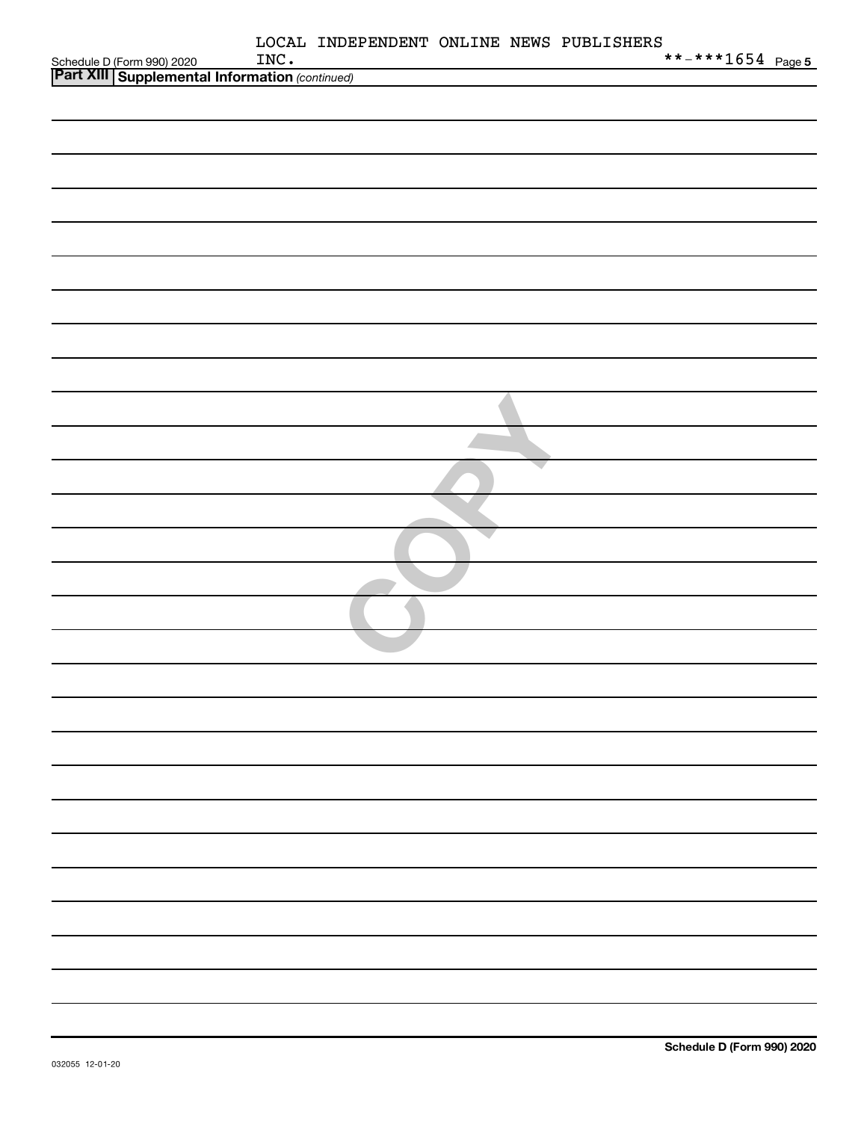| Schedule D (Form 990) 2020 INC.<br><b>Part XIII   Supplemental Information</b> (continued) | INC. | LOCAL INDEPENDENT ONLINE NEWS PUBLISHERS | **-***1654 Page 5 |  |
|--------------------------------------------------------------------------------------------|------|------------------------------------------|-------------------|--|
|                                                                                            |      |                                          |                   |  |
|                                                                                            |      |                                          |                   |  |
|                                                                                            |      |                                          |                   |  |
|                                                                                            |      |                                          |                   |  |
|                                                                                            |      |                                          |                   |  |
|                                                                                            |      |                                          |                   |  |
|                                                                                            |      |                                          |                   |  |
|                                                                                            |      |                                          |                   |  |
|                                                                                            |      |                                          |                   |  |
|                                                                                            |      |                                          |                   |  |
|                                                                                            |      |                                          |                   |  |
|                                                                                            |      |                                          |                   |  |
|                                                                                            |      |                                          |                   |  |
|                                                                                            |      |                                          |                   |  |
|                                                                                            |      |                                          |                   |  |
|                                                                                            |      |                                          |                   |  |
|                                                                                            |      |                                          |                   |  |
|                                                                                            |      |                                          |                   |  |
|                                                                                            |      |                                          |                   |  |
|                                                                                            |      |                                          |                   |  |
|                                                                                            |      |                                          |                   |  |
|                                                                                            |      |                                          |                   |  |
|                                                                                            |      |                                          |                   |  |
|                                                                                            |      |                                          |                   |  |
|                                                                                            |      |                                          |                   |  |
|                                                                                            |      |                                          |                   |  |
|                                                                                            |      |                                          |                   |  |
|                                                                                            |      |                                          |                   |  |
|                                                                                            |      |                                          |                   |  |
|                                                                                            |      |                                          |                   |  |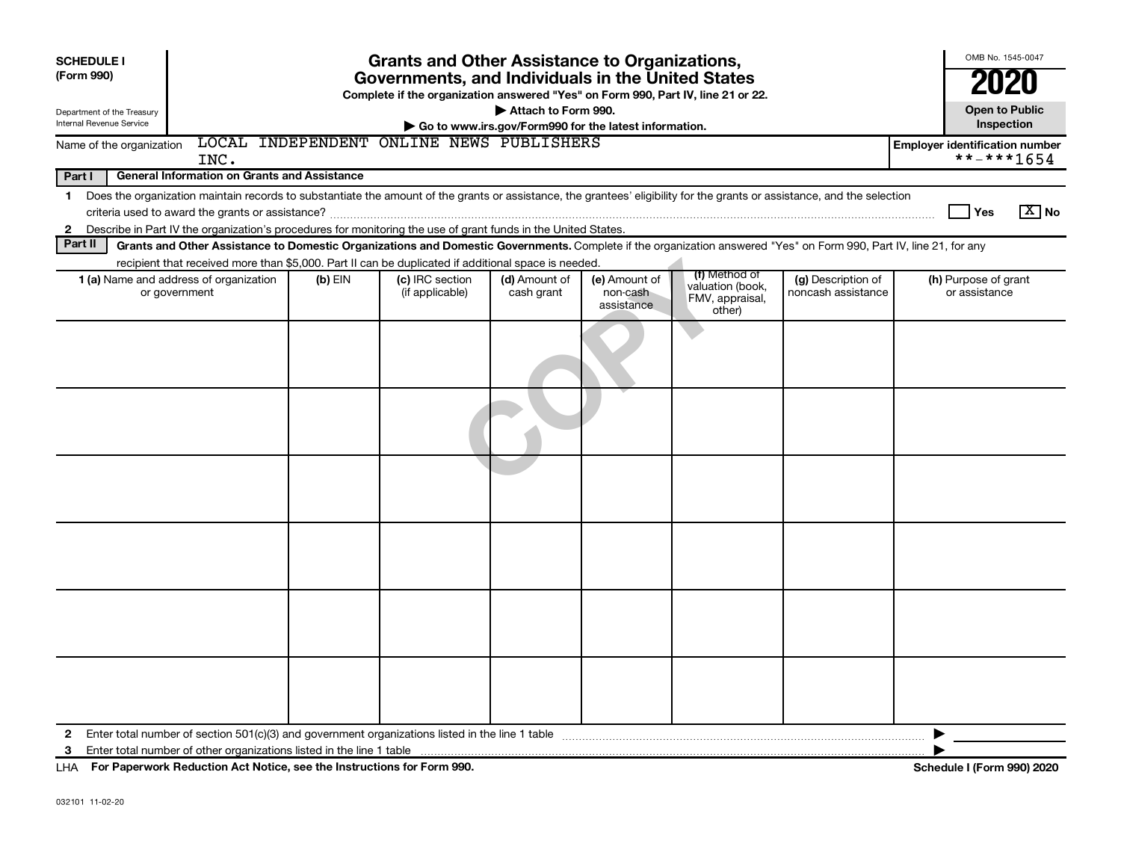| <b>SCHEDULE I</b><br>(Form 990)<br>Department of the Treasury<br>Internal Revenue Service | <b>Grants and Other Assistance to Organizations,</b><br>Governments, and Individuals in the United States<br>Complete if the organization answered "Yes" on Form 990, Part IV, line 21 or 22.<br>Attach to Form 990.<br>Go to www.irs.gov/Form990 for the latest information. |         |                                    |                             |                                         |                                               |                                          |                                       |  |  |  |
|-------------------------------------------------------------------------------------------|-------------------------------------------------------------------------------------------------------------------------------------------------------------------------------------------------------------------------------------------------------------------------------|---------|------------------------------------|-----------------------------|-----------------------------------------|-----------------------------------------------|------------------------------------------|---------------------------------------|--|--|--|
| Name of the organization                                                                  | LOCAL INDEPENDENT ONLINE NEWS PUBLISHERS<br><b>Employer identification number</b><br>**-***1654<br>INC.                                                                                                                                                                       |         |                                    |                             |                                         |                                               |                                          |                                       |  |  |  |
| Part I                                                                                    | <b>General Information on Grants and Assistance</b>                                                                                                                                                                                                                           |         |                                    |                             |                                         |                                               |                                          |                                       |  |  |  |
|                                                                                           | 1 Does the organization maintain records to substantiate the amount of the grants or assistance, the grantees' eligibility for the grants or assistance, and the selection                                                                                                    |         |                                    |                             |                                         |                                               |                                          |                                       |  |  |  |
|                                                                                           | $\boxed{\text{X}}$ No<br>Yes                                                                                                                                                                                                                                                  |         |                                    |                             |                                         |                                               |                                          |                                       |  |  |  |
| $\mathbf{2}$                                                                              | Describe in Part IV the organization's procedures for monitoring the use of grant funds in the United States.                                                                                                                                                                 |         |                                    |                             |                                         |                                               |                                          |                                       |  |  |  |
| Part II                                                                                   | Grants and Other Assistance to Domestic Organizations and Domestic Governments. Complete if the organization answered "Yes" on Form 990, Part IV, line 21, for any                                                                                                            |         |                                    |                             |                                         |                                               |                                          |                                       |  |  |  |
|                                                                                           | recipient that received more than \$5,000. Part II can be duplicated if additional space is needed                                                                                                                                                                            |         |                                    |                             |                                         | (f) Method of                                 |                                          |                                       |  |  |  |
|                                                                                           | 1 (a) Name and address of organization<br>or government                                                                                                                                                                                                                       | (b) EIN | (c) IRC section<br>(if applicable) | (d) Amount of<br>cash grant | (e) Amount of<br>non-cash<br>assistance | valuation (book,<br>FMV, appraisal,<br>other) | (g) Description of<br>noncash assistance | (h) Purpose of grant<br>or assistance |  |  |  |
|                                                                                           |                                                                                                                                                                                                                                                                               |         |                                    |                             |                                         |                                               |                                          |                                       |  |  |  |
|                                                                                           |                                                                                                                                                                                                                                                                               |         |                                    |                             |                                         |                                               |                                          |                                       |  |  |  |
|                                                                                           |                                                                                                                                                                                                                                                                               |         |                                    |                             |                                         |                                               |                                          |                                       |  |  |  |
|                                                                                           |                                                                                                                                                                                                                                                                               |         |                                    |                             |                                         |                                               |                                          |                                       |  |  |  |
|                                                                                           |                                                                                                                                                                                                                                                                               |         |                                    |                             |                                         |                                               |                                          |                                       |  |  |  |
|                                                                                           |                                                                                                                                                                                                                                                                               |         |                                    |                             |                                         |                                               |                                          |                                       |  |  |  |
| 2                                                                                         |                                                                                                                                                                                                                                                                               |         |                                    |                             |                                         |                                               |                                          |                                       |  |  |  |
| 3                                                                                         |                                                                                                                                                                                                                                                                               |         |                                    |                             |                                         |                                               |                                          |                                       |  |  |  |
|                                                                                           | LHA For Paperwork Reduction Act Notice, see the Instructions for Form 990.                                                                                                                                                                                                    |         |                                    |                             |                                         |                                               |                                          | <b>Schedule I (Form 990) 2020</b>     |  |  |  |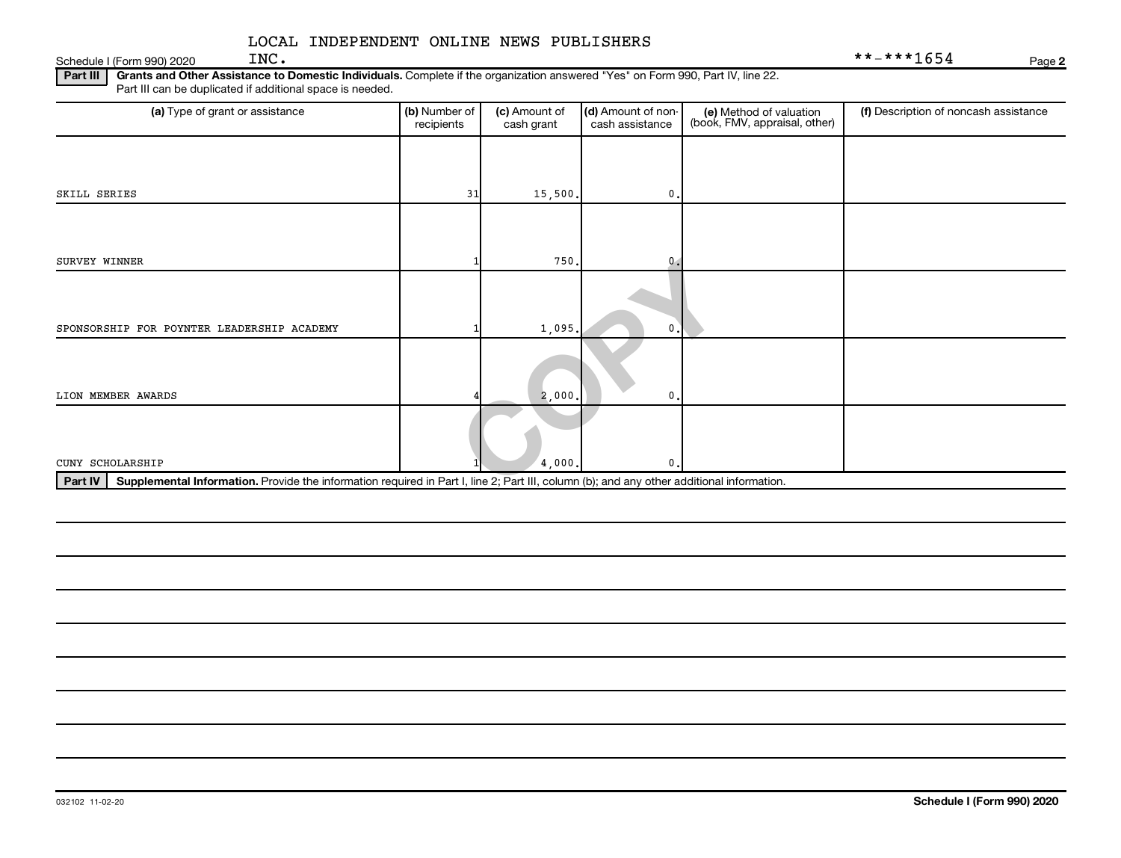**2**

## LOCAL INDEPENDENT ONLINE NEWS PUBLISHERS

| Schedule | 2020<br>., aar<br>1E -<br>. | INC | $\sim$<br>4 ה<br>$\sim$ $\sim$<br>-- | Paɑe |
|----------|-----------------------------|-----|--------------------------------------|------|
|          |                             |     |                                      |      |

**Part III Grants and Other Assistance to Domestic Individuals.**  Complete if the organization answered "Yes" on Form 990, Part IV, line 22. Part III can be duplicated if additional space is needed.

| (a) Type of grant or assistance                                                                                                                      | (b) Number of<br>recipients | (c) Amount of<br>cash grant | (d) Amount of non-<br>cash assistance | (e) Method of valuation<br>(book, FMV, appraisal, other) | (f) Description of noncash assistance |
|------------------------------------------------------------------------------------------------------------------------------------------------------|-----------------------------|-----------------------------|---------------------------------------|----------------------------------------------------------|---------------------------------------|
|                                                                                                                                                      |                             |                             |                                       |                                                          |                                       |
| SKILL SERIES                                                                                                                                         | 31                          | 15,500.                     | 0.                                    |                                                          |                                       |
|                                                                                                                                                      |                             |                             |                                       |                                                          |                                       |
| SURVEY WINNER                                                                                                                                        |                             | 750.                        | 0.4                                   |                                                          |                                       |
|                                                                                                                                                      |                             |                             |                                       |                                                          |                                       |
| SPONSORSHIP FOR POYNTER LEADERSHIP ACADEMY                                                                                                           |                             | 1,095.                      | 0                                     |                                                          |                                       |
| LION MEMBER AWARDS                                                                                                                                   |                             | 2,000.                      | 0                                     |                                                          |                                       |
|                                                                                                                                                      |                             |                             |                                       |                                                          |                                       |
| CUNY SCHOLARSHIP                                                                                                                                     |                             | 4,000.                      | $\mathfrak o$ .                       |                                                          |                                       |
| Supplemental Information. Provide the information required in Part I, line 2; Part III, column (b); and any other additional information.<br>Part IV |                             |                             |                                       |                                                          |                                       |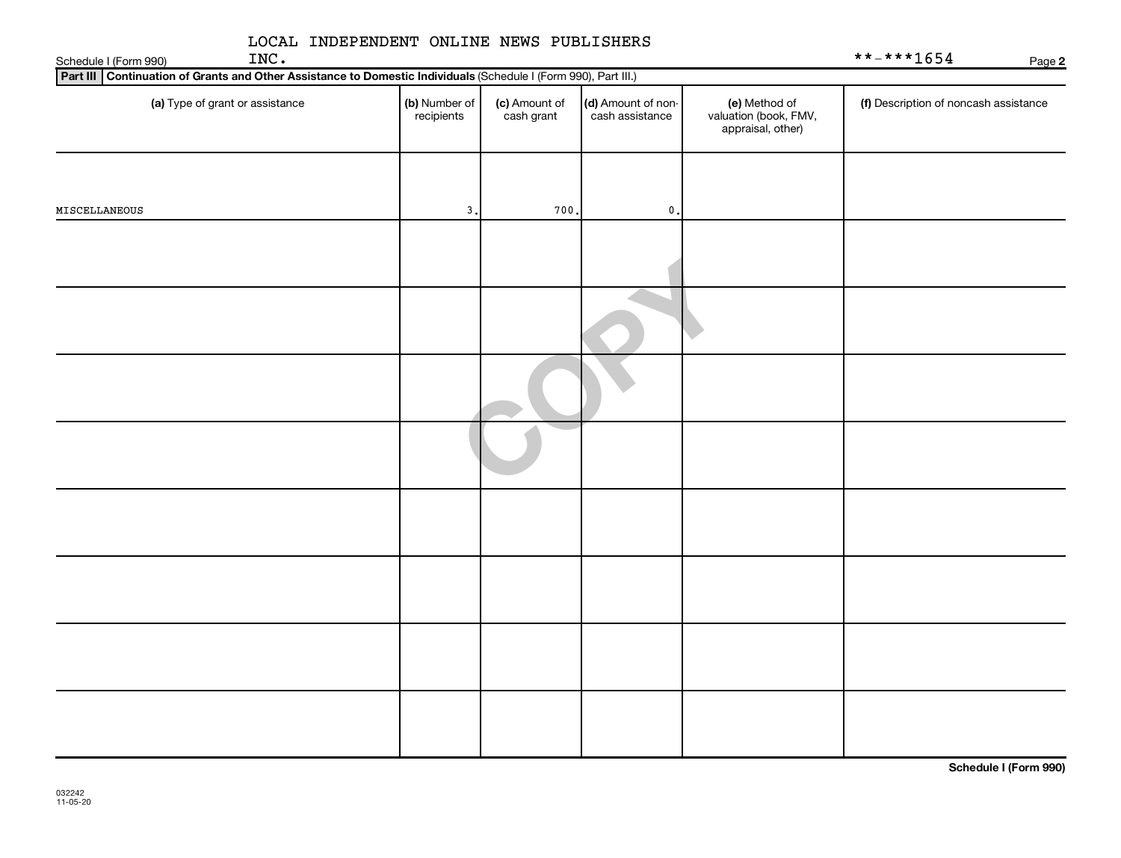| LOCAL INDEPENDENT ONLINE NEWS PUBLISHERS<br>INC.<br>Schedule I (Form 990)                                       |                             |                             |                                       |                                                             | **-***1654<br>Page 2                  |
|-----------------------------------------------------------------------------------------------------------------|-----------------------------|-----------------------------|---------------------------------------|-------------------------------------------------------------|---------------------------------------|
| Part III Continuation of Grants and Other Assistance to Domestic Individuals (Schedule I (Form 990), Part III.) |                             |                             |                                       |                                                             |                                       |
| (a) Type of grant or assistance                                                                                 | (b) Number of<br>recipients | (c) Amount of<br>cash grant | (d) Amount of non-<br>cash assistance | (e) Method of<br>valuation (book, FMV,<br>appraisal, other) | (f) Description of noncash assistance |
| MISCELLANEOUS                                                                                                   | 3.                          | 700                         | $\mathbf{0}$ .                        |                                                             |                                       |
|                                                                                                                 |                             |                             |                                       |                                                             |                                       |
|                                                                                                                 |                             |                             |                                       |                                                             |                                       |
|                                                                                                                 |                             |                             |                                       |                                                             |                                       |
|                                                                                                                 |                             |                             |                                       |                                                             |                                       |
|                                                                                                                 |                             |                             |                                       |                                                             |                                       |
|                                                                                                                 |                             |                             |                                       |                                                             |                                       |
|                                                                                                                 |                             |                             |                                       |                                                             |                                       |
|                                                                                                                 |                             |                             |                                       |                                                             |                                       |

**Schedule I (Form 990)**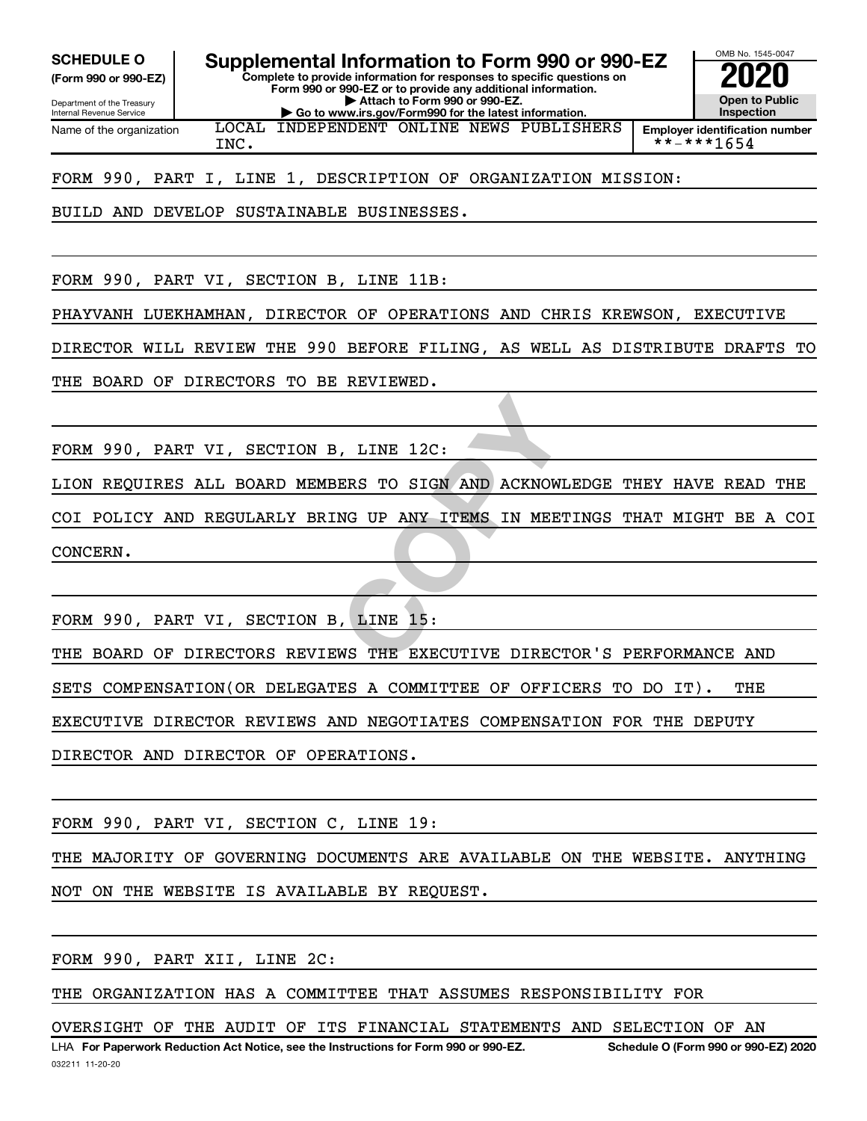**(Form 990 or 990-EZ)**

**Complete to provide information for responses to specific questions on SCHEDULE O Supplemental Information to Form 990 or 990-EZ 2020**<br>(Form 990 or 990-EZ) Complete to provide information for responses to specific questions on

Department of the Treasury Internal Revenue Service

**Form 990 or 990-EZ or to provide any additional information. | Attach to Form 990 or 990-EZ. | Go to www.irs.gov/Form990 for the latest information.** LOCAL INDEPENDENT ONLINE NEWS PUBLISHERS OMB No. 1545-0047 **Open to Public Inspection**

Name of the organization

**Employer identification number**  $INC.$   $|$   $*++*+1654$ 

FORM 990, PART I, LINE 1, DESCRIPTION OF ORGANIZATION MISSION:

BUILD AND DEVELOP SUSTAINABLE BUSINESSES.

FORM 990, PART VI, SECTION B, LINE 11B:

PHAYVANH LUEKHAMHAN, DIRECTOR OF OPERATIONS AND CHRIS KREWSON, EXECUTIVE

DIRECTOR WILL REVIEW THE 990 BEFORE FILING, AS WELL AS DISTRIBUTE DRAFTS TO

THE BOARD OF DIRECTORS TO BE REVIEWED.

FORM 990, PART VI, SECTION B, LINE 12C:

LION REQUIRES ALL BOARD MEMBERS TO SIGN AND ACKNOWLEDGE THEY HAVE READ THE

WE TO SIGN AND ACKNOWLEDGE THE STO SIGN AND ACKNOWLEDGE NO UP ANY ITEMS IN MEETINGS COI POLICY AND REGULARLY BRING UP ANY ITEMS IN MEETINGS THAT MIGHT BE A COI CONCERN.

FORM 990, PART VI, SECTION B, LINE 15:

THE BOARD OF DIRECTORS REVIEWS THE EXECUTIVE DIRECTOR'S PERFORMANCE AND

SETS COMPENSATION(OR DELEGATES A COMMITTEE OF OFFICERS TO DO IT). THE

EXECUTIVE DIRECTOR REVIEWS AND NEGOTIATES COMPENSATION FOR THE DEPUTY

DIRECTOR AND DIRECTOR OF OPERATIONS.

FORM 990, PART VI, SECTION C, LINE 19:

THE MAJORITY OF GOVERNING DOCUMENTS ARE AVAILABLE ON THE WEBSITE. ANYTHING

NOT ON THE WEBSITE IS AVAILABLE BY REQUEST.

FORM 990, PART XII, LINE 2C:

THE ORGANIZATION HAS A COMMITTEE THAT ASSUMES RESPONSIBILITY FOR

OVERSIGHT OF THE AUDIT OF ITS FINANCIAL STATEMENTS AND SELECTION OF AN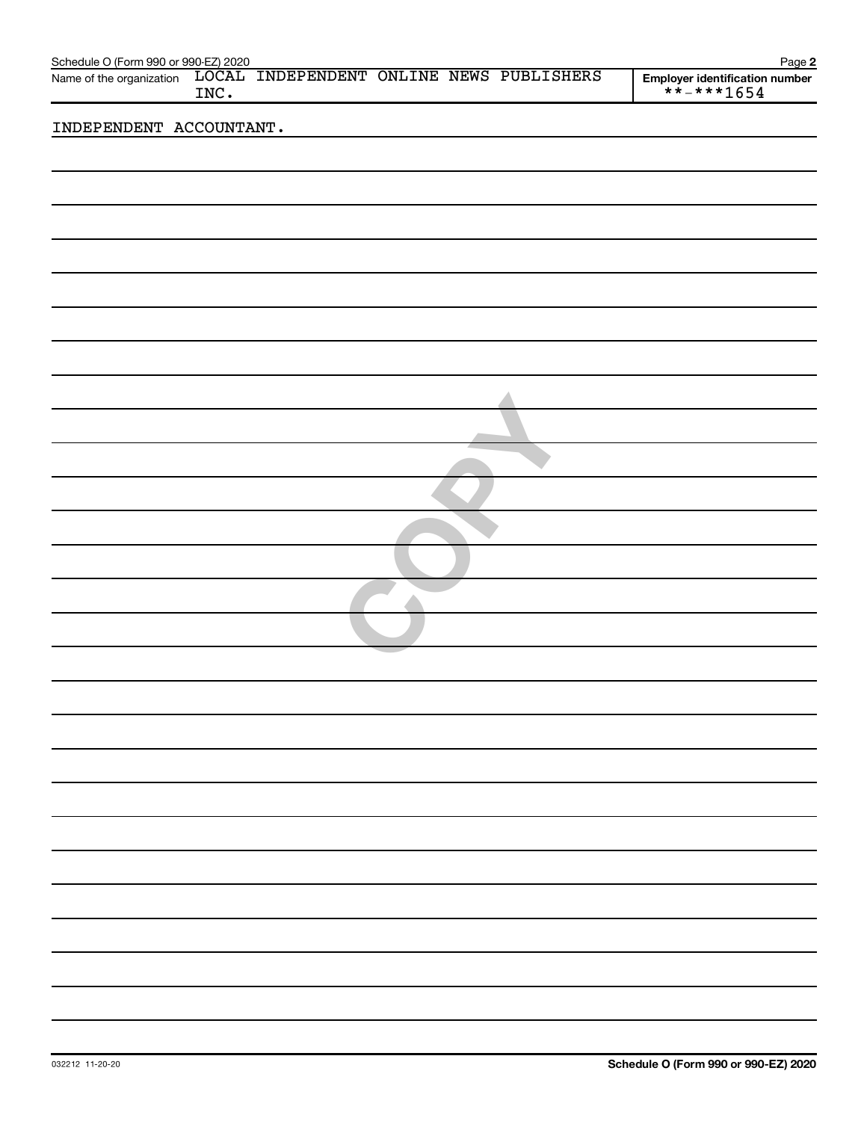| Schedule O (Form 990 or 990-EZ) 2020 |      |                                          |  | Page 2                                       |
|--------------------------------------|------|------------------------------------------|--|----------------------------------------------|
| Name of the organization             | INC. | LOCAL INDEPENDENT ONLINE NEWS PUBLISHERS |  | Employer identification number<br>**-***1654 |
| INDEPENDENT ACCOUNTANT.              |      |                                          |  |                                              |
|                                      |      |                                          |  |                                              |
|                                      |      |                                          |  |                                              |
|                                      |      |                                          |  |                                              |
|                                      |      |                                          |  |                                              |
|                                      |      |                                          |  |                                              |
|                                      |      |                                          |  |                                              |
|                                      |      |                                          |  |                                              |
|                                      |      |                                          |  |                                              |
|                                      |      |                                          |  |                                              |
|                                      |      |                                          |  |                                              |
|                                      |      |                                          |  |                                              |
|                                      |      |                                          |  |                                              |
|                                      |      |                                          |  |                                              |
|                                      |      |                                          |  |                                              |
|                                      |      |                                          |  |                                              |
|                                      |      |                                          |  |                                              |
|                                      |      |                                          |  |                                              |
|                                      |      |                                          |  |                                              |
|                                      |      |                                          |  |                                              |
|                                      |      |                                          |  |                                              |
|                                      |      |                                          |  |                                              |
|                                      |      |                                          |  |                                              |
|                                      |      |                                          |  |                                              |
|                                      |      |                                          |  |                                              |
|                                      |      |                                          |  |                                              |
|                                      |      |                                          |  |                                              |
|                                      |      |                                          |  |                                              |
|                                      |      |                                          |  |                                              |
|                                      |      |                                          |  |                                              |